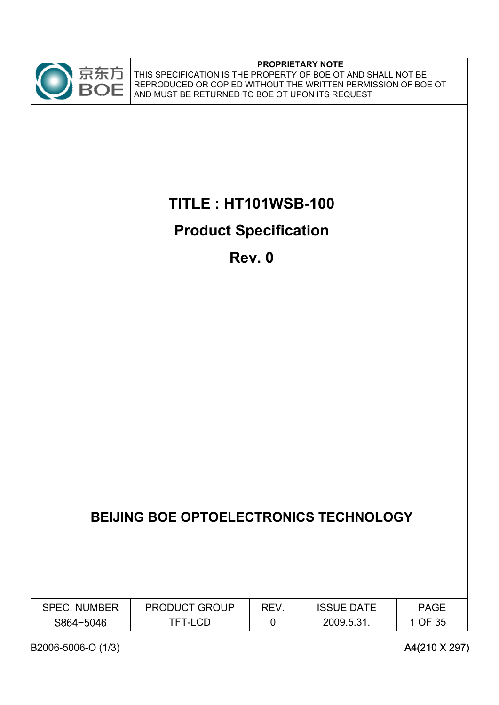

#### **PROPRIETARY NOTE**

THIS SPECIFICATION IS THE PROPERTY OF BOE OT AND SHALL NOT BE REPRODUCED OR COPIED WITHOUT THE WRITTEN PERMISSION OF BOE OT AND MUST BE RETURNED TO BOE OT UPON ITS REQUEST

# **TITLE : HT101WSB-100**

# **Product Specification**

**Rev. 0**

# **BEIJING BOE OPTOELECTRONICS TECHNOLOGY**

| <b>SPEC. NUMBER</b> | <b>PRODUCT GROUP</b> | REV | <b>ISSUE DATE</b> | <b>PAGE</b> |
|---------------------|----------------------|-----|-------------------|-------------|
| S864-5046           | TFT-LCD              |     | 2009.5.31         | 1 OF 35     |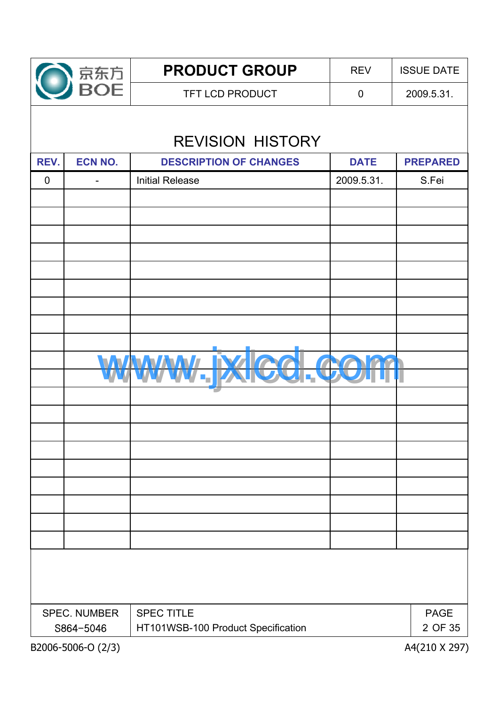

TFT LCD PRODUCT  $\begin{array}{|c|c|c|c|c|c|c|c|c|} \hline \end{array}$  0 2009.5.31. **PRODUCT GROUP** REV SISUE DATE

# REVISION HISTORY

| REV.                              | <b>ECN NO.</b>           | <b>DESCRIPTION OF CHANGES</b>      | <b>DATE</b> | <b>PREPARED</b>        |
|-----------------------------------|--------------------------|------------------------------------|-------------|------------------------|
| $\mathbf 0$                       | $\overline{\phantom{0}}$ | <b>Initial Release</b>             | 2009.5.31.  | S.Fei                  |
|                                   |                          |                                    |             |                        |
|                                   |                          |                                    |             |                        |
|                                   |                          |                                    |             |                        |
|                                   |                          |                                    |             |                        |
|                                   |                          |                                    |             |                        |
|                                   |                          |                                    |             |                        |
|                                   |                          |                                    |             |                        |
|                                   |                          |                                    |             |                        |
|                                   |                          |                                    |             |                        |
|                                   |                          | <b>INAV</b>                        |             |                        |
|                                   |                          | ٠,                                 |             |                        |
|                                   |                          |                                    |             |                        |
|                                   |                          |                                    |             |                        |
|                                   |                          |                                    |             |                        |
|                                   |                          |                                    |             |                        |
|                                   |                          |                                    |             |                        |
|                                   |                          |                                    |             |                        |
|                                   |                          |                                    |             |                        |
|                                   |                          |                                    |             |                        |
|                                   |                          |                                    |             |                        |
|                                   |                          |                                    |             |                        |
|                                   |                          |                                    |             |                        |
|                                   |                          |                                    |             |                        |
| <b>SPEC TITLE</b><br>SPEC. NUMBER |                          |                                    |             |                        |
|                                   | S864-5046                | HT101WSB-100 Product Specification |             | <b>PAGE</b><br>2 OF 35 |
|                                   | B2006-5006-O (2/3)       |                                    |             | A4(210 X 297)          |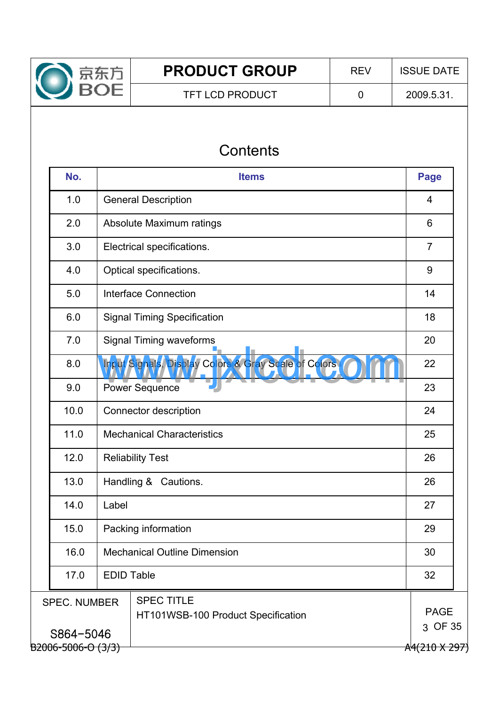

## TFT LCD PRODUCT  $\begin{array}{|c|c|c|c|c|c|c|c|c|} \hline \end{array}$  0 2009.5.31.

# **Contents**

| No.                                                                            |       | <b>Items</b>                                         |                |  |  |  |  |  |  |
|--------------------------------------------------------------------------------|-------|------------------------------------------------------|----------------|--|--|--|--|--|--|
| 1.0                                                                            |       | <b>General Description</b>                           |                |  |  |  |  |  |  |
| 2.0                                                                            |       | Absolute Maximum ratings                             |                |  |  |  |  |  |  |
| 3.0                                                                            |       | Electrical specifications.                           | $\overline{7}$ |  |  |  |  |  |  |
| 4.0                                                                            |       | Optical specifications.                              | 9              |  |  |  |  |  |  |
| 5.0                                                                            |       | <b>Interface Connection</b>                          | 14             |  |  |  |  |  |  |
| 6.0                                                                            |       | <b>Signal Timing Specification</b>                   | 18             |  |  |  |  |  |  |
| 7.0                                                                            |       | <b>Signal Timing waveforms</b>                       | 20             |  |  |  |  |  |  |
| 8.0                                                                            |       | Input Signals, Display Colors & Gray Scale of Colors | 22             |  |  |  |  |  |  |
| 9.0                                                                            |       | <b>Power Sequence</b>                                |                |  |  |  |  |  |  |
| 10.0                                                                           |       | Connector description                                | 24             |  |  |  |  |  |  |
| 11.0                                                                           |       | <b>Mechanical Characteristics</b>                    |                |  |  |  |  |  |  |
| 12.0                                                                           |       | <b>Reliability Test</b>                              | 26             |  |  |  |  |  |  |
| 13.0                                                                           |       | Handling & Cautions.                                 | 26             |  |  |  |  |  |  |
| 14.0                                                                           | Label |                                                      | 27             |  |  |  |  |  |  |
| 15.0                                                                           |       | Packing information                                  | 29             |  |  |  |  |  |  |
| 16.0<br><b>Mechanical Outline Dimension</b>                                    |       |                                                      |                |  |  |  |  |  |  |
| <b>EDID Table</b><br>17.0                                                      |       |                                                      |                |  |  |  |  |  |  |
| <b>SPEC TITLE</b><br><b>SPEC. NUMBER</b><br>HT101WSB-100 Product Specification |       |                                                      |                |  |  |  |  |  |  |
| S864-5046<br>B2006-5006-O (3/3)<br>A4(210 X 297)                               |       |                                                      |                |  |  |  |  |  |  |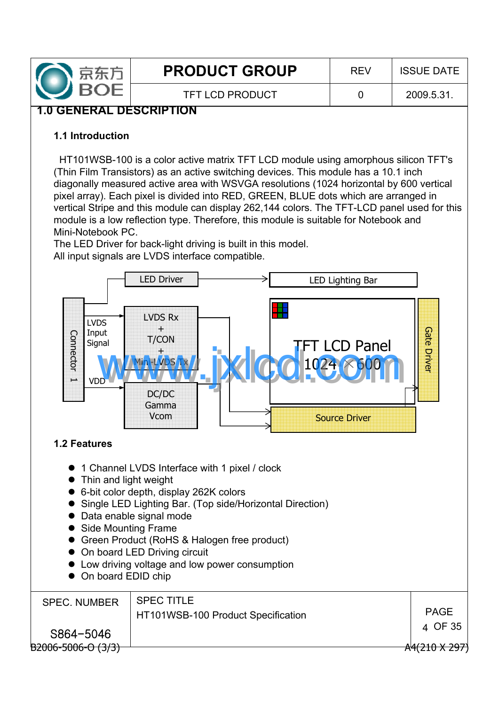

TFT LCD PRODUCT 0 2009.5.31.

## **1.0 GENERAL DESCRIPTION**

#### **1.1 Introduction**

HT101WSB-100 is a color active matrix TFT LCD module using amorphous silicon TFT's (Thin Film Transistors) as an active switching devices. This module has a 10.1 inch diagonally measured active area with WSVGA resolutions (1024 horizontal by 600 vertical pixel array). Each pixel is divided into RED, GREEN, BLUE dots which are arranged in vertical Stripe and this module can display 262,144 colors. The TFT-LCD panel used for this module is a low reflection type. Therefore, this module is suitable for Notebook and Mini-Notebook PC.

The LED Driver for back-light driving is built in this model. All input signals are LVDS interface compatible.



## **1.2 Features**

- 1 Channel LVDS Interface with 1 pixel / clock
- $\bullet$  Thin and light weight
- 6-bit color depth, display 262K colors
- Single LED Lighting Bar. (Top side/Horizontal Direction)
- Data enable signal mode
- Side Mounting Frame
- Green Product (RoHS & Halogen free product)
- On board LED Driving circuit
- Low driving voltage and low power consumption
- On board EDID chip

| <b>SPEC. NUMBER</b>     | <b>SPEC TITLE</b><br>HT101WSB-100 Product Specification | <b>PAGE</b>   |
|-------------------------|---------------------------------------------------------|---------------|
| S864-5046               |                                                         | 4 OF 35       |
| $B2006 - 5006 - 0(3/3)$ |                                                         | A4(210 X 297) |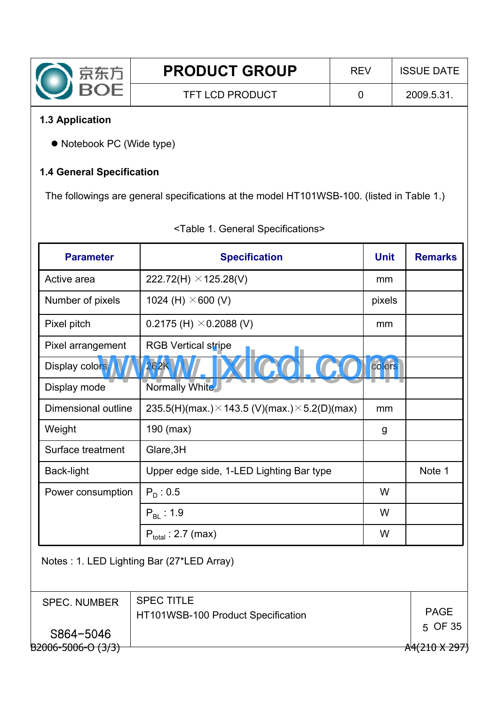

## **1.3 Application**

S864-5046

• Notebook PC (Wide type)

#### **1.4 General Specification**

The followings are general specifications at the model HT101WSB-100. (listed in Table 1.)

| <b>Parameter</b>                          | <b>Specification</b>                                         |             | <b>Remarks</b> |  |  |  |
|-------------------------------------------|--------------------------------------------------------------|-------------|----------------|--|--|--|
| Active area                               | 222.72(H) $\times$ 125.28(V)                                 | mm          |                |  |  |  |
| Number of pixels                          | 1024 (H) $\times$ 600 (V)                                    | pixels      |                |  |  |  |
| Pixel pitch                               | 0.2175 (H) $\times$ 0.2088 (V)                               | mm          |                |  |  |  |
| Pixel arrangement                         | <b>RGB Vertical stripe</b>                                   |             |                |  |  |  |
| Display colors                            | 262 <sub>k</sub>                                             | colors      |                |  |  |  |
| Display mode                              | Normally White                                               |             |                |  |  |  |
| Dimensional outline                       | 235.5(H)(max.) $\times$ 143.5 (V)(max.) $\times$ 5.2(D)(max) | mm          |                |  |  |  |
| Weight                                    | 190 (max)                                                    | g           |                |  |  |  |
| Surface treatment                         | Glare, 3H                                                    |             |                |  |  |  |
| Back-light                                | Upper edge side, 1-LED Lighting Bar type                     |             | Note 1         |  |  |  |
| Power consumption                         | $P_{D}$ : 0.5                                                | W           |                |  |  |  |
|                                           | $P_{BL}$ : 1.9                                               | W           |                |  |  |  |
|                                           | $P_{total}$ : 2.7 (max)                                      | W           |                |  |  |  |
| Notes: 1. LED Lighting Bar (27*LED Array) |                                                              |             |                |  |  |  |
| <b>SPEC. NUMBER</b>                       | <b>SPEC TITLE</b><br>HT101WSB-100 Product Specification      | <b>PAGE</b> |                |  |  |  |

#### <Table 1. General Specifications>

 $\overline{B2006}$ -5006-O (3/3)  $\overline{A4(210 \times 297)}$ 

OF 35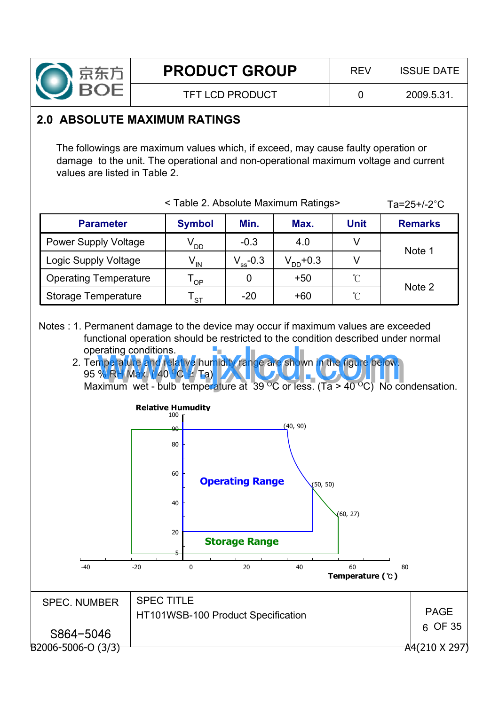

TFT LCD PRODUCT 0 2009.5.31.

## **2.0 ABSOLUTE MAXIMUM RATINGS**

The followings are maximum values which, if exceed, may cause faulty operation or damage to the unit. The operational and non-operational maximum voltage and current values are listed in Table 2.

|                              | <table 2.="" absolute="" maximum="" ratings=""></table> | Ta= $25+/-2$ °C |               |               |                |
|------------------------------|---------------------------------------------------------|-----------------|---------------|---------------|----------------|
| <b>Parameter</b>             | <b>Symbol</b>                                           | Min.            | Max.          | <b>Unit</b>   | <b>Remarks</b> |
| <b>Power Supply Voltage</b>  | $V_{DD}$                                                | $-0.3$          | 4.0           | V             | Note 1         |
| Logic Supply Voltage         | $V_{IN}$                                                | $V_{ss}$ -0.3   | $V_{DD}$ +0.3 | V             |                |
| <b>Operating Temperature</b> | OP                                                      | O               | $+50$         | $\mathcal{C}$ | Note 2         |
| Storage Temperature          | <b>ST</b>                                               | $-20$           | $+60$         | $\mathcal{C}$ |                |

- Notes : 1. Permanent damage to the device may occur if maximum values are exceeded functional operation should be restricted to the condition described under normal operating conditions.
	- 2. Temperature and relative humidity range are shown in the figure below. 95 % RH Max. (40  $^{\circ}$ C  $\geq$  Ta)  $\blacksquare$ Maximum wet - bulb temperature at 39 °C or less. (Ta > 40 °C) No condensation. erating conditions.<br>
	The rature and relative humidity range are shown in the figure below.<br>
	Ximum wet - bulb temperature at 39 °C or less. (Ta > 40 °C) No co

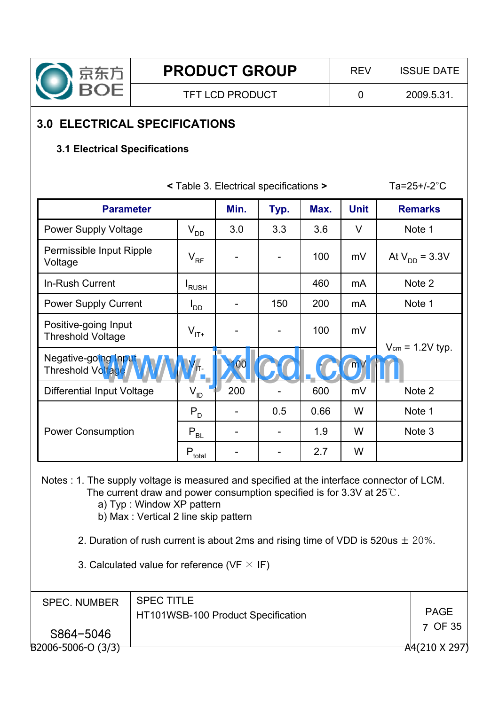

**PRODUCT GROUP**  $\vert$  REV  $\vert$  ISSUE DATE

 $Ta=25+/-2°C$ 

# **3.0 ELECTRICAL SPECIFICATIONS**

## **3.1 Electrical Specifications**

| <b>Parameter</b>                                 |                    | Min. | Typ. | Max. | <b>Unit</b>  | <b>Remarks</b>       |
|--------------------------------------------------|--------------------|------|------|------|--------------|----------------------|
| <b>Power Supply Voltage</b>                      | $V_{DD}$           | 3.0  | 3.3  | 3.6  | $\vee$       | Note 1               |
| Permissible Input Ripple<br>Voltage              | $V_{RF}$           |      |      | 100  | mV           | At $V_{DD} = 3.3V$   |
| In-Rush Current                                  | <sup>I</sup> RUSH  |      |      | 460  | mA           | Note 2               |
| <b>Power Supply Current</b>                      | $I_{DD}$           |      | 150  | 200  | mA           | Note 1               |
| Positive-going Input<br><b>Threshold Voltage</b> | $V_{\text{IT+}}$   |      |      | 100  | mV           |                      |
| Negative-going Inpu<br>Threshold Voltage         |                    |      |      |      | $\mathsf{m}$ | $V_{cm}$ = 1.2V typ. |
| Differential Input Voltage                       | $V_{ID}$           | 200  |      | 600  | mV           | Note 2               |
|                                                  | $P_{D}$            |      | 0.5  | 0.66 | W            | Note 1               |
| <b>Power Consumption</b>                         | $P_{BL}$           |      |      | 1.9  | W            | Note 3               |
|                                                  | $P_{\text{total}}$ |      |      | 2.7  | W            |                      |

**<** Table 3. Electrical specifications **>**

Notes : 1. The supply voltage is measured and specified at the interface connector of LCM. The current draw and power consumption specified is for 3.3V at  $25^{\circ}$ .

a) Typ : Window XP pattern

b) Max : Vertical 2 line skip pattern

2. Duration of rush current is about 2ms and rising time of VDD is 520us  $\pm$  20%.

3. Calculated value for reference (VF  $\times$  IF)

| <b>SPEC. NUMBER</b>      | <b>SPEC TITLE</b><br>HT101WSB-100 Product Specification | <b>PAGE</b>          |
|--------------------------|---------------------------------------------------------|----------------------|
| S864-5046                |                                                         | 7 OF 35              |
| $B2006 - 5006 - 0 (3/3)$ |                                                         | $A4(210 \times 297)$ |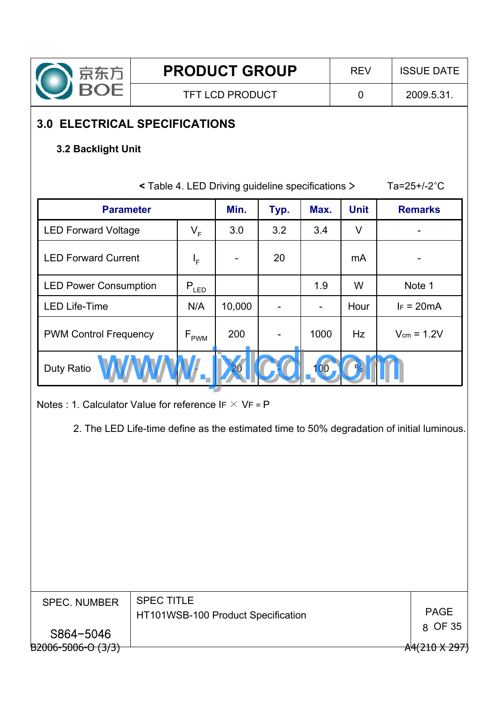

# **3.0 ELECTRICAL SPECIFICATIONS**

## **3.2 Backlight Unit**

|                              |                             | < Table 4. LED Driving guideline specifications > |      |         |             | Ta= $25+/-2$ °C |
|------------------------------|-----------------------------|---------------------------------------------------|------|---------|-------------|-----------------|
| <b>Parameter</b>             |                             | Min.                                              | Typ. | Max.    | <b>Unit</b> | <b>Remarks</b>  |
| <b>LED Forward Voltage</b>   | $V_F$                       | 3.0                                               | 3.2  | 3.4     | $\vee$      |                 |
| <b>LED Forward Current</b>   | $I_F$                       |                                                   | 20   |         | mA          |                 |
| <b>LED Power Consumption</b> | $P_{LED}$                   |                                                   |      | 1.9     | W           | Note 1          |
| <b>LED Life-Time</b>         | N/A                         | 10,000                                            |      |         | Hour        | $IF = 20mA$     |
| <b>PWM Control Frequency</b> | $\mathsf{F}_{\mathsf{PWM}}$ | 200                                               |      | 1000    | Hz          | $V_{cm} = 1.2V$ |
| Duty Ratio                   |                             |                                                   |      | $00 \,$ |             |                 |

Notes : 1. Calculator Value for reference IF  $\times$  VF = P

2. The LED Life-time define as the estimated time to 50% degradation of initial luminous.

| <b>SPEC. NUMBER</b>      | <b>SPEC TITLE</b>                  |               |
|--------------------------|------------------------------------|---------------|
|                          | HT101WSB-100 Product Specification | <b>PAGE</b>   |
| S864-5046                |                                    | 8 OF 35       |
|                          |                                    |               |
| $B2006 - 5006 - 0 (3/3)$ |                                    | A4(210 X 297) |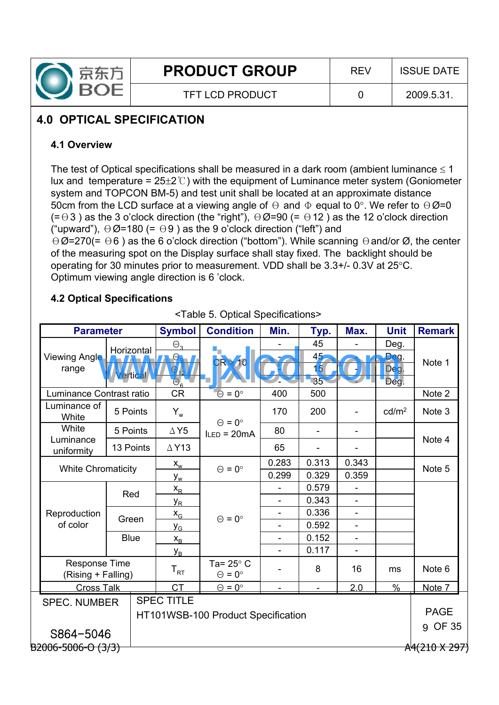

# **4.0 OPTICAL SPECIFICATION**

## **4.1 Overview**

The test of Optical specifications shall be measured in a dark room (ambient luminance  $\leq 1$ ) lux and temperature =  $25\pm2\degree$ ) with the equipment of Luminance meter system (Goniometer system and TOPCON BM-5) and test unit shall be located at an approximate distance 50cm from the LCD surface at a viewing angle of  $\Theta$  and  $\Phi$  equal to 0°. We refer to  $\Theta \emptyset$ =0  $(= \theta 3)$  as the 3 o'clock direction (the "right"),  $\theta \emptyset = 90$  (=  $\theta$ 12) as the 12 o'clock direction ("upward"),  $\Theta \emptyset$ =180 (=  $\Theta$ 9) as the 9 o'clock direction ("left") and  $\Theta$ Ø=270(=  $\Theta$ 6) as the 6 o'clock direction ("bottom"). While scanning  $\Theta$  and/or Ø, the center of the measuring spot on the Display surface shall stay fixed. The backlight should be

operating for 30 minutes prior to measurement. VDD shall be  $3.3 + / -0.3V$  at  $25^{\circ}$ C. Optimum viewing angle direction is 6 'clock.

## **4.2 Optical Specifications**

|                           | <b>Parameter</b>                         |                       | <b>Symbol</b>                              | <b>Condition</b>                         | Min.                     | Typ.                                           | Max.                     | <b>Unit</b>          | <b>Remark</b>     |
|---------------------------|------------------------------------------|-----------------------|--------------------------------------------|------------------------------------------|--------------------------|------------------------------------------------|--------------------------|----------------------|-------------------|
| Viewing Angle<br>range    |                                          | Horizontal<br>ertical | $\Theta$ 3<br>$\Theta_{\rm g}$<br>$\Theta$ | 10                                       |                          | 45<br>45 <sub>2</sub><br>15 <sub>1</sub><br>35 |                          | Deg.<br>Deg.<br>Deg. | Note 1            |
| Luminance Contrast ratio  |                                          |                       | $\bigcap$<br><b>CR</b>                     | $\Theta = 0^{\circ}$                     | 400                      | 500                                            |                          | Deg.                 | Note 2            |
| Luminance of<br>White     |                                          | 5 Points              | $Y_w$                                      | $\Theta = 0^{\circ}$                     | 170                      | 200                                            |                          | cd/m <sup>2</sup>    | Note 3            |
| White                     |                                          | 5 Points              | $\Delta$ Y5                                | $l$ LED = 20 $mA$                        | 80                       |                                                | $\overline{\phantom{a}}$ |                      |                   |
| Luminance<br>uniformity   | 13 Points                                |                       | $\triangle$ Y13                            |                                          | 65                       |                                                |                          |                      | Note 4            |
| <b>White Chromaticity</b> |                                          |                       | $X_w$                                      | $\Theta = 0^{\circ}$                     | 0.283                    | 0.313                                          | 0.343                    |                      | Note 5            |
|                           |                                          |                       | $y_{w}$                                    |                                          | 0.299                    | 0.329                                          | 0.359                    |                      |                   |
|                           | Red                                      |                       | $X_R$                                      |                                          |                          | 0.579                                          |                          |                      |                   |
|                           |                                          |                       | y <sub>R</sub>                             |                                          | $\blacksquare$           | 0.343                                          | ÷,                       |                      |                   |
| Reproduction              |                                          | Green                 | $X_G$                                      | $\Theta = 0^{\circ}$                     | $\overline{\phantom{a}}$ | 0.336                                          | $\overline{a}$           |                      |                   |
| of color                  |                                          |                       | y <sub>G</sub>                             |                                          | $\overline{\phantom{a}}$ | 0.592                                          | $\overline{\phantom{0}}$ |                      |                   |
|                           |                                          | <b>Blue</b>           | $X_{B}$                                    |                                          | $\overline{\phantom{a}}$ | 0.152                                          | $\overline{\phantom{m}}$ |                      |                   |
|                           |                                          |                       | $y_B$                                      |                                          |                          | 0.117                                          |                          |                      |                   |
|                           | Response Time<br>(Rising + Falling)      |                       | $\mathsf{T}_{\mathsf{RT}}$                 | Ta= $25^\circ$ C<br>$\Theta = 0^{\circ}$ |                          | 8                                              | 16                       | ms                   | Note <sub>6</sub> |
| <b>Cross Talk</b>         |                                          |                       | <b>CT</b>                                  | $\Theta = 0^{\circ}$                     |                          |                                                | 2.0                      | $\frac{0}{0}$        | Note 7            |
|                           | <b>SPEC TITLE</b><br><b>SPEC. NUMBER</b> |                       |                                            | HT101WSB-100 Product Specification       |                          |                                                |                          |                      | <b>PAGE</b>       |
| S864-5046                 |                                          |                       |                                            |                                          |                          |                                                |                          |                      | <b>OF 35</b><br>9 |
|                           | B2006-5006-O (3/3)                       |                       |                                            |                                          |                          |                                                |                          | A4(210 X 297)        |                   |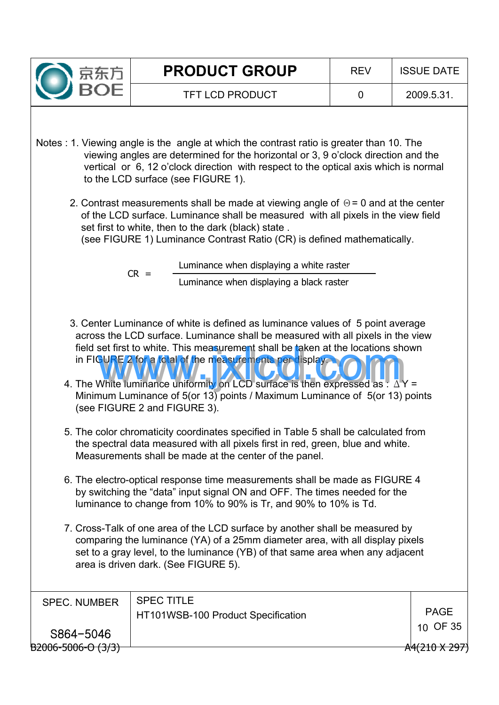

- Notes : 1. Viewing angle is the angle at which the contrast ratio is greater than 10. The viewing angles are determined for the horizontal or 3, 9 o'clock direction and the vertical or 6, 12 o'clock direction with respect to the optical axis which is normal to the LCD surface (see FIGURE 1).
	- 2. Contrast measurements shall be made at viewing angle of  $\Theta$  = 0 and at the center of the LCD surface. Luminance shall be measured with all pixels in the view field set first to white, then to the dark (black) state .

(see FIGURE 1) Luminance Contrast Ratio (CR) is defined mathematically.

- Luminance when displaying a black raster  $CR =$  Luminance when displaying a white raster
- 3. Center Luminance of white is defined as luminance values of 5 point average across the LCD surface. Luminance shall be measured with all pixels in the view field set first to white. This measurement shall be taken at the locations shown in FIGURE 2 for a total of the measurements per display. field set first to white. This measurement shall be taken at the locations show<br>in FIGURE 2 for a total of the measurements pendisplay.<br>4. The White luminance uniformity on LCD surface is then expressed as :  $\Delta Y =$
- Minimum Luminance of 5(or 13) points / Maximum Luminance of 5(or 13) points (see FIGURE 2 and FIGURE 3).
- 5. The color chromaticity coordinates specified in Table 5 shall be calculated from the spectral data measured with all pixels first in red, green, blue and white. Measurements shall be made at the center of the panel.
- 6. The electro-optical response time measurements shall be made as FIGURE 4 by switching the "data" input signal ON and OFF. The times needed for the luminance to change from 10% to 90% is Tr, and 90% to 10% is Td.
- 7. Cross-Talk of one area of the LCD surface by another shall be measured by comparing the luminance (YA) of a 25mm diameter area, with all display pixels set to a gray level, to the luminance (YB) of that same area when any adjacent area is driven dark. (See FIGURE 5).

| <b>SPEC. NUMBER</b>     | <b>SPEC TITLE</b><br>HT101WSB-100 Product Specification | PAGE                     |
|-------------------------|---------------------------------------------------------|--------------------------|
| S864-5046               |                                                         | 10 OF 35                 |
| $B2006 - 5006 - 0(3/3)$ |                                                         | <del>A4(210 X 297)</del> |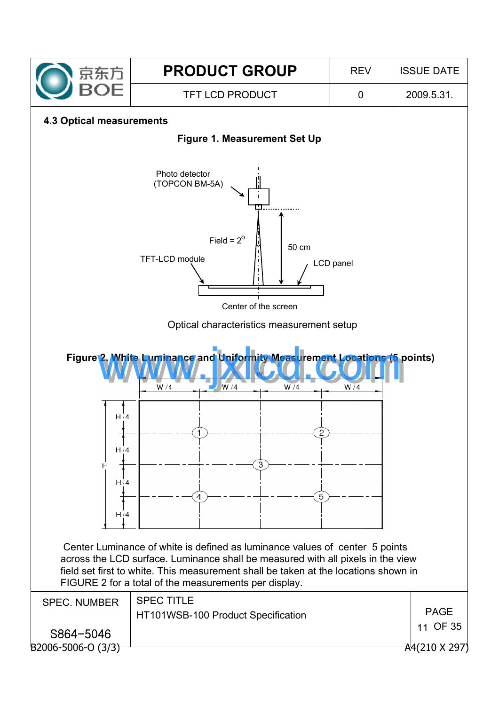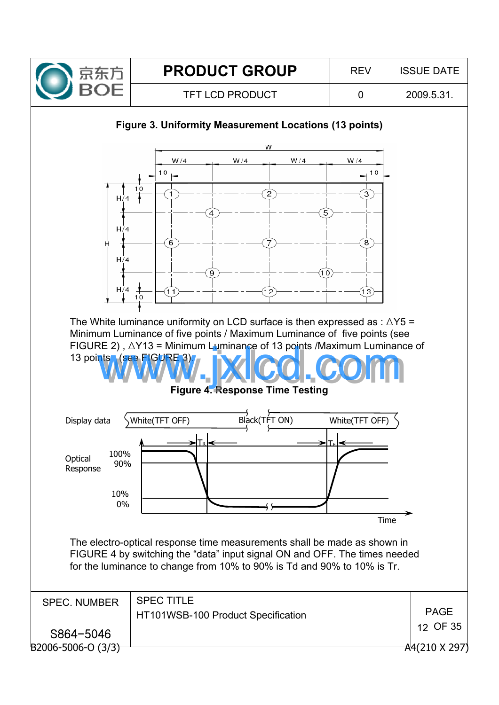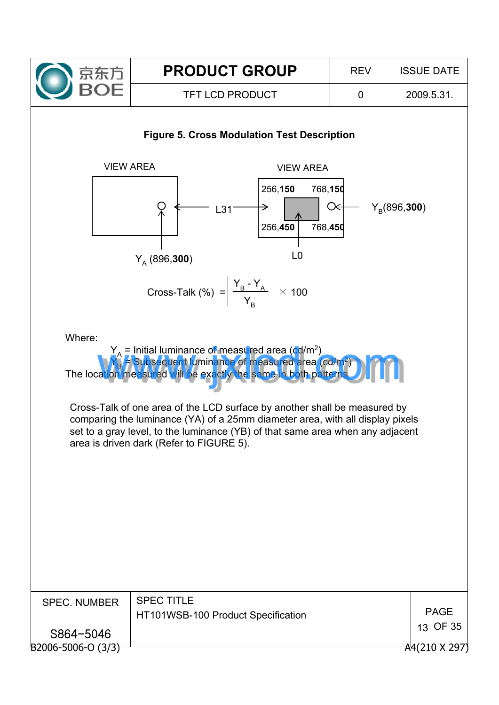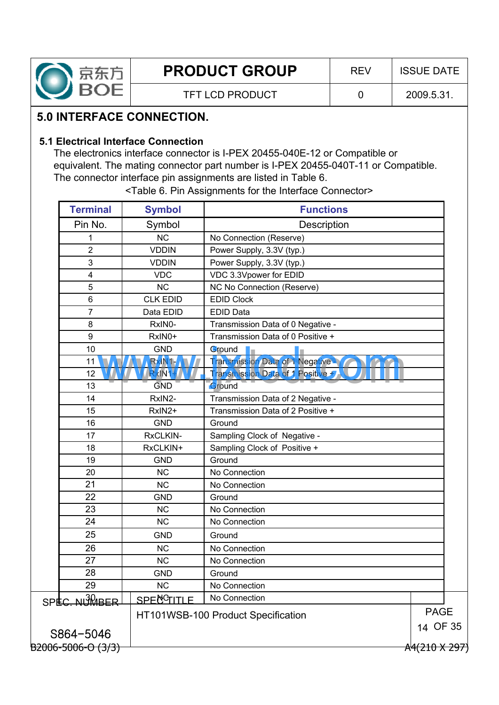

## **5.0 INTERFACE CONNECTION.**

#### **5.1 Electrical Interface Connection**

The electronics interface connector is I-PEX 20455-040E-12 or Compatible or equivalent. The mating connector part number is I-PEX 20455-040T-11 or Compatible. The connector interface pin assignments are listed in Table 6.

| <b>Terminal</b>    | <b>Symbol</b>       | <b>Functions</b>                    |               |
|--------------------|---------------------|-------------------------------------|---------------|
| Pin No.            | Symbol              | Description                         |               |
| 1                  | <b>NC</b>           | No Connection (Reserve)             |               |
| $\overline{2}$     | <b>VDDIN</b>        | Power Supply, 3.3V (typ.)           |               |
| 3                  | <b>VDDIN</b>        | Power Supply, 3.3V (typ.)           |               |
| 4                  | <b>VDC</b>          | VDC 3.3Vpower for EDID              |               |
| 5                  | <b>NC</b>           | NC No Connection (Reserve)          |               |
| 6                  | <b>CLK EDID</b>     | <b>EDID Clock</b>                   |               |
| $\overline{7}$     | Data EDID           | <b>EDID Data</b>                    |               |
| 8                  | RxIN0-              | Transmission Data of 0 Negative -   |               |
| 9                  | RxIN0+              | Transmission Data of 0 Positive +   |               |
| 10                 | <b>GND</b>          | Ground                              |               |
| 11                 | RxIN1               | Transmission Data of 1 Negative -   |               |
| 12                 | R <sub>XIN1</sub> V | Transmission Data of 1 Positive + / |               |
| 13                 | <b>GND</b>          | Ground                              |               |
| 14                 | RxIN2-              | Transmission Data of 2 Negative -   |               |
| 15                 | RxIN2+              | Transmission Data of 2 Positive +   |               |
| 16                 | <b>GND</b>          | Ground                              |               |
| 17                 | RxCLKIN-            | Sampling Clock of Negative -        |               |
| 18                 | RxCLKIN+            | Sampling Clock of Positive +        |               |
| 19                 | <b>GND</b>          | Ground                              |               |
| 20                 | <b>NC</b>           | No Connection                       |               |
| 21                 | <b>NC</b>           | No Connection                       |               |
| 22                 | <b>GND</b>          | Ground                              |               |
| 23                 | <b>NC</b>           | No Connection                       |               |
| 24                 | <b>NC</b>           | No Connection                       |               |
| 25                 | <b>GND</b>          | Ground                              |               |
| 26                 | <b>NC</b>           | No Connection                       |               |
| 27                 | <b>NC</b>           | No Connection                       |               |
| 28                 | <b>GND</b>          | Ground                              |               |
| 29                 | <b>NC</b>           | No Connection                       |               |
| SPEC. NUMBER       | <u>SPECGITLE</u>    | No Connection                       |               |
|                    |                     | HT101WSB-100 Product Specification  | <b>PAGE</b>   |
|                    |                     |                                     | 14 OF 35      |
| S864-5046          |                     |                                     |               |
| B2006-5006-O (3/3) |                     |                                     | A4(210 X 297) |

<Table 6. Pin Assignments for the Interface Connector>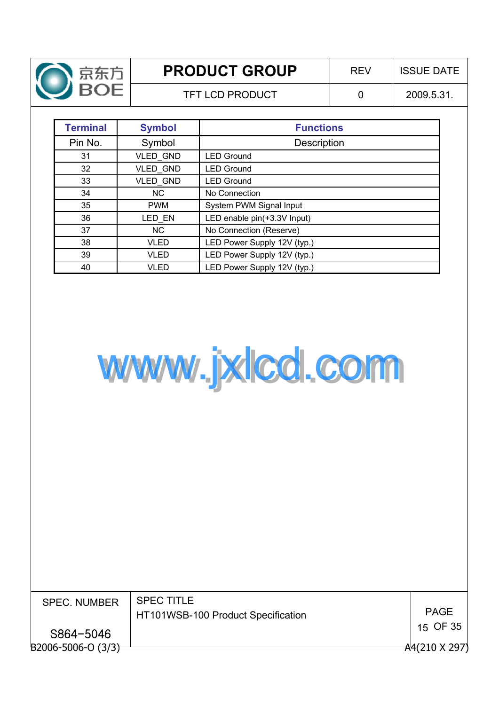

TFT LCD PRODUCT 0 2009.5.31.

| <b>Terminal</b> | <b>Symbol</b>   | <b>Functions</b>            |
|-----------------|-----------------|-----------------------------|
| Pin No.         | Symbol          | Description                 |
| 31              | VLED_GND        | <b>LED Ground</b>           |
| 32              | <b>VLED GND</b> | <b>LED Ground</b>           |
| 33              | VLED_GND        | <b>LED Ground</b>           |
| 34              | <b>NC</b>       | No Connection               |
| 35              | <b>PWM</b>      | System PWM Signal Input     |
| 36              | LED_EN          | LED enable pin(+3.3V Input) |
| 37              | <b>NC</b>       | No Connection (Reserve)     |
| 38              | VLED            | LED Power Supply 12V (typ.) |
| 39              | VLED            | LED Power Supply 12V (typ.) |
| 40              | VLED            | LED Power Supply 12V (typ.) |



| <b>SPEC. NUMBER</b>           | <b>SPEC TITLE</b>                  |               |
|-------------------------------|------------------------------------|---------------|
|                               | HT101WSB-100 Product Specification | <b>PAGE</b>   |
|                               |                                    | 15 OF 35      |
| S864-5046                     |                                    |               |
|                               |                                    |               |
| <del>B2006-5006-O (3/3)</del> |                                    | A4(210 X 297) |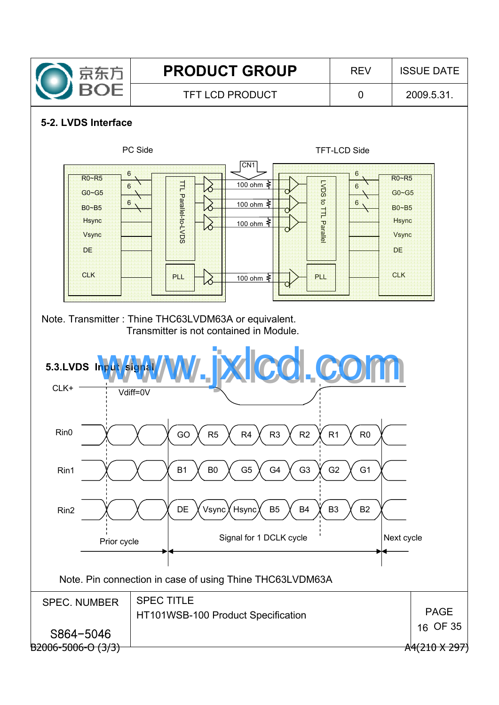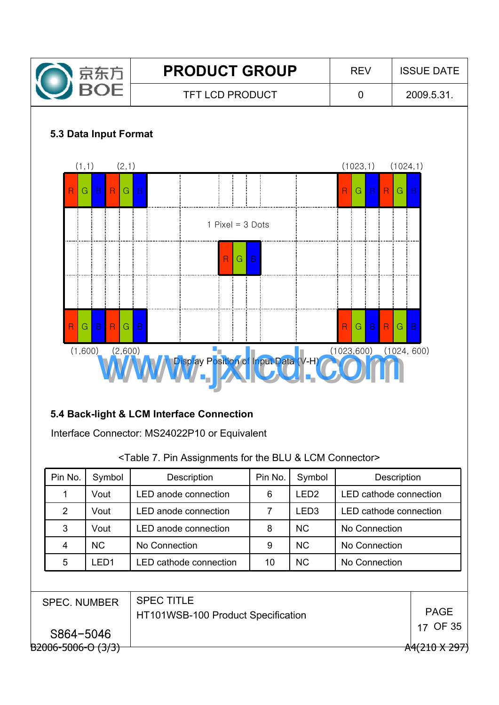

# **5.4 Back-light & LCM Interface Connection**

Interface Connector: MS24022P10 or Equivalent

#### <Table 7. Pin Assignments for the BLU & LCM Connector>

| Pin No.                                        | Symbol    | Description                                             | Pin No. | Symbol           | Description                   |          |
|------------------------------------------------|-----------|---------------------------------------------------------|---------|------------------|-------------------------------|----------|
| 1                                              | Vout      | <b>LED</b> anode connection                             | 6       | LED <sub>2</sub> | <b>LED cathode connection</b> |          |
| $\overline{2}$                                 | Vout      | <b>LED</b> anode connection                             | 7       | LED <sub>3</sub> | LED cathode connection        |          |
| 3                                              | Vout      | LED anode connection                                    | 8       | <b>NC</b>        | No Connection                 |          |
| 4                                              | <b>NC</b> | No Connection                                           | 9       | <b>NC</b>        | No Connection                 |          |
| 5                                              | LED1      | LED cathode connection                                  | 10      | <b>NC</b>        | No Connection                 |          |
|                                                |           |                                                         |         |                  |                               |          |
| <b>SPEC. NUMBER</b>                            |           | <b>SPEC TITLE</b><br>HT101WSB-100 Product Specification |         | <b>PAGE</b>      |                               |          |
| S864-5046                                      |           |                                                         |         |                  |                               | 17 OF 35 |
| <del>B2006-5006-O (3/3)</del><br>A4(210 X 297) |           |                                                         |         |                  |                               |          |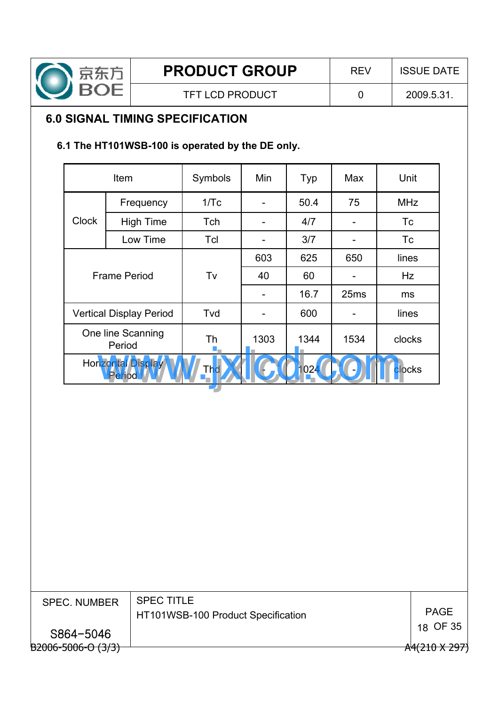

TFT LCD PRODUCT  $\begin{array}{|c|c|c|c|c|c|c|c|c|} \hline \end{array}$  0 2009.5.31.

## **6.0 SIGNAL TIMING SPECIFICATION**

## **6.1 The HT101WSB-100 is operated by the DE only.**

|              | Item                                | Symbols | Min  | Typ  | Max              | Unit       |
|--------------|-------------------------------------|---------|------|------|------------------|------------|
|              | Frequency                           | 1/Tc    |      | 50.4 | 75               | <b>MHz</b> |
| <b>Clock</b> | <b>High Time</b>                    | Tch     |      | 4/7  |                  | Тc         |
|              | Low Time                            | Tcl     |      | 3/7  |                  | Тc         |
|              |                                     |         | 603  | 625  | 650              | lines      |
|              | <b>Frame Period</b>                 | Tv      | 40   | 60   |                  | Hz         |
|              |                                     |         |      | 16.7 | 25 <sub>ms</sub> | ms         |
|              | <b>Vertical Display Period</b>      | Tvd     |      | 600  |                  | lines      |
|              | One line Scanning<br>Period         | Th      | 1303 | 1344 | 1534             | clocks     |
|              | <b>Horizontal Display</b><br>Period | Thd     |      | 1024 |                  | clocks     |

| <b>SPEC. NUMBER</b>     | <b>SPEC TITLE</b><br>HT101WSB-100 Product Specification | <b>PAGE</b>          |
|-------------------------|---------------------------------------------------------|----------------------|
| S864-5046               |                                                         | 18 OF 35             |
| $B2006 - 5006 - 0(3/3)$ |                                                         | $A4(210 \times 297)$ |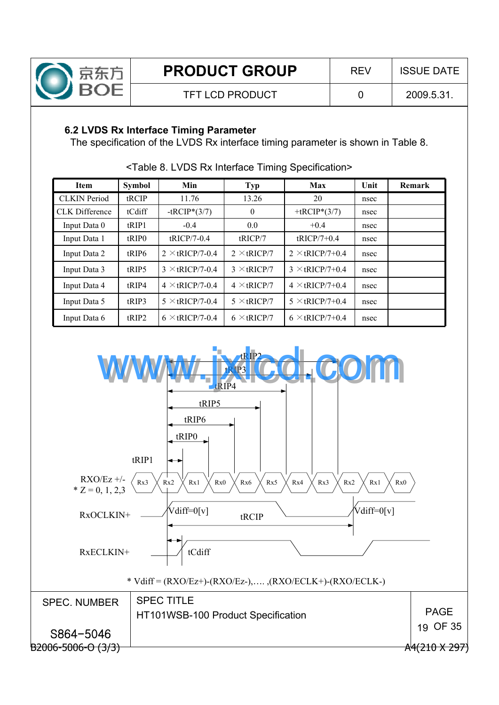

## **6.2 LVDS Rx Interface Timing Parameter**

The specification of the LVDS Rx interface timing parameter is shown in Table 8.

| <b>Item</b>           | <b>Symbol</b>     | Min                    | <b>Typ</b>         | Max                    | Unit | Remark |
|-----------------------|-------------------|------------------------|--------------------|------------------------|------|--------|
| <b>CLKIN</b> Period   | tRCIP             | 11.76                  | 13.26              | 20                     | nsec |        |
| <b>CLK</b> Difference | tCdiff            | $-tRCIP*(3/7)$         | 0                  | +tRCIP* $(3/7)$        | nsec |        |
| Input Data 0          | tRIP1             | $-0.4$                 | 0.0                | $+0.4$                 | nsec |        |
| Input Data 1          | tRIP <sub>0</sub> | tRICP/7-0.4            | tRICP/7            | $tRICP/7+0.4$          | nsec |        |
| Input Data 2          | tRIP <sub>6</sub> | $2 \times$ tRICP/7-0.4 | $2 \times tRICP/7$ | $2 \times tRICP/7+0.4$ | nsec |        |
| Input Data 3          | tRIP5             | $3 \times tRICP/7-0.4$ | $3 \times tRICP/7$ | $3 \times tRICP/7+0.4$ | nsec |        |
| Input Data 4          | tRIP4             | $4 \times$ tRICP/7-0.4 | $4 \times tRICP/7$ | $4 \times tRICP/7+0.4$ | nsec |        |
| Input Data 5          | tRIP3             | $5 \times$ tRICP/7-0.4 | $5 \times tRICP/7$ | $5 \times$ tRICP/7+0.4 | nsec |        |
| Input Data 6          | tRIP2             | $6 \times$ tRICP/7-0.4 | $6 \times$ tRICP/7 | $6 \times$ tRICP/7+0.4 | nsec |        |

<Table 8. LVDS Rx Interface Timing Specification>

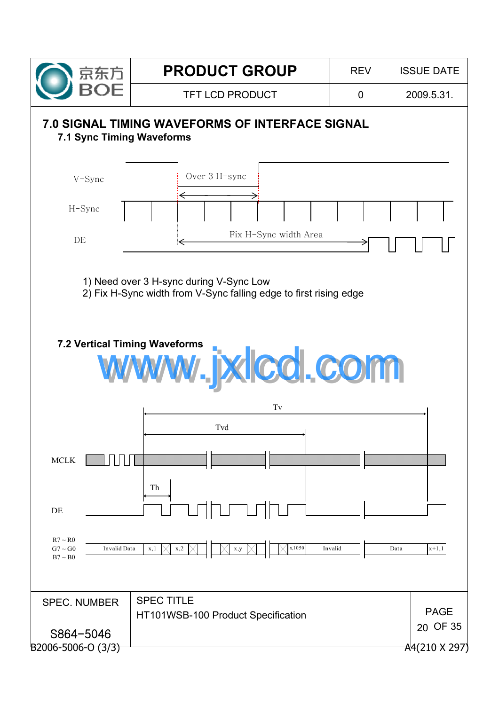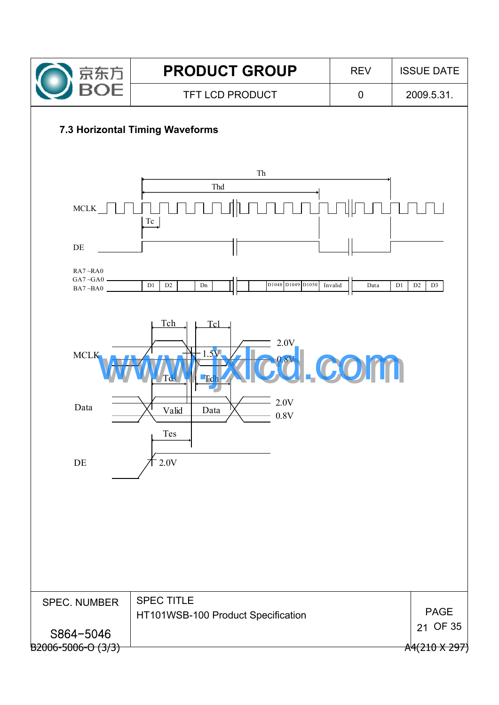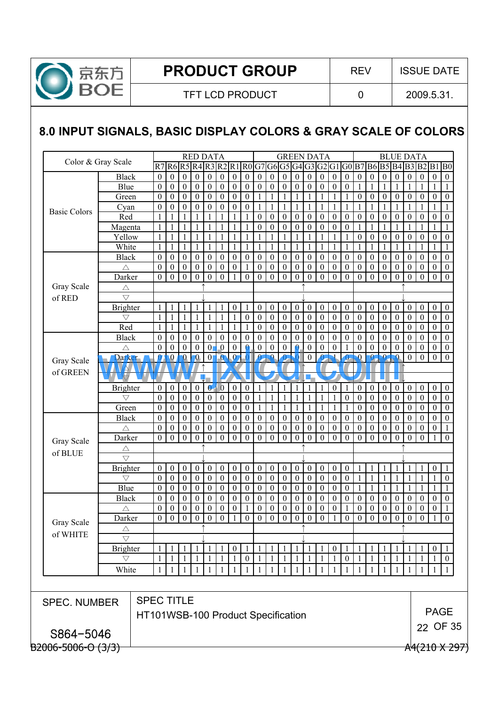

# **8.0 INPUT SIGNALS, BASIC DISPLAY COLORS & GRAY SCALE OF COLORS**

| Color & Gray Scale<br>R7R6R5R4R3R2R1<br>R0G7G6G5G4G3G2G1<br>G0 B7 B6 B5 B4 B3 B2 B1<br>$\mathbf{0}$<br>$\boldsymbol{0}$<br>$\boldsymbol{0}$<br>$\boldsymbol{0}$<br>$\boldsymbol{0}$<br>$\boldsymbol{0}$<br>$\boldsymbol{0}$<br>$\boldsymbol{0}$<br><b>Black</b><br>$\boldsymbol{0}$<br>$\boldsymbol{0}$<br>$\boldsymbol{0}$<br>$\boldsymbol{0}$<br>$\boldsymbol{0}$<br>$\boldsymbol{0}$<br>$\mathbf{0}$<br>$\boldsymbol{0}$<br>$\boldsymbol{0}$<br>$\mathbf{0}$<br>$\bf{0}$<br>$\boldsymbol{0}$<br>$\boldsymbol{0}$<br>$\boldsymbol{0}$<br>$\boldsymbol{0}$<br>$\boldsymbol{0}$<br>Blue<br>$\boldsymbol{0}$<br>$\boldsymbol{0}$<br>$\boldsymbol{0}$<br>$\boldsymbol{0}$<br>$\boldsymbol{0}$<br>$\boldsymbol{0}$<br>$\boldsymbol{0}$<br>$\boldsymbol{0}$<br>$\boldsymbol{0}$<br>$\theta$<br>$\boldsymbol{0}$<br>$\boldsymbol{0}$<br>$\boldsymbol{0}$<br>$\mathbf{0}$<br>$\boldsymbol{0}$<br>1<br>1<br>1<br>1<br>1<br>1<br>1<br>Green<br>$\theta$<br>$\boldsymbol{0}$<br>$\boldsymbol{0}$<br>$\overline{0}$<br>$\boldsymbol{0}$<br>$\mathbf{1}$<br>$\mathbf{0}$<br>$\boldsymbol{0}$<br>$\boldsymbol{0}$<br>$\boldsymbol{0}$<br>$\boldsymbol{0}$<br>$\theta$<br>$\overline{0}$<br>$\boldsymbol{0}$<br>$\mathbf{0}$<br>1<br>1<br>1<br>1<br>$\mathbf{1}$<br>$\mathbf{0}$<br>1<br>$\mathbf{1}$<br>$\mathbf{0}$<br>$\boldsymbol{0}$<br>$\boldsymbol{0}$<br>$\boldsymbol{0}$<br>$\boldsymbol{0}$<br>$\boldsymbol{0}$<br>$\boldsymbol{0}$<br>1<br>$\mathbf{1}$<br>$\mathbf{1}$<br>Cyan<br>$\boldsymbol{0}$<br>1<br>1<br>1<br>1<br>1<br>1<br>1<br>1<br>1<br>1<br>1<br><b>Basic Colors</b><br>Red<br>$\boldsymbol{0}$<br>$\boldsymbol{0}$<br>$\boldsymbol{0}$<br>$\boldsymbol{0}$<br>$\boldsymbol{0}$<br>$\boldsymbol{0}$<br>$\boldsymbol{0}$<br>$\boldsymbol{0}$<br>$\mathbf{0}$<br>$\boldsymbol{0}$<br>$\boldsymbol{0}$<br>$\boldsymbol{0}$<br>$\boldsymbol{0}$<br>$\theta$<br>1<br>1<br>1<br>1<br>1<br>-1<br>$\mathbf{0}$<br>1<br>$\mathbf{1}$<br>$\mathbf{1}$<br>$\mathbf{1}$<br>$\mathbf{1}$<br>$\mathbf{0}$<br>$\boldsymbol{0}$<br>$\boldsymbol{0}$<br>$\boldsymbol{0}$<br>$\boldsymbol{0}$<br>$\theta$<br>$\boldsymbol{0}$<br>Magenta<br>1<br>1<br>1<br>$\theta$<br>1<br>1<br>1<br>1<br>1<br>1<br>1<br>Yellow<br>$\mathbf{1}$<br>$\mathbf{1}$<br>$\mathbf{1}$<br>$\mathbf{1}$<br>$\mathbf{1}$<br>$\theta$<br>$\boldsymbol{0}$<br>$\boldsymbol{0}$<br>$\boldsymbol{0}$<br>$\boldsymbol{0}$<br>$\boldsymbol{0}$<br>$\theta$<br>1<br>1<br>1<br>1<br>1<br>1<br>1<br>1<br>1<br>1<br>1<br>White<br>$\mathbf{1}$<br>$\mathbf{1}$<br>$\mathbf{1}$<br>$\mathbf{1}$<br>$\mathbf{1}$<br>1<br>1<br>1<br>1<br>1<br>1<br>1<br>1<br>1<br>1<br>1<br>$\mathbf{1}$<br>1<br>1<br>1<br>1<br>1<br>1<br>$\boldsymbol{0}$<br><b>Black</b><br>$\theta$<br>$\mathbf{0}$<br>$\boldsymbol{0}$<br>$\boldsymbol{0}$<br>$\boldsymbol{0}$<br>$\boldsymbol{0}$<br>$\mathbf{0}$<br>$\boldsymbol{0}$<br>$\boldsymbol{0}$<br>$\boldsymbol{0}$<br>$\boldsymbol{0}$<br>$\boldsymbol{0}$<br>$\boldsymbol{0}$<br>$\mathbf{0}$<br>$\mathbf{0}$<br>$\boldsymbol{0}$<br>$\boldsymbol{0}$<br>$\boldsymbol{0}$<br>$\boldsymbol{0}$<br>$\theta$<br>$\boldsymbol{0}$<br>$\boldsymbol{0}$<br>$\mathbf{0}$<br>$\boldsymbol{0}$<br>$\boldsymbol{0}$<br>$\boldsymbol{0}$<br>$\boldsymbol{0}$<br>$\boldsymbol{0}$<br>$\boldsymbol{0}$<br>$\boldsymbol{0}$<br>$\boldsymbol{0}$<br>$\boldsymbol{0}$<br>$\boldsymbol{0}$<br>$\boldsymbol{0}$<br>$\boldsymbol{0}$<br>$\boldsymbol{0}$<br>$\theta$<br>$\boldsymbol{0}$<br>$\theta$<br>$\boldsymbol{0}$<br>$\mathbf{0}$<br>$\boldsymbol{0}$<br>$\boldsymbol{0}$<br>$\boldsymbol{0}$<br>-1<br>$\triangle$<br>$\mathbf{0}$<br>$\boldsymbol{0}$<br>$\mathbf{0}$<br>$\boldsymbol{0}$<br>$\boldsymbol{0}$<br>$\mathbf{0}$<br>$\mathbf{0}$<br>$\boldsymbol{0}$<br>$\mathbf{0}$<br>$\boldsymbol{0}$<br>$\mathbf{0}$<br>$\boldsymbol{0}$<br>$\mathbf{0}$<br>$\overline{0}$<br>$\theta$<br>$\mathbf{0}$<br>Darker<br>$\overline{0}$<br>$\mathbf{0}$<br>$\overline{1}$<br>$\mathbf{0}$<br>$\mathbf{0}$<br>$\overline{0}$<br>$\mathbf{0}$<br>Gray Scale<br>$\triangle$<br>$\bigtriangledown$<br>of RED<br>$\boldsymbol{0}$<br>$\boldsymbol{0}$<br>$\boldsymbol{0}$<br>$\boldsymbol{0}$<br>$\boldsymbol{0}$<br>$\boldsymbol{0}$<br><b>Brighter</b><br>1<br>$\mathbf{1}$<br>$\boldsymbol{0}$<br>$\boldsymbol{0}$<br>$\boldsymbol{0}$<br>$\boldsymbol{0}$<br>$\boldsymbol{0}$<br>$\boldsymbol{0}$<br>$\boldsymbol{0}$<br>$\boldsymbol{0}$<br>$\boldsymbol{0}$<br>$\boldsymbol{0}$<br>1<br>1<br>1<br>$\boldsymbol{0}$<br>$\boldsymbol{0}$<br>$\boldsymbol{0}$<br>1<br>$\mathbf{1}$<br>$\mathbf{1}$<br>$\mathbf{1}$<br>$\boldsymbol{0}$<br>$\boldsymbol{0}$<br>$\boldsymbol{0}$<br>$\boldsymbol{0}$<br>$\boldsymbol{0}$<br>$\boldsymbol{0}$<br>$\boldsymbol{0}$<br>$\boldsymbol{0}$<br>$\boldsymbol{0}$<br>$\boldsymbol{0}$<br>1<br>1<br>1<br>$\mathbf{0}$<br>$\mathbf{0}$<br>$\boldsymbol{0}$<br>$\bigtriangledown$<br>Red<br>$\boldsymbol{0}$<br>1<br>$\boldsymbol{0}$<br>$\boldsymbol{0}$<br>$\boldsymbol{0}$<br>$\boldsymbol{0}$<br>$\boldsymbol{0}$<br>$\boldsymbol{0}$<br>$\boldsymbol{0}$<br>1<br>1<br>1<br>1<br>1<br>-1<br>$\mathbf{0}$<br>$\boldsymbol{0}$<br>$\mathbf{0}$<br>$\mathbf{0}$<br>$\boldsymbol{0}$<br>$\boldsymbol{0}$<br>$\theta$<br>1<br><b>Black</b><br>$\theta$<br>$\mathbf{0}$<br>$\boldsymbol{0}$<br>$\overline{0}$<br>$\mathbf{0}$<br>$\boldsymbol{0}$<br>$\boldsymbol{0}$<br>$\theta$<br>$\boldsymbol{0}$<br>$\boldsymbol{0}$<br>$\overline{0}$<br>$\mathbf{0}$<br>$\boldsymbol{0}$<br>$\theta$<br>$\theta$<br>$\boldsymbol{0}$<br>$\mathbf{0}$<br>$\mathbf{0}$<br>$\boldsymbol{0}$<br>$\boldsymbol{0}$<br>$\boldsymbol{0}$<br>$\boldsymbol{0}$<br>$\theta$<br>$\boldsymbol{0}$<br>$\bullet$<br>$\boldsymbol{0}$<br>$\theta$<br>$\boldsymbol{0}$<br>$\boldsymbol{0}$<br>$\theta$<br>$\Omega$<br>$\mathbf{0}$<br>$\mathbf{0}$<br>$\overline{0}$<br>$\bf{0}$<br>$\theta$<br>$\overline{0}$<br>Ω<br>$\Omega$<br>$\mathbf{0}$<br>$\mathbf{0}$<br>$\boldsymbol{0}$<br>$\mathbf{0}$<br>$\boldsymbol{0}$<br>$\boldsymbol{0}$<br>Δ<br>$\overline{\mathbf{0}}$<br>$\overline{0}$<br>$\mathbf{0}$<br>$\mathbf{0}$<br>$\mathbf{0}$<br>Ω<br>$\boldsymbol{0}$<br>$\mathbf 0$<br>$\mathbf{0}$<br>$\overline{0}$<br>$\mathbf{0}$<br><b>Darker</b><br>$\bf{0}$<br>$\boldsymbol{0}$<br>$\overline{0}$<br>$\bf{0}$<br>$\boldsymbol{0}$<br>$\theta$<br>Ω<br>$\bf{0}$<br>Gray Scale<br>of GREEN<br>$\bigtriangledown$<br>$\boldsymbol{0}$<br>$\boldsymbol{0}$<br>$\boldsymbol{0}$<br>$\boldsymbol{0}$<br><b>Brighter</b><br>$\boldsymbol{0}$<br>$\boldsymbol{0}$<br>$\boldsymbol{0}$<br>$\bf{0}$<br>$\boldsymbol{0}$<br>$\boldsymbol{0}$<br>$\mathbf{1}$<br>$\mathbf{0}$<br>$\boldsymbol{0}$<br>$\boldsymbol{0}$<br>$\boldsymbol{0}$<br>$\boldsymbol{0}$<br>$\mathbf{0}$<br>1<br>1<br>1<br>1<br>1<br>$\theta$<br>$\boldsymbol{0}$<br>$\theta$<br>$\boldsymbol{0}$<br>$\mathbf{1}$<br>$\boldsymbol{0}$<br>$\boldsymbol{0}$<br>$\boldsymbol{0}$<br>$\overline{0}$<br>$\boldsymbol{0}$<br>$\boldsymbol{0}$<br>$\boldsymbol{0}$<br>1<br>1<br>1<br>$\boldsymbol{0}$<br>$\mathbf{0}$<br>$\mathbf{0}$<br>$\boldsymbol{0}$<br>$\boldsymbol{0}$<br>$\bigtriangledown$<br>1<br>1<br>1<br>Green<br>$\theta$<br>$\boldsymbol{0}$<br>$\boldsymbol{0}$<br>$\boldsymbol{0}$<br>$\overline{0}$<br>$\boldsymbol{0}$<br>$\mathbf{1}$<br>$\mathbf{1}$<br>$\boldsymbol{0}$<br>$\overline{0}$<br>$\boldsymbol{0}$<br>1<br>1<br>1<br>1<br>-1<br>$\mathbf{0}$<br>$\mathbf{0}$<br>$\boldsymbol{0}$<br>$\boldsymbol{0}$<br>$\boldsymbol{0}$<br>$\theta$<br>1<br><b>Black</b><br>$\mathbf{0}$<br>$\boldsymbol{0}$<br>$\boldsymbol{0}$<br>$\boldsymbol{0}$<br>$\boldsymbol{0}$<br>$\boldsymbol{0}$<br>$\boldsymbol{0}$<br>$\boldsymbol{0}$<br>$\boldsymbol{0}$<br>$\boldsymbol{0}$<br>$\boldsymbol{0}$<br>$\boldsymbol{0}$<br>$\boldsymbol{0}$<br>$\overline{0}$<br>$\boldsymbol{0}$<br>$\boldsymbol{0}$<br>$\mathbf{0}$<br>$\boldsymbol{0}$<br>$\boldsymbol{0}$<br>$\mathbf{0}$<br>$\boldsymbol{0}$<br>$\boldsymbol{0}$<br>$\theta$<br>$\mathbf{0}$<br>$\boldsymbol{0}$<br>$\boldsymbol{0}$<br>$\boldsymbol{0}$<br>$\boldsymbol{0}$<br>$\boldsymbol{0}$<br>$\boldsymbol{0}$<br>$\boldsymbol{0}$<br>$\boldsymbol{0}$<br>$\overline{0}$<br>$\boldsymbol{0}$<br>$\boldsymbol{0}$<br>$\boldsymbol{0}$<br>$\boldsymbol{0}$<br>$\boldsymbol{0}$<br>$\mathbf{0}$<br>$\boldsymbol{0}$<br>$\mathbf{0}$<br>$\boldsymbol{0}$<br>$\boldsymbol{0}$<br>$\boldsymbol{0}$<br>$\boldsymbol{0}$<br>$\boldsymbol{0}$<br>$\triangle$<br>$\boldsymbol{0}$<br>$\mathbf{0}$<br>$\boldsymbol{0}$<br>$\boldsymbol{0}$<br>$\boldsymbol{0}$<br>$\mathbf{0}$<br>$\boldsymbol{0}$<br>$\boldsymbol{0}$<br>$\boldsymbol{0}$<br>$\boldsymbol{0}$<br>$\boldsymbol{0}$<br>$\boldsymbol{0}$<br>$\boldsymbol{0}$<br>$\mathbf{0}$<br>$\boldsymbol{0}$<br>$\overline{0}$<br>$\mathbf{0}$<br>$\boldsymbol{0}$<br>$\overline{0}$<br>$\theta$<br>Darker<br>$\mathbf{0}$<br>$\mathbf{0}$<br>Gray Scale<br>Δ<br>of BLUE<br>$\bigtriangledown$<br>$\boldsymbol{0}$<br>$\boldsymbol{0}$<br>$\boldsymbol{0}$<br>$\boldsymbol{0}$<br>$\boldsymbol{0}$<br>$\boldsymbol{0}$<br>$\boldsymbol{0}$<br>$\boldsymbol{0}$<br><b>Brighter</b><br>$\boldsymbol{0}$<br>$\boldsymbol{0}$<br>$\boldsymbol{0}$<br>$\boldsymbol{0}$<br>$\boldsymbol{0}$<br>$\boldsymbol{0}$<br>$\boldsymbol{0}$<br>$\boldsymbol{0}$<br>$\boldsymbol{0}$<br>$\mathbf{1}$<br>$\mathbf{1}$<br>$\mathbf{1}$<br>1<br>1<br>1<br>1<br>$\boldsymbol{0}$<br>$\boldsymbol{0}$<br>$\boldsymbol{0}$<br>$\boldsymbol{0}$<br>$\boldsymbol{0}$<br>$\theta$<br>$\boldsymbol{0}$<br>$\boldsymbol{0}$<br>$\boldsymbol{0}$<br>$\boldsymbol{0}$<br>$\boldsymbol{0}$<br>$\boldsymbol{0}$<br>$\boldsymbol{0}$<br>$\boldsymbol{0}$<br>$\boldsymbol{0}$<br>1<br>1<br>1<br>$\mathbf{1}$<br>$\mathbf{0}$<br>1<br>1<br>-1<br>$\bigtriangledown$<br>Blue<br>$\boldsymbol{0}$<br>$\mathbf{0}$<br>$\boldsymbol{0}$<br>$\boldsymbol{0}$<br>$\boldsymbol{0}$<br>$\boldsymbol{0}$<br>$\boldsymbol{0}$<br>$\boldsymbol{0}$<br>$\boldsymbol{0}$<br>$\boldsymbol{0}$<br>$\boldsymbol{0}$<br>$\boldsymbol{0}$<br>$\boldsymbol{0}$<br>$\boldsymbol{0}$<br>$\mathbf{0}$<br>$\boldsymbol{0}$<br>1<br>1<br>1<br>1<br>1<br>1<br>1<br><b>Black</b><br>$\mathbf{0}$<br>$\boldsymbol{0}$<br>$\boldsymbol{0}$<br>$\boldsymbol{0}$<br>$\boldsymbol{0}$<br>$\boldsymbol{0}$<br>$\boldsymbol{0}$<br>$\boldsymbol{0}$<br>$\boldsymbol{0}$<br>$\boldsymbol{0}$<br>$\boldsymbol{0}$<br>$\boldsymbol{0}$<br>$\boldsymbol{0}$<br>$\mathbf{0}$<br>$\theta$<br>$\boldsymbol{0}$<br>$\boldsymbol{0}$<br>$\mathbf{0}$<br>$\boldsymbol{0}$<br>$\mathbf{0}$<br>$\mathbf{0}$<br>$\boldsymbol{0}$<br>$\boldsymbol{0}$<br>$\boldsymbol{0}$<br>$\boldsymbol{0}$<br>$\boldsymbol{0}$<br>$\boldsymbol{0}$<br>$\boldsymbol{0}$<br>$\boldsymbol{0}$<br>$\theta$<br>$\overline{0}$<br>$\boldsymbol{0}$<br>$\boldsymbol{0}$<br>$\boldsymbol{0}$<br>$\boldsymbol{0}$<br>$\mathbf{0}$<br>$\boldsymbol{0}$<br>$\mathbf{0}$<br>$\mathbf{0}$<br>$\boldsymbol{0}$<br>$\boldsymbol{0}$<br>$\boldsymbol{0}$<br>$\boldsymbol{0}$<br>$\boldsymbol{0}$<br>1<br>1<br>Δ<br>$\boldsymbol{0}$<br>$\boldsymbol{0}$<br>$\theta$<br>$\boldsymbol{0}$<br>$\boldsymbol{0}$<br>$\boldsymbol{0}$<br>$\boldsymbol{0}$<br>$\boldsymbol{0}$<br>$\theta$<br>$\boldsymbol{0}$<br>$\boldsymbol{0}$<br>$\boldsymbol{0}$<br>$\theta$<br>$\theta$<br>$\boldsymbol{0}$<br>$\boldsymbol{0}$<br>$\boldsymbol{0}$<br>$\boldsymbol{0}$<br>$\boldsymbol{0}$<br>Darker<br>$\mathbf{1}$<br>$\theta$<br>$\mathbf{1}$<br>Gray Scale<br>Δ<br>of WHITE<br>$\overline{\nabla}$<br><b>Brighter</b><br>$\bf{0}$<br>$\boldsymbol{0}$<br>$\boldsymbol{0}$<br>1<br>1<br>$\mathbf{1}$<br>$\mathbf{1}$<br>1<br>$\mathbf{1}$<br>$\mathbf{1}$<br>$\mathbf{1}$<br>$\vert$ 1<br>$\mathbf{1}$<br>1<br>1<br>$\mathbf{1}$<br>-1<br>$\mathbf{0}$<br>$\mathbf{1}$<br>-1<br>1<br>1<br>$\mathbf{1}$<br>-1<br>$\mathbf{1}$<br>-1<br>1<br>-1<br>$\mathbf{0}$<br>$\mathbf{1}$<br>-1<br>$\mathbf{1}$<br>-1<br>$\bigtriangledown$<br>1<br>1<br>-1<br>-1<br>1<br>White<br>$\mathbf{1}$<br>1<br>$\overline{1}$<br>$\mathbf{1}$<br>$\mathbf{1}$<br>$\overline{1}$<br>$\overline{1}$<br>$\mathbf{1}$<br>$\overline{1}$<br>$\mathbf{1}$<br>$\mathbf{1}$<br>$\mathbf{1}$<br>$\mathbf{1}$<br>$\mathbf{1}$<br>$\mathbf{1}$<br>$\mathbf{1}$<br>$\mathbf{1}$<br>$\mathbf{1}$<br>$\mathbf{1}$<br>1<br>$\overline{1}$<br>-1<br><b>SPEC TITLE</b><br><b>SPEC. NUMBER</b><br><b>PAGE</b><br>HT101WSB-100 Product Specification<br>22 OF 35<br>S864-5046 |  |  |  |  |  |  | <b>RED DATA</b> |  |  |  | <b>GREEN DATA</b> |  |  |  |  | <b>BLUE DATA</b> |  |                  |
|----------------------------------------------------------------------------------------------------------------------------------------------------------------------------------------------------------------------------------------------------------------------------------------------------------------------------------------------------------------------------------------------------------------------------------------------------------------------------------------------------------------------------------------------------------------------------------------------------------------------------------------------------------------------------------------------------------------------------------------------------------------------------------------------------------------------------------------------------------------------------------------------------------------------------------------------------------------------------------------------------------------------------------------------------------------------------------------------------------------------------------------------------------------------------------------------------------------------------------------------------------------------------------------------------------------------------------------------------------------------------------------------------------------------------------------------------------------------------------------------------------------------------------------------------------------------------------------------------------------------------------------------------------------------------------------------------------------------------------------------------------------------------------------------------------------------------------------------------------------------------------------------------------------------------------------------------------------------------------------------------------------------------------------------------------------------------------------------------------------------------------------------------------------------------------------------------------------------------------------------------------------------------------------------------------------------------------------------------------------------------------------------------------------------------------------------------------------------------------------------------------------------------------------------------------------------------------------------------------------------------------------------------------------------------------------------------------------------------------------------------------------------------------------------------------------------------------------------------------------------------------------------------------------------------------------------------------------------------------------------------------------------------------------------------------------------------------------------------------------------------------------------------------------------------------------------------------------------------------------------------------------------------------------------------------------------------------------------------------------------------------------------------------------------------------------------------------------------------------------------------------------------------------------------------------------------------------------------------------------------------------------------------------------------------------------------------------------------------------------------------------------------------------------------------------------------------------------------------------------------------------------------------------------------------------------------------------------------------------------------------------------------------------------------------------------------------------------------------------------------------------------------------------------------------------------------------------------------------------------------------------------------------------------------------------------------------------------------------------------------------------------------------------------------------------------------------------------------------------------------------------------------------------------------------------------------------------------------------------------------------------------------------------------------------------------------------------------------------------------------------------------------------------------------------------------------------------------------------------------------------------------------------------------------------------------------------------------------------------------------------------------------------------------------------------------------------------------------------------------------------------------------------------------------------------------------------------------------------------------------------------------------------------------------------------------------------------------------------------------------------------------------------------------------------------------------------------------------------------------------------------------------------------------------------------------------------------------------------------------------------------------------------------------------------------------------------------------------------------------------------------------------------------------------------------------------------------------------------------------------------------------------------------------------------------------------------------------------------------------------------------------------------------------------------------------------------------------------------------------------------------------------------------------------------------------------------------------------------------------------------------------------------------------------------------------------------------------------------------------------------------------------------------------------------------------------------------------------------------------------------------------------------------------------------------------------------------------------------------------------------------------------------------------------------------------------------------------------------------------------------------------------------------------------------------------------------------------------------------------------------------------------------------------------------------------------------------------------------------------------------------------------------------------------------------------------------------------------------------------------------------------------------------------------------------------------------------------------------------------------------------------------------------------------------------------------------------------------------------------------------------------------------------------------------------------------------------------------------------------------------------------------------------------------------------------------------------------------------------------------------------------------------------------------------------------------------------------------------------------------------------------------------------------------------------------------------------------------------------------------------------------------------------------------------------------------------------------------------------------------------------------------------------------------------------------------------------------------------------------------------------------------------------------------------------------------------------------------------------------------------------------------------------------------------------------------------------------------------------------------------------------------------------------------------------------------------------------------------------------------------------------------------------------------------------------------------------------------------------------------------------------------------------------------------------------------------------------------------------------------------------------------------------------------------------------------------------------------------------------------------------------------------------------------------------------------------------------------------------------------------------------------------------------------------------------------------------------------------------------------------------------------------------------------------------------------------------------------------------------------------------------------------------------------------------------------------------------------------------------------------------------------------------------------------------------------------------------------------------------------------------------------------------------------------------------------------------------------------------------------------------------------------------------------------------------------------------------------------------------------------------------------------------------------------------------------------------------------------------------------------------------------------------------------------------------------------------------------------------------------------------------------------------------------------------------------------------------------------------------------------------------------------------------------------------------------------------------------------------------------------------------------------------------------------------------------------------------------------------------------------------------------------------------------------------------------------------------------------------------------------------------------------------------------------------------------------------------------------------------------------------------------------------------------------------------------------------------------------------------------------------------------------------------------------------------------------------------------------------------------------------------------------------------------------------------------------------------------------------------------------------------------------------------------------------------------------------------------------------------------------------------------------------------------------------------------------------------------------------------------------------------------------------------------------------------------------------------------------------------------------------------------------------------------------------------------------------------------------------------------------------------------------------------------------------------------------------------------------------------------------------------------------------------------------------------------------------------------------------------------------------------------------------------------------------------------------------------------------------------------------------------------------------------------------------------------------------------------------------------------------------------------------------------------------------------------------------------------------------------------------------------------------------------------------------------------------------------------------------------------------------------------------------------------------------------------------------------------------------------------------------------------------------------------------------------------------------------------|--|--|--|--|--|--|-----------------|--|--|--|-------------------|--|--|--|--|------------------|--|------------------|
|                                                                                                                                                                                                                                                                                                                                                                                                                                                                                                                                                                                                                                                                                                                                                                                                                                                                                                                                                                                                                                                                                                                                                                                                                                                                                                                                                                                                                                                                                                                                                                                                                                                                                                                                                                                                                                                                                                                                                                                                                                                                                                                                                                                                                                                                                                                                                                                                                                                                                                                                                                                                                                                                                                                                                                                                                                                                                                                                                                                                                                                                                                                                                                                                                                                                                                                                                                                                                                                                                                                                                                                                                                                                                                                                                                                                                                                                                                                                                                                                                                                                                                                                                                                                                                                                                                                                                                                                                                                                                                                                                                                                                                                                                                                                                                                                                                                                                                                                                                                                                                                                                                                                                                                                                                                                                                                                                                                                                                                                                                                                                                                                                                                                                                                                                                                                                                                                                                                                                                                                                                                                                                                                                                                                                                                                                                                                                                                                                                                                                                                                                                                                                                                                                                                                                                                                                                                                                                                                                                                                                                                                                                                                                                                                                                                                                                                                                                                                                                                                                                                                                                                                                                                                                                                                                                                                                                                                                                                                                                                                                                                                                                                                                                                                                                                                                                                                                                                                                                                                                                                                                                                                                                                                                                                                                                                                                                                                                                                                                                                                                                                                                                                                                                                                                                                                                                                                                                                                                                                                                                                                                                                                                                                                                                                                                                                                                                                                                                                                                                                                                                                                                                                                                                                                                                                                                                                                                                                                                                                                                                                                                                                                                                                                                                                                                                                                                                                                                                                                                                                                                                                                                                                                                                                                                                                                                                                                                                                                                                                                                                                                                                                                                                                                                                                                                                                                                                                                                                                                                                                                                                                                                                                                                                                                                                                                                                                                                                                                                                                                      |  |  |  |  |  |  |                 |  |  |  |                   |  |  |  |  |                  |  | B <sub>0</sub>   |
|                                                                                                                                                                                                                                                                                                                                                                                                                                                                                                                                                                                                                                                                                                                                                                                                                                                                                                                                                                                                                                                                                                                                                                                                                                                                                                                                                                                                                                                                                                                                                                                                                                                                                                                                                                                                                                                                                                                                                                                                                                                                                                                                                                                                                                                                                                                                                                                                                                                                                                                                                                                                                                                                                                                                                                                                                                                                                                                                                                                                                                                                                                                                                                                                                                                                                                                                                                                                                                                                                                                                                                                                                                                                                                                                                                                                                                                                                                                                                                                                                                                                                                                                                                                                                                                                                                                                                                                                                                                                                                                                                                                                                                                                                                                                                                                                                                                                                                                                                                                                                                                                                                                                                                                                                                                                                                                                                                                                                                                                                                                                                                                                                                                                                                                                                                                                                                                                                                                                                                                                                                                                                                                                                                                                                                                                                                                                                                                                                                                                                                                                                                                                                                                                                                                                                                                                                                                                                                                                                                                                                                                                                                                                                                                                                                                                                                                                                                                                                                                                                                                                                                                                                                                                                                                                                                                                                                                                                                                                                                                                                                                                                                                                                                                                                                                                                                                                                                                                                                                                                                                                                                                                                                                                                                                                                                                                                                                                                                                                                                                                                                                                                                                                                                                                                                                                                                                                                                                                                                                                                                                                                                                                                                                                                                                                                                                                                                                                                                                                                                                                                                                                                                                                                                                                                                                                                                                                                                                                                                                                                                                                                                                                                                                                                                                                                                                                                                                                                                                                                                                                                                                                                                                                                                                                                                                                                                                                                                                                                                                                                                                                                                                                                                                                                                                                                                                                                                                                                                                                                                                                                                                                                                                                                                                                                                                                                                                                                                                                                                                                      |  |  |  |  |  |  |                 |  |  |  |                   |  |  |  |  |                  |  | $\boldsymbol{0}$ |
|                                                                                                                                                                                                                                                                                                                                                                                                                                                                                                                                                                                                                                                                                                                                                                                                                                                                                                                                                                                                                                                                                                                                                                                                                                                                                                                                                                                                                                                                                                                                                                                                                                                                                                                                                                                                                                                                                                                                                                                                                                                                                                                                                                                                                                                                                                                                                                                                                                                                                                                                                                                                                                                                                                                                                                                                                                                                                                                                                                                                                                                                                                                                                                                                                                                                                                                                                                                                                                                                                                                                                                                                                                                                                                                                                                                                                                                                                                                                                                                                                                                                                                                                                                                                                                                                                                                                                                                                                                                                                                                                                                                                                                                                                                                                                                                                                                                                                                                                                                                                                                                                                                                                                                                                                                                                                                                                                                                                                                                                                                                                                                                                                                                                                                                                                                                                                                                                                                                                                                                                                                                                                                                                                                                                                                                                                                                                                                                                                                                                                                                                                                                                                                                                                                                                                                                                                                                                                                                                                                                                                                                                                                                                                                                                                                                                                                                                                                                                                                                                                                                                                                                                                                                                                                                                                                                                                                                                                                                                                                                                                                                                                                                                                                                                                                                                                                                                                                                                                                                                                                                                                                                                                                                                                                                                                                                                                                                                                                                                                                                                                                                                                                                                                                                                                                                                                                                                                                                                                                                                                                                                                                                                                                                                                                                                                                                                                                                                                                                                                                                                                                                                                                                                                                                                                                                                                                                                                                                                                                                                                                                                                                                                                                                                                                                                                                                                                                                                                                                                                                                                                                                                                                                                                                                                                                                                                                                                                                                                                                                                                                                                                                                                                                                                                                                                                                                                                                                                                                                                                                                                                                                                                                                                                                                                                                                                                                                                                                                                                                                                      |  |  |  |  |  |  |                 |  |  |  |                   |  |  |  |  |                  |  |                  |
|                                                                                                                                                                                                                                                                                                                                                                                                                                                                                                                                                                                                                                                                                                                                                                                                                                                                                                                                                                                                                                                                                                                                                                                                                                                                                                                                                                                                                                                                                                                                                                                                                                                                                                                                                                                                                                                                                                                                                                                                                                                                                                                                                                                                                                                                                                                                                                                                                                                                                                                                                                                                                                                                                                                                                                                                                                                                                                                                                                                                                                                                                                                                                                                                                                                                                                                                                                                                                                                                                                                                                                                                                                                                                                                                                                                                                                                                                                                                                                                                                                                                                                                                                                                                                                                                                                                                                                                                                                                                                                                                                                                                                                                                                                                                                                                                                                                                                                                                                                                                                                                                                                                                                                                                                                                                                                                                                                                                                                                                                                                                                                                                                                                                                                                                                                                                                                                                                                                                                                                                                                                                                                                                                                                                                                                                                                                                                                                                                                                                                                                                                                                                                                                                                                                                                                                                                                                                                                                                                                                                                                                                                                                                                                                                                                                                                                                                                                                                                                                                                                                                                                                                                                                                                                                                                                                                                                                                                                                                                                                                                                                                                                                                                                                                                                                                                                                                                                                                                                                                                                                                                                                                                                                                                                                                                                                                                                                                                                                                                                                                                                                                                                                                                                                                                                                                                                                                                                                                                                                                                                                                                                                                                                                                                                                                                                                                                                                                                                                                                                                                                                                                                                                                                                                                                                                                                                                                                                                                                                                                                                                                                                                                                                                                                                                                                                                                                                                                                                                                                                                                                                                                                                                                                                                                                                                                                                                                                                                                                                                                                                                                                                                                                                                                                                                                                                                                                                                                                                                                                                                                                                                                                                                                                                                                                                                                                                                                                                                                                                                                      |  |  |  |  |  |  |                 |  |  |  |                   |  |  |  |  |                  |  | $\boldsymbol{0}$ |
|                                                                                                                                                                                                                                                                                                                                                                                                                                                                                                                                                                                                                                                                                                                                                                                                                                                                                                                                                                                                                                                                                                                                                                                                                                                                                                                                                                                                                                                                                                                                                                                                                                                                                                                                                                                                                                                                                                                                                                                                                                                                                                                                                                                                                                                                                                                                                                                                                                                                                                                                                                                                                                                                                                                                                                                                                                                                                                                                                                                                                                                                                                                                                                                                                                                                                                                                                                                                                                                                                                                                                                                                                                                                                                                                                                                                                                                                                                                                                                                                                                                                                                                                                                                                                                                                                                                                                                                                                                                                                                                                                                                                                                                                                                                                                                                                                                                                                                                                                                                                                                                                                                                                                                                                                                                                                                                                                                                                                                                                                                                                                                                                                                                                                                                                                                                                                                                                                                                                                                                                                                                                                                                                                                                                                                                                                                                                                                                                                                                                                                                                                                                                                                                                                                                                                                                                                                                                                                                                                                                                                                                                                                                                                                                                                                                                                                                                                                                                                                                                                                                                                                                                                                                                                                                                                                                                                                                                                                                                                                                                                                                                                                                                                                                                                                                                                                                                                                                                                                                                                                                                                                                                                                                                                                                                                                                                                                                                                                                                                                                                                                                                                                                                                                                                                                                                                                                                                                                                                                                                                                                                                                                                                                                                                                                                                                                                                                                                                                                                                                                                                                                                                                                                                                                                                                                                                                                                                                                                                                                                                                                                                                                                                                                                                                                                                                                                                                                                                                                                                                                                                                                                                                                                                                                                                                                                                                                                                                                                                                                                                                                                                                                                                                                                                                                                                                                                                                                                                                                                                                                                                                                                                                                                                                                                                                                                                                                                                                                                                                                                      |  |  |  |  |  |  |                 |  |  |  |                   |  |  |  |  |                  |  |                  |
|                                                                                                                                                                                                                                                                                                                                                                                                                                                                                                                                                                                                                                                                                                                                                                                                                                                                                                                                                                                                                                                                                                                                                                                                                                                                                                                                                                                                                                                                                                                                                                                                                                                                                                                                                                                                                                                                                                                                                                                                                                                                                                                                                                                                                                                                                                                                                                                                                                                                                                                                                                                                                                                                                                                                                                                                                                                                                                                                                                                                                                                                                                                                                                                                                                                                                                                                                                                                                                                                                                                                                                                                                                                                                                                                                                                                                                                                                                                                                                                                                                                                                                                                                                                                                                                                                                                                                                                                                                                                                                                                                                                                                                                                                                                                                                                                                                                                                                                                                                                                                                                                                                                                                                                                                                                                                                                                                                                                                                                                                                                                                                                                                                                                                                                                                                                                                                                                                                                                                                                                                                                                                                                                                                                                                                                                                                                                                                                                                                                                                                                                                                                                                                                                                                                                                                                                                                                                                                                                                                                                                                                                                                                                                                                                                                                                                                                                                                                                                                                                                                                                                                                                                                                                                                                                                                                                                                                                                                                                                                                                                                                                                                                                                                                                                                                                                                                                                                                                                                                                                                                                                                                                                                                                                                                                                                                                                                                                                                                                                                                                                                                                                                                                                                                                                                                                                                                                                                                                                                                                                                                                                                                                                                                                                                                                                                                                                                                                                                                                                                                                                                                                                                                                                                                                                                                                                                                                                                                                                                                                                                                                                                                                                                                                                                                                                                                                                                                                                                                                                                                                                                                                                                                                                                                                                                                                                                                                                                                                                                                                                                                                                                                                                                                                                                                                                                                                                                                                                                                                                                                                                                                                                                                                                                                                                                                                                                                                                                                                                                                                      |  |  |  |  |  |  |                 |  |  |  |                   |  |  |  |  |                  |  | 0                |
|                                                                                                                                                                                                                                                                                                                                                                                                                                                                                                                                                                                                                                                                                                                                                                                                                                                                                                                                                                                                                                                                                                                                                                                                                                                                                                                                                                                                                                                                                                                                                                                                                                                                                                                                                                                                                                                                                                                                                                                                                                                                                                                                                                                                                                                                                                                                                                                                                                                                                                                                                                                                                                                                                                                                                                                                                                                                                                                                                                                                                                                                                                                                                                                                                                                                                                                                                                                                                                                                                                                                                                                                                                                                                                                                                                                                                                                                                                                                                                                                                                                                                                                                                                                                                                                                                                                                                                                                                                                                                                                                                                                                                                                                                                                                                                                                                                                                                                                                                                                                                                                                                                                                                                                                                                                                                                                                                                                                                                                                                                                                                                                                                                                                                                                                                                                                                                                                                                                                                                                                                                                                                                                                                                                                                                                                                                                                                                                                                                                                                                                                                                                                                                                                                                                                                                                                                                                                                                                                                                                                                                                                                                                                                                                                                                                                                                                                                                                                                                                                                                                                                                                                                                                                                                                                                                                                                                                                                                                                                                                                                                                                                                                                                                                                                                                                                                                                                                                                                                                                                                                                                                                                                                                                                                                                                                                                                                                                                                                                                                                                                                                                                                                                                                                                                                                                                                                                                                                                                                                                                                                                                                                                                                                                                                                                                                                                                                                                                                                                                                                                                                                                                                                                                                                                                                                                                                                                                                                                                                                                                                                                                                                                                                                                                                                                                                                                                                                                                                                                                                                                                                                                                                                                                                                                                                                                                                                                                                                                                                                                                                                                                                                                                                                                                                                                                                                                                                                                                                                                                                                                                                                                                                                                                                                                                                                                                                                                                                                                                                                                      |  |  |  |  |  |  |                 |  |  |  |                   |  |  |  |  |                  |  |                  |
|                                                                                                                                                                                                                                                                                                                                                                                                                                                                                                                                                                                                                                                                                                                                                                                                                                                                                                                                                                                                                                                                                                                                                                                                                                                                                                                                                                                                                                                                                                                                                                                                                                                                                                                                                                                                                                                                                                                                                                                                                                                                                                                                                                                                                                                                                                                                                                                                                                                                                                                                                                                                                                                                                                                                                                                                                                                                                                                                                                                                                                                                                                                                                                                                                                                                                                                                                                                                                                                                                                                                                                                                                                                                                                                                                                                                                                                                                                                                                                                                                                                                                                                                                                                                                                                                                                                                                                                                                                                                                                                                                                                                                                                                                                                                                                                                                                                                                                                                                                                                                                                                                                                                                                                                                                                                                                                                                                                                                                                                                                                                                                                                                                                                                                                                                                                                                                                                                                                                                                                                                                                                                                                                                                                                                                                                                                                                                                                                                                                                                                                                                                                                                                                                                                                                                                                                                                                                                                                                                                                                                                                                                                                                                                                                                                                                                                                                                                                                                                                                                                                                                                                                                                                                                                                                                                                                                                                                                                                                                                                                                                                                                                                                                                                                                                                                                                                                                                                                                                                                                                                                                                                                                                                                                                                                                                                                                                                                                                                                                                                                                                                                                                                                                                                                                                                                                                                                                                                                                                                                                                                                                                                                                                                                                                                                                                                                                                                                                                                                                                                                                                                                                                                                                                                                                                                                                                                                                                                                                                                                                                                                                                                                                                                                                                                                                                                                                                                                                                                                                                                                                                                                                                                                                                                                                                                                                                                                                                                                                                                                                                                                                                                                                                                                                                                                                                                                                                                                                                                                                                                                                                                                                                                                                                                                                                                                                                                                                                                                                                                                      |  |  |  |  |  |  |                 |  |  |  |                   |  |  |  |  |                  |  | $\boldsymbol{0}$ |
|                                                                                                                                                                                                                                                                                                                                                                                                                                                                                                                                                                                                                                                                                                                                                                                                                                                                                                                                                                                                                                                                                                                                                                                                                                                                                                                                                                                                                                                                                                                                                                                                                                                                                                                                                                                                                                                                                                                                                                                                                                                                                                                                                                                                                                                                                                                                                                                                                                                                                                                                                                                                                                                                                                                                                                                                                                                                                                                                                                                                                                                                                                                                                                                                                                                                                                                                                                                                                                                                                                                                                                                                                                                                                                                                                                                                                                                                                                                                                                                                                                                                                                                                                                                                                                                                                                                                                                                                                                                                                                                                                                                                                                                                                                                                                                                                                                                                                                                                                                                                                                                                                                                                                                                                                                                                                                                                                                                                                                                                                                                                                                                                                                                                                                                                                                                                                                                                                                                                                                                                                                                                                                                                                                                                                                                                                                                                                                                                                                                                                                                                                                                                                                                                                                                                                                                                                                                                                                                                                                                                                                                                                                                                                                                                                                                                                                                                                                                                                                                                                                                                                                                                                                                                                                                                                                                                                                                                                                                                                                                                                                                                                                                                                                                                                                                                                                                                                                                                                                                                                                                                                                                                                                                                                                                                                                                                                                                                                                                                                                                                                                                                                                                                                                                                                                                                                                                                                                                                                                                                                                                                                                                                                                                                                                                                                                                                                                                                                                                                                                                                                                                                                                                                                                                                                                                                                                                                                                                                                                                                                                                                                                                                                                                                                                                                                                                                                                                                                                                                                                                                                                                                                                                                                                                                                                                                                                                                                                                                                                                                                                                                                                                                                                                                                                                                                                                                                                                                                                                                                                                                                                                                                                                                                                                                                                                                                                                                                                                                                                                                      |  |  |  |  |  |  |                 |  |  |  |                   |  |  |  |  |                  |  |                  |
|                                                                                                                                                                                                                                                                                                                                                                                                                                                                                                                                                                                                                                                                                                                                                                                                                                                                                                                                                                                                                                                                                                                                                                                                                                                                                                                                                                                                                                                                                                                                                                                                                                                                                                                                                                                                                                                                                                                                                                                                                                                                                                                                                                                                                                                                                                                                                                                                                                                                                                                                                                                                                                                                                                                                                                                                                                                                                                                                                                                                                                                                                                                                                                                                                                                                                                                                                                                                                                                                                                                                                                                                                                                                                                                                                                                                                                                                                                                                                                                                                                                                                                                                                                                                                                                                                                                                                                                                                                                                                                                                                                                                                                                                                                                                                                                                                                                                                                                                                                                                                                                                                                                                                                                                                                                                                                                                                                                                                                                                                                                                                                                                                                                                                                                                                                                                                                                                                                                                                                                                                                                                                                                                                                                                                                                                                                                                                                                                                                                                                                                                                                                                                                                                                                                                                                                                                                                                                                                                                                                                                                                                                                                                                                                                                                                                                                                                                                                                                                                                                                                                                                                                                                                                                                                                                                                                                                                                                                                                                                                                                                                                                                                                                                                                                                                                                                                                                                                                                                                                                                                                                                                                                                                                                                                                                                                                                                                                                                                                                                                                                                                                                                                                                                                                                                                                                                                                                                                                                                                                                                                                                                                                                                                                                                                                                                                                                                                                                                                                                                                                                                                                                                                                                                                                                                                                                                                                                                                                                                                                                                                                                                                                                                                                                                                                                                                                                                                                                                                                                                                                                                                                                                                                                                                                                                                                                                                                                                                                                                                                                                                                                                                                                                                                                                                                                                                                                                                                                                                                                                                                                                                                                                                                                                                                                                                                                                                                                                                                                                                                      |  |  |  |  |  |  |                 |  |  |  |                   |  |  |  |  |                  |  | 0                |
|                                                                                                                                                                                                                                                                                                                                                                                                                                                                                                                                                                                                                                                                                                                                                                                                                                                                                                                                                                                                                                                                                                                                                                                                                                                                                                                                                                                                                                                                                                                                                                                                                                                                                                                                                                                                                                                                                                                                                                                                                                                                                                                                                                                                                                                                                                                                                                                                                                                                                                                                                                                                                                                                                                                                                                                                                                                                                                                                                                                                                                                                                                                                                                                                                                                                                                                                                                                                                                                                                                                                                                                                                                                                                                                                                                                                                                                                                                                                                                                                                                                                                                                                                                                                                                                                                                                                                                                                                                                                                                                                                                                                                                                                                                                                                                                                                                                                                                                                                                                                                                                                                                                                                                                                                                                                                                                                                                                                                                                                                                                                                                                                                                                                                                                                                                                                                                                                                                                                                                                                                                                                                                                                                                                                                                                                                                                                                                                                                                                                                                                                                                                                                                                                                                                                                                                                                                                                                                                                                                                                                                                                                                                                                                                                                                                                                                                                                                                                                                                                                                                                                                                                                                                                                                                                                                                                                                                                                                                                                                                                                                                                                                                                                                                                                                                                                                                                                                                                                                                                                                                                                                                                                                                                                                                                                                                                                                                                                                                                                                                                                                                                                                                                                                                                                                                                                                                                                                                                                                                                                                                                                                                                                                                                                                                                                                                                                                                                                                                                                                                                                                                                                                                                                                                                                                                                                                                                                                                                                                                                                                                                                                                                                                                                                                                                                                                                                                                                                                                                                                                                                                                                                                                                                                                                                                                                                                                                                                                                                                                                                                                                                                                                                                                                                                                                                                                                                                                                                                                                                                                                                                                                                                                                                                                                                                                                                                                                                                                                                                                                      |  |  |  |  |  |  |                 |  |  |  |                   |  |  |  |  |                  |  | $\boldsymbol{0}$ |
|                                                                                                                                                                                                                                                                                                                                                                                                                                                                                                                                                                                                                                                                                                                                                                                                                                                                                                                                                                                                                                                                                                                                                                                                                                                                                                                                                                                                                                                                                                                                                                                                                                                                                                                                                                                                                                                                                                                                                                                                                                                                                                                                                                                                                                                                                                                                                                                                                                                                                                                                                                                                                                                                                                                                                                                                                                                                                                                                                                                                                                                                                                                                                                                                                                                                                                                                                                                                                                                                                                                                                                                                                                                                                                                                                                                                                                                                                                                                                                                                                                                                                                                                                                                                                                                                                                                                                                                                                                                                                                                                                                                                                                                                                                                                                                                                                                                                                                                                                                                                                                                                                                                                                                                                                                                                                                                                                                                                                                                                                                                                                                                                                                                                                                                                                                                                                                                                                                                                                                                                                                                                                                                                                                                                                                                                                                                                                                                                                                                                                                                                                                                                                                                                                                                                                                                                                                                                                                                                                                                                                                                                                                                                                                                                                                                                                                                                                                                                                                                                                                                                                                                                                                                                                                                                                                                                                                                                                                                                                                                                                                                                                                                                                                                                                                                                                                                                                                                                                                                                                                                                                                                                                                                                                                                                                                                                                                                                                                                                                                                                                                                                                                                                                                                                                                                                                                                                                                                                                                                                                                                                                                                                                                                                                                                                                                                                                                                                                                                                                                                                                                                                                                                                                                                                                                                                                                                                                                                                                                                                                                                                                                                                                                                                                                                                                                                                                                                                                                                                                                                                                                                                                                                                                                                                                                                                                                                                                                                                                                                                                                                                                                                                                                                                                                                                                                                                                                                                                                                                                                                                                                                                                                                                                                                                                                                                                                                                                                                                                                                                      |  |  |  |  |  |  |                 |  |  |  |                   |  |  |  |  |                  |  | $\theta$         |
|                                                                                                                                                                                                                                                                                                                                                                                                                                                                                                                                                                                                                                                                                                                                                                                                                                                                                                                                                                                                                                                                                                                                                                                                                                                                                                                                                                                                                                                                                                                                                                                                                                                                                                                                                                                                                                                                                                                                                                                                                                                                                                                                                                                                                                                                                                                                                                                                                                                                                                                                                                                                                                                                                                                                                                                                                                                                                                                                                                                                                                                                                                                                                                                                                                                                                                                                                                                                                                                                                                                                                                                                                                                                                                                                                                                                                                                                                                                                                                                                                                                                                                                                                                                                                                                                                                                                                                                                                                                                                                                                                                                                                                                                                                                                                                                                                                                                                                                                                                                                                                                                                                                                                                                                                                                                                                                                                                                                                                                                                                                                                                                                                                                                                                                                                                                                                                                                                                                                                                                                                                                                                                                                                                                                                                                                                                                                                                                                                                                                                                                                                                                                                                                                                                                                                                                                                                                                                                                                                                                                                                                                                                                                                                                                                                                                                                                                                                                                                                                                                                                                                                                                                                                                                                                                                                                                                                                                                                                                                                                                                                                                                                                                                                                                                                                                                                                                                                                                                                                                                                                                                                                                                                                                                                                                                                                                                                                                                                                                                                                                                                                                                                                                                                                                                                                                                                                                                                                                                                                                                                                                                                                                                                                                                                                                                                                                                                                                                                                                                                                                                                                                                                                                                                                                                                                                                                                                                                                                                                                                                                                                                                                                                                                                                                                                                                                                                                                                                                                                                                                                                                                                                                                                                                                                                                                                                                                                                                                                                                                                                                                                                                                                                                                                                                                                                                                                                                                                                                                                                                                                                                                                                                                                                                                                                                                                                                                                                                                                                                                                      |  |  |  |  |  |  |                 |  |  |  |                   |  |  |  |  |                  |  |                  |
|                                                                                                                                                                                                                                                                                                                                                                                                                                                                                                                                                                                                                                                                                                                                                                                                                                                                                                                                                                                                                                                                                                                                                                                                                                                                                                                                                                                                                                                                                                                                                                                                                                                                                                                                                                                                                                                                                                                                                                                                                                                                                                                                                                                                                                                                                                                                                                                                                                                                                                                                                                                                                                                                                                                                                                                                                                                                                                                                                                                                                                                                                                                                                                                                                                                                                                                                                                                                                                                                                                                                                                                                                                                                                                                                                                                                                                                                                                                                                                                                                                                                                                                                                                                                                                                                                                                                                                                                                                                                                                                                                                                                                                                                                                                                                                                                                                                                                                                                                                                                                                                                                                                                                                                                                                                                                                                                                                                                                                                                                                                                                                                                                                                                                                                                                                                                                                                                                                                                                                                                                                                                                                                                                                                                                                                                                                                                                                                                                                                                                                                                                                                                                                                                                                                                                                                                                                                                                                                                                                                                                                                                                                                                                                                                                                                                                                                                                                                                                                                                                                                                                                                                                                                                                                                                                                                                                                                                                                                                                                                                                                                                                                                                                                                                                                                                                                                                                                                                                                                                                                                                                                                                                                                                                                                                                                                                                                                                                                                                                                                                                                                                                                                                                                                                                                                                                                                                                                                                                                                                                                                                                                                                                                                                                                                                                                                                                                                                                                                                                                                                                                                                                                                                                                                                                                                                                                                                                                                                                                                                                                                                                                                                                                                                                                                                                                                                                                                                                                                                                                                                                                                                                                                                                                                                                                                                                                                                                                                                                                                                                                                                                                                                                                                                                                                                                                                                                                                                                                                                                                                                                                                                                                                                                                                                                                                                                                                                                                                                                                                                      |  |  |  |  |  |  |                 |  |  |  |                   |  |  |  |  |                  |  |                  |
|                                                                                                                                                                                                                                                                                                                                                                                                                                                                                                                                                                                                                                                                                                                                                                                                                                                                                                                                                                                                                                                                                                                                                                                                                                                                                                                                                                                                                                                                                                                                                                                                                                                                                                                                                                                                                                                                                                                                                                                                                                                                                                                                                                                                                                                                                                                                                                                                                                                                                                                                                                                                                                                                                                                                                                                                                                                                                                                                                                                                                                                                                                                                                                                                                                                                                                                                                                                                                                                                                                                                                                                                                                                                                                                                                                                                                                                                                                                                                                                                                                                                                                                                                                                                                                                                                                                                                                                                                                                                                                                                                                                                                                                                                                                                                                                                                                                                                                                                                                                                                                                                                                                                                                                                                                                                                                                                                                                                                                                                                                                                                                                                                                                                                                                                                                                                                                                                                                                                                                                                                                                                                                                                                                                                                                                                                                                                                                                                                                                                                                                                                                                                                                                                                                                                                                                                                                                                                                                                                                                                                                                                                                                                                                                                                                                                                                                                                                                                                                                                                                                                                                                                                                                                                                                                                                                                                                                                                                                                                                                                                                                                                                                                                                                                                                                                                                                                                                                                                                                                                                                                                                                                                                                                                                                                                                                                                                                                                                                                                                                                                                                                                                                                                                                                                                                                                                                                                                                                                                                                                                                                                                                                                                                                                                                                                                                                                                                                                                                                                                                                                                                                                                                                                                                                                                                                                                                                                                                                                                                                                                                                                                                                                                                                                                                                                                                                                                                                                                                                                                                                                                                                                                                                                                                                                                                                                                                                                                                                                                                                                                                                                                                                                                                                                                                                                                                                                                                                                                                                                                                                                                                                                                                                                                                                                                                                                                                                                                                                                                                                      |  |  |  |  |  |  |                 |  |  |  |                   |  |  |  |  |                  |  | $\boldsymbol{0}$ |
|                                                                                                                                                                                                                                                                                                                                                                                                                                                                                                                                                                                                                                                                                                                                                                                                                                                                                                                                                                                                                                                                                                                                                                                                                                                                                                                                                                                                                                                                                                                                                                                                                                                                                                                                                                                                                                                                                                                                                                                                                                                                                                                                                                                                                                                                                                                                                                                                                                                                                                                                                                                                                                                                                                                                                                                                                                                                                                                                                                                                                                                                                                                                                                                                                                                                                                                                                                                                                                                                                                                                                                                                                                                                                                                                                                                                                                                                                                                                                                                                                                                                                                                                                                                                                                                                                                                                                                                                                                                                                                                                                                                                                                                                                                                                                                                                                                                                                                                                                                                                                                                                                                                                                                                                                                                                                                                                                                                                                                                                                                                                                                                                                                                                                                                                                                                                                                                                                                                                                                                                                                                                                                                                                                                                                                                                                                                                                                                                                                                                                                                                                                                                                                                                                                                                                                                                                                                                                                                                                                                                                                                                                                                                                                                                                                                                                                                                                                                                                                                                                                                                                                                                                                                                                                                                                                                                                                                                                                                                                                                                                                                                                                                                                                                                                                                                                                                                                                                                                                                                                                                                                                                                                                                                                                                                                                                                                                                                                                                                                                                                                                                                                                                                                                                                                                                                                                                                                                                                                                                                                                                                                                                                                                                                                                                                                                                                                                                                                                                                                                                                                                                                                                                                                                                                                                                                                                                                                                                                                                                                                                                                                                                                                                                                                                                                                                                                                                                                                                                                                                                                                                                                                                                                                                                                                                                                                                                                                                                                                                                                                                                                                                                                                                                                                                                                                                                                                                                                                                                                                                                                                                                                                                                                                                                                                                                                                                                                                                                                                                                                      |  |  |  |  |  |  |                 |  |  |  |                   |  |  |  |  |                  |  | $\boldsymbol{0}$ |
|                                                                                                                                                                                                                                                                                                                                                                                                                                                                                                                                                                                                                                                                                                                                                                                                                                                                                                                                                                                                                                                                                                                                                                                                                                                                                                                                                                                                                                                                                                                                                                                                                                                                                                                                                                                                                                                                                                                                                                                                                                                                                                                                                                                                                                                                                                                                                                                                                                                                                                                                                                                                                                                                                                                                                                                                                                                                                                                                                                                                                                                                                                                                                                                                                                                                                                                                                                                                                                                                                                                                                                                                                                                                                                                                                                                                                                                                                                                                                                                                                                                                                                                                                                                                                                                                                                                                                                                                                                                                                                                                                                                                                                                                                                                                                                                                                                                                                                                                                                                                                                                                                                                                                                                                                                                                                                                                                                                                                                                                                                                                                                                                                                                                                                                                                                                                                                                                                                                                                                                                                                                                                                                                                                                                                                                                                                                                                                                                                                                                                                                                                                                                                                                                                                                                                                                                                                                                                                                                                                                                                                                                                                                                                                                                                                                                                                                                                                                                                                                                                                                                                                                                                                                                                                                                                                                                                                                                                                                                                                                                                                                                                                                                                                                                                                                                                                                                                                                                                                                                                                                                                                                                                                                                                                                                                                                                                                                                                                                                                                                                                                                                                                                                                                                                                                                                                                                                                                                                                                                                                                                                                                                                                                                                                                                                                                                                                                                                                                                                                                                                                                                                                                                                                                                                                                                                                                                                                                                                                                                                                                                                                                                                                                                                                                                                                                                                                                                                                                                                                                                                                                                                                                                                                                                                                                                                                                                                                                                                                                                                                                                                                                                                                                                                                                                                                                                                                                                                                                                                                                                                                                                                                                                                                                                                                                                                                                                                                                                                                                                                      |  |  |  |  |  |  |                 |  |  |  |                   |  |  |  |  |                  |  | 0                |
|                                                                                                                                                                                                                                                                                                                                                                                                                                                                                                                                                                                                                                                                                                                                                                                                                                                                                                                                                                                                                                                                                                                                                                                                                                                                                                                                                                                                                                                                                                                                                                                                                                                                                                                                                                                                                                                                                                                                                                                                                                                                                                                                                                                                                                                                                                                                                                                                                                                                                                                                                                                                                                                                                                                                                                                                                                                                                                                                                                                                                                                                                                                                                                                                                                                                                                                                                                                                                                                                                                                                                                                                                                                                                                                                                                                                                                                                                                                                                                                                                                                                                                                                                                                                                                                                                                                                                                                                                                                                                                                                                                                                                                                                                                                                                                                                                                                                                                                                                                                                                                                                                                                                                                                                                                                                                                                                                                                                                                                                                                                                                                                                                                                                                                                                                                                                                                                                                                                                                                                                                                                                                                                                                                                                                                                                                                                                                                                                                                                                                                                                                                                                                                                                                                                                                                                                                                                                                                                                                                                                                                                                                                                                                                                                                                                                                                                                                                                                                                                                                                                                                                                                                                                                                                                                                                                                                                                                                                                                                                                                                                                                                                                                                                                                                                                                                                                                                                                                                                                                                                                                                                                                                                                                                                                                                                                                                                                                                                                                                                                                                                                                                                                                                                                                                                                                                                                                                                                                                                                                                                                                                                                                                                                                                                                                                                                                                                                                                                                                                                                                                                                                                                                                                                                                                                                                                                                                                                                                                                                                                                                                                                                                                                                                                                                                                                                                                                                                                                                                                                                                                                                                                                                                                                                                                                                                                                                                                                                                                                                                                                                                                                                                                                                                                                                                                                                                                                                                                                                                                                                                                                                                                                                                                                                                                                                                                                                                                                                                                                                                      |  |  |  |  |  |  |                 |  |  |  |                   |  |  |  |  |                  |  | 0                |
|                                                                                                                                                                                                                                                                                                                                                                                                                                                                                                                                                                                                                                                                                                                                                                                                                                                                                                                                                                                                                                                                                                                                                                                                                                                                                                                                                                                                                                                                                                                                                                                                                                                                                                                                                                                                                                                                                                                                                                                                                                                                                                                                                                                                                                                                                                                                                                                                                                                                                                                                                                                                                                                                                                                                                                                                                                                                                                                                                                                                                                                                                                                                                                                                                                                                                                                                                                                                                                                                                                                                                                                                                                                                                                                                                                                                                                                                                                                                                                                                                                                                                                                                                                                                                                                                                                                                                                                                                                                                                                                                                                                                                                                                                                                                                                                                                                                                                                                                                                                                                                                                                                                                                                                                                                                                                                                                                                                                                                                                                                                                                                                                                                                                                                                                                                                                                                                                                                                                                                                                                                                                                                                                                                                                                                                                                                                                                                                                                                                                                                                                                                                                                                                                                                                                                                                                                                                                                                                                                                                                                                                                                                                                                                                                                                                                                                                                                                                                                                                                                                                                                                                                                                                                                                                                                                                                                                                                                                                                                                                                                                                                                                                                                                                                                                                                                                                                                                                                                                                                                                                                                                                                                                                                                                                                                                                                                                                                                                                                                                                                                                                                                                                                                                                                                                                                                                                                                                                                                                                                                                                                                                                                                                                                                                                                                                                                                                                                                                                                                                                                                                                                                                                                                                                                                                                                                                                                                                                                                                                                                                                                                                                                                                                                                                                                                                                                                                                                                                                                                                                                                                                                                                                                                                                                                                                                                                                                                                                                                                                                                                                                                                                                                                                                                                                                                                                                                                                                                                                                                                                                                                                                                                                                                                                                                                                                                                                                                                                                                                                                      |  |  |  |  |  |  |                 |  |  |  |                   |  |  |  |  |                  |  | 0                |
|                                                                                                                                                                                                                                                                                                                                                                                                                                                                                                                                                                                                                                                                                                                                                                                                                                                                                                                                                                                                                                                                                                                                                                                                                                                                                                                                                                                                                                                                                                                                                                                                                                                                                                                                                                                                                                                                                                                                                                                                                                                                                                                                                                                                                                                                                                                                                                                                                                                                                                                                                                                                                                                                                                                                                                                                                                                                                                                                                                                                                                                                                                                                                                                                                                                                                                                                                                                                                                                                                                                                                                                                                                                                                                                                                                                                                                                                                                                                                                                                                                                                                                                                                                                                                                                                                                                                                                                                                                                                                                                                                                                                                                                                                                                                                                                                                                                                                                                                                                                                                                                                                                                                                                                                                                                                                                                                                                                                                                                                                                                                                                                                                                                                                                                                                                                                                                                                                                                                                                                                                                                                                                                                                                                                                                                                                                                                                                                                                                                                                                                                                                                                                                                                                                                                                                                                                                                                                                                                                                                                                                                                                                                                                                                                                                                                                                                                                                                                                                                                                                                                                                                                                                                                                                                                                                                                                                                                                                                                                                                                                                                                                                                                                                                                                                                                                                                                                                                                                                                                                                                                                                                                                                                                                                                                                                                                                                                                                                                                                                                                                                                                                                                                                                                                                                                                                                                                                                                                                                                                                                                                                                                                                                                                                                                                                                                                                                                                                                                                                                                                                                                                                                                                                                                                                                                                                                                                                                                                                                                                                                                                                                                                                                                                                                                                                                                                                                                                                                                                                                                                                                                                                                                                                                                                                                                                                                                                                                                                                                                                                                                                                                                                                                                                                                                                                                                                                                                                                                                                                                                                                                                                                                                                                                                                                                                                                                                                                                                                                                                                      |  |  |  |  |  |  |                 |  |  |  |                   |  |  |  |  |                  |  | $\theta$         |
|                                                                                                                                                                                                                                                                                                                                                                                                                                                                                                                                                                                                                                                                                                                                                                                                                                                                                                                                                                                                                                                                                                                                                                                                                                                                                                                                                                                                                                                                                                                                                                                                                                                                                                                                                                                                                                                                                                                                                                                                                                                                                                                                                                                                                                                                                                                                                                                                                                                                                                                                                                                                                                                                                                                                                                                                                                                                                                                                                                                                                                                                                                                                                                                                                                                                                                                                                                                                                                                                                                                                                                                                                                                                                                                                                                                                                                                                                                                                                                                                                                                                                                                                                                                                                                                                                                                                                                                                                                                                                                                                                                                                                                                                                                                                                                                                                                                                                                                                                                                                                                                                                                                                                                                                                                                                                                                                                                                                                                                                                                                                                                                                                                                                                                                                                                                                                                                                                                                                                                                                                                                                                                                                                                                                                                                                                                                                                                                                                                                                                                                                                                                                                                                                                                                                                                                                                                                                                                                                                                                                                                                                                                                                                                                                                                                                                                                                                                                                                                                                                                                                                                                                                                                                                                                                                                                                                                                                                                                                                                                                                                                                                                                                                                                                                                                                                                                                                                                                                                                                                                                                                                                                                                                                                                                                                                                                                                                                                                                                                                                                                                                                                                                                                                                                                                                                                                                                                                                                                                                                                                                                                                                                                                                                                                                                                                                                                                                                                                                                                                                                                                                                                                                                                                                                                                                                                                                                                                                                                                                                                                                                                                                                                                                                                                                                                                                                                                                                                                                                                                                                                                                                                                                                                                                                                                                                                                                                                                                                                                                                                                                                                                                                                                                                                                                                                                                                                                                                                                                                                                                                                                                                                                                                                                                                                                                                                                                                                                                                                                                                      |  |  |  |  |  |  |                 |  |  |  |                   |  |  |  |  |                  |  |                  |
|                                                                                                                                                                                                                                                                                                                                                                                                                                                                                                                                                                                                                                                                                                                                                                                                                                                                                                                                                                                                                                                                                                                                                                                                                                                                                                                                                                                                                                                                                                                                                                                                                                                                                                                                                                                                                                                                                                                                                                                                                                                                                                                                                                                                                                                                                                                                                                                                                                                                                                                                                                                                                                                                                                                                                                                                                                                                                                                                                                                                                                                                                                                                                                                                                                                                                                                                                                                                                                                                                                                                                                                                                                                                                                                                                                                                                                                                                                                                                                                                                                                                                                                                                                                                                                                                                                                                                                                                                                                                                                                                                                                                                                                                                                                                                                                                                                                                                                                                                                                                                                                                                                                                                                                                                                                                                                                                                                                                                                                                                                                                                                                                                                                                                                                                                                                                                                                                                                                                                                                                                                                                                                                                                                                                                                                                                                                                                                                                                                                                                                                                                                                                                                                                                                                                                                                                                                                                                                                                                                                                                                                                                                                                                                                                                                                                                                                                                                                                                                                                                                                                                                                                                                                                                                                                                                                                                                                                                                                                                                                                                                                                                                                                                                                                                                                                                                                                                                                                                                                                                                                                                                                                                                                                                                                                                                                                                                                                                                                                                                                                                                                                                                                                                                                                                                                                                                                                                                                                                                                                                                                                                                                                                                                                                                                                                                                                                                                                                                                                                                                                                                                                                                                                                                                                                                                                                                                                                                                                                                                                                                                                                                                                                                                                                                                                                                                                                                                                                                                                                                                                                                                                                                                                                                                                                                                                                                                                                                                                                                                                                                                                                                                                                                                                                                                                                                                                                                                                                                                                                                                                                                                                                                                                                                                                                                                                                                                                                                                                                                                                      |  |  |  |  |  |  |                 |  |  |  |                   |  |  |  |  |                  |  |                  |
|                                                                                                                                                                                                                                                                                                                                                                                                                                                                                                                                                                                                                                                                                                                                                                                                                                                                                                                                                                                                                                                                                                                                                                                                                                                                                                                                                                                                                                                                                                                                                                                                                                                                                                                                                                                                                                                                                                                                                                                                                                                                                                                                                                                                                                                                                                                                                                                                                                                                                                                                                                                                                                                                                                                                                                                                                                                                                                                                                                                                                                                                                                                                                                                                                                                                                                                                                                                                                                                                                                                                                                                                                                                                                                                                                                                                                                                                                                                                                                                                                                                                                                                                                                                                                                                                                                                                                                                                                                                                                                                                                                                                                                                                                                                                                                                                                                                                                                                                                                                                                                                                                                                                                                                                                                                                                                                                                                                                                                                                                                                                                                                                                                                                                                                                                                                                                                                                                                                                                                                                                                                                                                                                                                                                                                                                                                                                                                                                                                                                                                                                                                                                                                                                                                                                                                                                                                                                                                                                                                                                                                                                                                                                                                                                                                                                                                                                                                                                                                                                                                                                                                                                                                                                                                                                                                                                                                                                                                                                                                                                                                                                                                                                                                                                                                                                                                                                                                                                                                                                                                                                                                                                                                                                                                                                                                                                                                                                                                                                                                                                                                                                                                                                                                                                                                                                                                                                                                                                                                                                                                                                                                                                                                                                                                                                                                                                                                                                                                                                                                                                                                                                                                                                                                                                                                                                                                                                                                                                                                                                                                                                                                                                                                                                                                                                                                                                                                                                                                                                                                                                                                                                                                                                                                                                                                                                                                                                                                                                                                                                                                                                                                                                                                                                                                                                                                                                                                                                                                                                                                                                                                                                                                                                                                                                                                                                                                                                                                                                                                                                      |  |  |  |  |  |  |                 |  |  |  |                   |  |  |  |  |                  |  | $\boldsymbol{0}$ |
|                                                                                                                                                                                                                                                                                                                                                                                                                                                                                                                                                                                                                                                                                                                                                                                                                                                                                                                                                                                                                                                                                                                                                                                                                                                                                                                                                                                                                                                                                                                                                                                                                                                                                                                                                                                                                                                                                                                                                                                                                                                                                                                                                                                                                                                                                                                                                                                                                                                                                                                                                                                                                                                                                                                                                                                                                                                                                                                                                                                                                                                                                                                                                                                                                                                                                                                                                                                                                                                                                                                                                                                                                                                                                                                                                                                                                                                                                                                                                                                                                                                                                                                                                                                                                                                                                                                                                                                                                                                                                                                                                                                                                                                                                                                                                                                                                                                                                                                                                                                                                                                                                                                                                                                                                                                                                                                                                                                                                                                                                                                                                                                                                                                                                                                                                                                                                                                                                                                                                                                                                                                                                                                                                                                                                                                                                                                                                                                                                                                                                                                                                                                                                                                                                                                                                                                                                                                                                                                                                                                                                                                                                                                                                                                                                                                                                                                                                                                                                                                                                                                                                                                                                                                                                                                                                                                                                                                                                                                                                                                                                                                                                                                                                                                                                                                                                                                                                                                                                                                                                                                                                                                                                                                                                                                                                                                                                                                                                                                                                                                                                                                                                                                                                                                                                                                                                                                                                                                                                                                                                                                                                                                                                                                                                                                                                                                                                                                                                                                                                                                                                                                                                                                                                                                                                                                                                                                                                                                                                                                                                                                                                                                                                                                                                                                                                                                                                                                                                                                                                                                                                                                                                                                                                                                                                                                                                                                                                                                                                                                                                                                                                                                                                                                                                                                                                                                                                                                                                                                                                                                                                                                                                                                                                                                                                                                                                                                                                                                                                                                                      |  |  |  |  |  |  |                 |  |  |  |                   |  |  |  |  |                  |  | $\boldsymbol{0}$ |
|                                                                                                                                                                                                                                                                                                                                                                                                                                                                                                                                                                                                                                                                                                                                                                                                                                                                                                                                                                                                                                                                                                                                                                                                                                                                                                                                                                                                                                                                                                                                                                                                                                                                                                                                                                                                                                                                                                                                                                                                                                                                                                                                                                                                                                                                                                                                                                                                                                                                                                                                                                                                                                                                                                                                                                                                                                                                                                                                                                                                                                                                                                                                                                                                                                                                                                                                                                                                                                                                                                                                                                                                                                                                                                                                                                                                                                                                                                                                                                                                                                                                                                                                                                                                                                                                                                                                                                                                                                                                                                                                                                                                                                                                                                                                                                                                                                                                                                                                                                                                                                                                                                                                                                                                                                                                                                                                                                                                                                                                                                                                                                                                                                                                                                                                                                                                                                                                                                                                                                                                                                                                                                                                                                                                                                                                                                                                                                                                                                                                                                                                                                                                                                                                                                                                                                                                                                                                                                                                                                                                                                                                                                                                                                                                                                                                                                                                                                                                                                                                                                                                                                                                                                                                                                                                                                                                                                                                                                                                                                                                                                                                                                                                                                                                                                                                                                                                                                                                                                                                                                                                                                                                                                                                                                                                                                                                                                                                                                                                                                                                                                                                                                                                                                                                                                                                                                                                                                                                                                                                                                                                                                                                                                                                                                                                                                                                                                                                                                                                                                                                                                                                                                                                                                                                                                                                                                                                                                                                                                                                                                                                                                                                                                                                                                                                                                                                                                                                                                                                                                                                                                                                                                                                                                                                                                                                                                                                                                                                                                                                                                                                                                                                                                                                                                                                                                                                                                                                                                                                                                                                                                                                                                                                                                                                                                                                                                                                                                                                                                                                      |  |  |  |  |  |  |                 |  |  |  |                   |  |  |  |  |                  |  | $\boldsymbol{0}$ |
|                                                                                                                                                                                                                                                                                                                                                                                                                                                                                                                                                                                                                                                                                                                                                                                                                                                                                                                                                                                                                                                                                                                                                                                                                                                                                                                                                                                                                                                                                                                                                                                                                                                                                                                                                                                                                                                                                                                                                                                                                                                                                                                                                                                                                                                                                                                                                                                                                                                                                                                                                                                                                                                                                                                                                                                                                                                                                                                                                                                                                                                                                                                                                                                                                                                                                                                                                                                                                                                                                                                                                                                                                                                                                                                                                                                                                                                                                                                                                                                                                                                                                                                                                                                                                                                                                                                                                                                                                                                                                                                                                                                                                                                                                                                                                                                                                                                                                                                                                                                                                                                                                                                                                                                                                                                                                                                                                                                                                                                                                                                                                                                                                                                                                                                                                                                                                                                                                                                                                                                                                                                                                                                                                                                                                                                                                                                                                                                                                                                                                                                                                                                                                                                                                                                                                                                                                                                                                                                                                                                                                                                                                                                                                                                                                                                                                                                                                                                                                                                                                                                                                                                                                                                                                                                                                                                                                                                                                                                                                                                                                                                                                                                                                                                                                                                                                                                                                                                                                                                                                                                                                                                                                                                                                                                                                                                                                                                                                                                                                                                                                                                                                                                                                                                                                                                                                                                                                                                                                                                                                                                                                                                                                                                                                                                                                                                                                                                                                                                                                                                                                                                                                                                                                                                                                                                                                                                                                                                                                                                                                                                                                                                                                                                                                                                                                                                                                                                                                                                                                                                                                                                                                                                                                                                                                                                                                                                                                                                                                                                                                                                                                                                                                                                                                                                                                                                                                                                                                                                                                                                                                                                                                                                                                                                                                                                                                                                                                                                                                                                                      |  |  |  |  |  |  |                 |  |  |  |                   |  |  |  |  |                  |  | 0                |
|                                                                                                                                                                                                                                                                                                                                                                                                                                                                                                                                                                                                                                                                                                                                                                                                                                                                                                                                                                                                                                                                                                                                                                                                                                                                                                                                                                                                                                                                                                                                                                                                                                                                                                                                                                                                                                                                                                                                                                                                                                                                                                                                                                                                                                                                                                                                                                                                                                                                                                                                                                                                                                                                                                                                                                                                                                                                                                                                                                                                                                                                                                                                                                                                                                                                                                                                                                                                                                                                                                                                                                                                                                                                                                                                                                                                                                                                                                                                                                                                                                                                                                                                                                                                                                                                                                                                                                                                                                                                                                                                                                                                                                                                                                                                                                                                                                                                                                                                                                                                                                                                                                                                                                                                                                                                                                                                                                                                                                                                                                                                                                                                                                                                                                                                                                                                                                                                                                                                                                                                                                                                                                                                                                                                                                                                                                                                                                                                                                                                                                                                                                                                                                                                                                                                                                                                                                                                                                                                                                                                                                                                                                                                                                                                                                                                                                                                                                                                                                                                                                                                                                                                                                                                                                                                                                                                                                                                                                                                                                                                                                                                                                                                                                                                                                                                                                                                                                                                                                                                                                                                                                                                                                                                                                                                                                                                                                                                                                                                                                                                                                                                                                                                                                                                                                                                                                                                                                                                                                                                                                                                                                                                                                                                                                                                                                                                                                                                                                                                                                                                                                                                                                                                                                                                                                                                                                                                                                                                                                                                                                                                                                                                                                                                                                                                                                                                                                                                                                                                                                                                                                                                                                                                                                                                                                                                                                                                                                                                                                                                                                                                                                                                                                                                                                                                                                                                                                                                                                                                                                                                                                                                                                                                                                                                                                                                                                                                                                                                                                                                      |  |  |  |  |  |  |                 |  |  |  |                   |  |  |  |  |                  |  |                  |
|                                                                                                                                                                                                                                                                                                                                                                                                                                                                                                                                                                                                                                                                                                                                                                                                                                                                                                                                                                                                                                                                                                                                                                                                                                                                                                                                                                                                                                                                                                                                                                                                                                                                                                                                                                                                                                                                                                                                                                                                                                                                                                                                                                                                                                                                                                                                                                                                                                                                                                                                                                                                                                                                                                                                                                                                                                                                                                                                                                                                                                                                                                                                                                                                                                                                                                                                                                                                                                                                                                                                                                                                                                                                                                                                                                                                                                                                                                                                                                                                                                                                                                                                                                                                                                                                                                                                                                                                                                                                                                                                                                                                                                                                                                                                                                                                                                                                                                                                                                                                                                                                                                                                                                                                                                                                                                                                                                                                                                                                                                                                                                                                                                                                                                                                                                                                                                                                                                                                                                                                                                                                                                                                                                                                                                                                                                                                                                                                                                                                                                                                                                                                                                                                                                                                                                                                                                                                                                                                                                                                                                                                                                                                                                                                                                                                                                                                                                                                                                                                                                                                                                                                                                                                                                                                                                                                                                                                                                                                                                                                                                                                                                                                                                                                                                                                                                                                                                                                                                                                                                                                                                                                                                                                                                                                                                                                                                                                                                                                                                                                                                                                                                                                                                                                                                                                                                                                                                                                                                                                                                                                                                                                                                                                                                                                                                                                                                                                                                                                                                                                                                                                                                                                                                                                                                                                                                                                                                                                                                                                                                                                                                                                                                                                                                                                                                                                                                                                                                                                                                                                                                                                                                                                                                                                                                                                                                                                                                                                                                                                                                                                                                                                                                                                                                                                                                                                                                                                                                                                                                                                                                                                                                                                                                                                                                                                                                                                                                                                                                                                      |  |  |  |  |  |  |                 |  |  |  |                   |  |  |  |  |                  |  | $\theta$         |
|                                                                                                                                                                                                                                                                                                                                                                                                                                                                                                                                                                                                                                                                                                                                                                                                                                                                                                                                                                                                                                                                                                                                                                                                                                                                                                                                                                                                                                                                                                                                                                                                                                                                                                                                                                                                                                                                                                                                                                                                                                                                                                                                                                                                                                                                                                                                                                                                                                                                                                                                                                                                                                                                                                                                                                                                                                                                                                                                                                                                                                                                                                                                                                                                                                                                                                                                                                                                                                                                                                                                                                                                                                                                                                                                                                                                                                                                                                                                                                                                                                                                                                                                                                                                                                                                                                                                                                                                                                                                                                                                                                                                                                                                                                                                                                                                                                                                                                                                                                                                                                                                                                                                                                                                                                                                                                                                                                                                                                                                                                                                                                                                                                                                                                                                                                                                                                                                                                                                                                                                                                                                                                                                                                                                                                                                                                                                                                                                                                                                                                                                                                                                                                                                                                                                                                                                                                                                                                                                                                                                                                                                                                                                                                                                                                                                                                                                                                                                                                                                                                                                                                                                                                                                                                                                                                                                                                                                                                                                                                                                                                                                                                                                                                                                                                                                                                                                                                                                                                                                                                                                                                                                                                                                                                                                                                                                                                                                                                                                                                                                                                                                                                                                                                                                                                                                                                                                                                                                                                                                                                                                                                                                                                                                                                                                                                                                                                                                                                                                                                                                                                                                                                                                                                                                                                                                                                                                                                                                                                                                                                                                                                                                                                                                                                                                                                                                                                                                                                                                                                                                                                                                                                                                                                                                                                                                                                                                                                                                                                                                                                                                                                                                                                                                                                                                                                                                                                                                                                                                                                                                                                                                                                                                                                                                                                                                                                                                                                                                                                                                      |  |  |  |  |  |  |                 |  |  |  |                   |  |  |  |  |                  |  |                  |
|                                                                                                                                                                                                                                                                                                                                                                                                                                                                                                                                                                                                                                                                                                                                                                                                                                                                                                                                                                                                                                                                                                                                                                                                                                                                                                                                                                                                                                                                                                                                                                                                                                                                                                                                                                                                                                                                                                                                                                                                                                                                                                                                                                                                                                                                                                                                                                                                                                                                                                                                                                                                                                                                                                                                                                                                                                                                                                                                                                                                                                                                                                                                                                                                                                                                                                                                                                                                                                                                                                                                                                                                                                                                                                                                                                                                                                                                                                                                                                                                                                                                                                                                                                                                                                                                                                                                                                                                                                                                                                                                                                                                                                                                                                                                                                                                                                                                                                                                                                                                                                                                                                                                                                                                                                                                                                                                                                                                                                                                                                                                                                                                                                                                                                                                                                                                                                                                                                                                                                                                                                                                                                                                                                                                                                                                                                                                                                                                                                                                                                                                                                                                                                                                                                                                                                                                                                                                                                                                                                                                                                                                                                                                                                                                                                                                                                                                                                                                                                                                                                                                                                                                                                                                                                                                                                                                                                                                                                                                                                                                                                                                                                                                                                                                                                                                                                                                                                                                                                                                                                                                                                                                                                                                                                                                                                                                                                                                                                                                                                                                                                                                                                                                                                                                                                                                                                                                                                                                                                                                                                                                                                                                                                                                                                                                                                                                                                                                                                                                                                                                                                                                                                                                                                                                                                                                                                                                                                                                                                                                                                                                                                                                                                                                                                                                                                                                                                                                                                                                                                                                                                                                                                                                                                                                                                                                                                                                                                                                                                                                                                                                                                                                                                                                                                                                                                                                                                                                                                                                                                                                                                                                                                                                                                                                                                                                                                                                                                                                                                                                      |  |  |  |  |  |  |                 |  |  |  |                   |  |  |  |  |                  |  |                  |
|                                                                                                                                                                                                                                                                                                                                                                                                                                                                                                                                                                                                                                                                                                                                                                                                                                                                                                                                                                                                                                                                                                                                                                                                                                                                                                                                                                                                                                                                                                                                                                                                                                                                                                                                                                                                                                                                                                                                                                                                                                                                                                                                                                                                                                                                                                                                                                                                                                                                                                                                                                                                                                                                                                                                                                                                                                                                                                                                                                                                                                                                                                                                                                                                                                                                                                                                                                                                                                                                                                                                                                                                                                                                                                                                                                                                                                                                                                                                                                                                                                                                                                                                                                                                                                                                                                                                                                                                                                                                                                                                                                                                                                                                                                                                                                                                                                                                                                                                                                                                                                                                                                                                                                                                                                                                                                                                                                                                                                                                                                                                                                                                                                                                                                                                                                                                                                                                                                                                                                                                                                                                                                                                                                                                                                                                                                                                                                                                                                                                                                                                                                                                                                                                                                                                                                                                                                                                                                                                                                                                                                                                                                                                                                                                                                                                                                                                                                                                                                                                                                                                                                                                                                                                                                                                                                                                                                                                                                                                                                                                                                                                                                                                                                                                                                                                                                                                                                                                                                                                                                                                                                                                                                                                                                                                                                                                                                                                                                                                                                                                                                                                                                                                                                                                                                                                                                                                                                                                                                                                                                                                                                                                                                                                                                                                                                                                                                                                                                                                                                                                                                                                                                                                                                                                                                                                                                                                                                                                                                                                                                                                                                                                                                                                                                                                                                                                                                                                                                                                                                                                                                                                                                                                                                                                                                                                                                                                                                                                                                                                                                                                                                                                                                                                                                                                                                                                                                                                                                                                                                                                                                                                                                                                                                                                                                                                                                                                                                                                                                                                      |  |  |  |  |  |  |                 |  |  |  |                   |  |  |  |  |                  |  |                  |
|                                                                                                                                                                                                                                                                                                                                                                                                                                                                                                                                                                                                                                                                                                                                                                                                                                                                                                                                                                                                                                                                                                                                                                                                                                                                                                                                                                                                                                                                                                                                                                                                                                                                                                                                                                                                                                                                                                                                                                                                                                                                                                                                                                                                                                                                                                                                                                                                                                                                                                                                                                                                                                                                                                                                                                                                                                                                                                                                                                                                                                                                                                                                                                                                                                                                                                                                                                                                                                                                                                                                                                                                                                                                                                                                                                                                                                                                                                                                                                                                                                                                                                                                                                                                                                                                                                                                                                                                                                                                                                                                                                                                                                                                                                                                                                                                                                                                                                                                                                                                                                                                                                                                                                                                                                                                                                                                                                                                                                                                                                                                                                                                                                                                                                                                                                                                                                                                                                                                                                                                                                                                                                                                                                                                                                                                                                                                                                                                                                                                                                                                                                                                                                                                                                                                                                                                                                                                                                                                                                                                                                                                                                                                                                                                                                                                                                                                                                                                                                                                                                                                                                                                                                                                                                                                                                                                                                                                                                                                                                                                                                                                                                                                                                                                                                                                                                                                                                                                                                                                                                                                                                                                                                                                                                                                                                                                                                                                                                                                                                                                                                                                                                                                                                                                                                                                                                                                                                                                                                                                                                                                                                                                                                                                                                                                                                                                                                                                                                                                                                                                                                                                                                                                                                                                                                                                                                                                                                                                                                                                                                                                                                                                                                                                                                                                                                                                                                                                                                                                                                                                                                                                                                                                                                                                                                                                                                                                                                                                                                                                                                                                                                                                                                                                                                                                                                                                                                                                                                                                                                                                                                                                                                                                                                                                                                                                                                                                                                                                                                                                      |  |  |  |  |  |  |                 |  |  |  |                   |  |  |  |  |                  |  | $\boldsymbol{0}$ |
|                                                                                                                                                                                                                                                                                                                                                                                                                                                                                                                                                                                                                                                                                                                                                                                                                                                                                                                                                                                                                                                                                                                                                                                                                                                                                                                                                                                                                                                                                                                                                                                                                                                                                                                                                                                                                                                                                                                                                                                                                                                                                                                                                                                                                                                                                                                                                                                                                                                                                                                                                                                                                                                                                                                                                                                                                                                                                                                                                                                                                                                                                                                                                                                                                                                                                                                                                                                                                                                                                                                                                                                                                                                                                                                                                                                                                                                                                                                                                                                                                                                                                                                                                                                                                                                                                                                                                                                                                                                                                                                                                                                                                                                                                                                                                                                                                                                                                                                                                                                                                                                                                                                                                                                                                                                                                                                                                                                                                                                                                                                                                                                                                                                                                                                                                                                                                                                                                                                                                                                                                                                                                                                                                                                                                                                                                                                                                                                                                                                                                                                                                                                                                                                                                                                                                                                                                                                                                                                                                                                                                                                                                                                                                                                                                                                                                                                                                                                                                                                                                                                                                                                                                                                                                                                                                                                                                                                                                                                                                                                                                                                                                                                                                                                                                                                                                                                                                                                                                                                                                                                                                                                                                                                                                                                                                                                                                                                                                                                                                                                                                                                                                                                                                                                                                                                                                                                                                                                                                                                                                                                                                                                                                                                                                                                                                                                                                                                                                                                                                                                                                                                                                                                                                                                                                                                                                                                                                                                                                                                                                                                                                                                                                                                                                                                                                                                                                                                                                                                                                                                                                                                                                                                                                                                                                                                                                                                                                                                                                                                                                                                                                                                                                                                                                                                                                                                                                                                                                                                                                                                                                                                                                                                                                                                                                                                                                                                                                                                                                                                                      |  |  |  |  |  |  |                 |  |  |  |                   |  |  |  |  |                  |  |                  |
|                                                                                                                                                                                                                                                                                                                                                                                                                                                                                                                                                                                                                                                                                                                                                                                                                                                                                                                                                                                                                                                                                                                                                                                                                                                                                                                                                                                                                                                                                                                                                                                                                                                                                                                                                                                                                                                                                                                                                                                                                                                                                                                                                                                                                                                                                                                                                                                                                                                                                                                                                                                                                                                                                                                                                                                                                                                                                                                                                                                                                                                                                                                                                                                                                                                                                                                                                                                                                                                                                                                                                                                                                                                                                                                                                                                                                                                                                                                                                                                                                                                                                                                                                                                                                                                                                                                                                                                                                                                                                                                                                                                                                                                                                                                                                                                                                                                                                                                                                                                                                                                                                                                                                                                                                                                                                                                                                                                                                                                                                                                                                                                                                                                                                                                                                                                                                                                                                                                                                                                                                                                                                                                                                                                                                                                                                                                                                                                                                                                                                                                                                                                                                                                                                                                                                                                                                                                                                                                                                                                                                                                                                                                                                                                                                                                                                                                                                                                                                                                                                                                                                                                                                                                                                                                                                                                                                                                                                                                                                                                                                                                                                                                                                                                                                                                                                                                                                                                                                                                                                                                                                                                                                                                                                                                                                                                                                                                                                                                                                                                                                                                                                                                                                                                                                                                                                                                                                                                                                                                                                                                                                                                                                                                                                                                                                                                                                                                                                                                                                                                                                                                                                                                                                                                                                                                                                                                                                                                                                                                                                                                                                                                                                                                                                                                                                                                                                                                                                                                                                                                                                                                                                                                                                                                                                                                                                                                                                                                                                                                                                                                                                                                                                                                                                                                                                                                                                                                                                                                                                                                                                                                                                                                                                                                                                                                                                                                                                                                                                                                                      |  |  |  |  |  |  |                 |  |  |  |                   |  |  |  |  |                  |  | 0                |
|                                                                                                                                                                                                                                                                                                                                                                                                                                                                                                                                                                                                                                                                                                                                                                                                                                                                                                                                                                                                                                                                                                                                                                                                                                                                                                                                                                                                                                                                                                                                                                                                                                                                                                                                                                                                                                                                                                                                                                                                                                                                                                                                                                                                                                                                                                                                                                                                                                                                                                                                                                                                                                                                                                                                                                                                                                                                                                                                                                                                                                                                                                                                                                                                                                                                                                                                                                                                                                                                                                                                                                                                                                                                                                                                                                                                                                                                                                                                                                                                                                                                                                                                                                                                                                                                                                                                                                                                                                                                                                                                                                                                                                                                                                                                                                                                                                                                                                                                                                                                                                                                                                                                                                                                                                                                                                                                                                                                                                                                                                                                                                                                                                                                                                                                                                                                                                                                                                                                                                                                                                                                                                                                                                                                                                                                                                                                                                                                                                                                                                                                                                                                                                                                                                                                                                                                                                                                                                                                                                                                                                                                                                                                                                                                                                                                                                                                                                                                                                                                                                                                                                                                                                                                                                                                                                                                                                                                                                                                                                                                                                                                                                                                                                                                                                                                                                                                                                                                                                                                                                                                                                                                                                                                                                                                                                                                                                                                                                                                                                                                                                                                                                                                                                                                                                                                                                                                                                                                                                                                                                                                                                                                                                                                                                                                                                                                                                                                                                                                                                                                                                                                                                                                                                                                                                                                                                                                                                                                                                                                                                                                                                                                                                                                                                                                                                                                                                                                                                                                                                                                                                                                                                                                                                                                                                                                                                                                                                                                                                                                                                                                                                                                                                                                                                                                                                                                                                                                                                                                                                                                                                                                                                                                                                                                                                                                                                                                                                                                                                                                      |  |  |  |  |  |  |                 |  |  |  |                   |  |  |  |  |                  |  |                  |
|                                                                                                                                                                                                                                                                                                                                                                                                                                                                                                                                                                                                                                                                                                                                                                                                                                                                                                                                                                                                                                                                                                                                                                                                                                                                                                                                                                                                                                                                                                                                                                                                                                                                                                                                                                                                                                                                                                                                                                                                                                                                                                                                                                                                                                                                                                                                                                                                                                                                                                                                                                                                                                                                                                                                                                                                                                                                                                                                                                                                                                                                                                                                                                                                                                                                                                                                                                                                                                                                                                                                                                                                                                                                                                                                                                                                                                                                                                                                                                                                                                                                                                                                                                                                                                                                                                                                                                                                                                                                                                                                                                                                                                                                                                                                                                                                                                                                                                                                                                                                                                                                                                                                                                                                                                                                                                                                                                                                                                                                                                                                                                                                                                                                                                                                                                                                                                                                                                                                                                                                                                                                                                                                                                                                                                                                                                                                                                                                                                                                                                                                                                                                                                                                                                                                                                                                                                                                                                                                                                                                                                                                                                                                                                                                                                                                                                                                                                                                                                                                                                                                                                                                                                                                                                                                                                                                                                                                                                                                                                                                                                                                                                                                                                                                                                                                                                                                                                                                                                                                                                                                                                                                                                                                                                                                                                                                                                                                                                                                                                                                                                                                                                                                                                                                                                                                                                                                                                                                                                                                                                                                                                                                                                                                                                                                                                                                                                                                                                                                                                                                                                                                                                                                                                                                                                                                                                                                                                                                                                                                                                                                                                                                                                                                                                                                                                                                                                                                                                                                                                                                                                                                                                                                                                                                                                                                                                                                                                                                                                                                                                                                                                                                                                                                                                                                                                                                                                                                                                                                                                                                                                                                                                                                                                                                                                                                                                                                                                                                                                                                      |  |  |  |  |  |  |                 |  |  |  |                   |  |  |  |  |                  |  | $\theta$         |
|                                                                                                                                                                                                                                                                                                                                                                                                                                                                                                                                                                                                                                                                                                                                                                                                                                                                                                                                                                                                                                                                                                                                                                                                                                                                                                                                                                                                                                                                                                                                                                                                                                                                                                                                                                                                                                                                                                                                                                                                                                                                                                                                                                                                                                                                                                                                                                                                                                                                                                                                                                                                                                                                                                                                                                                                                                                                                                                                                                                                                                                                                                                                                                                                                                                                                                                                                                                                                                                                                                                                                                                                                                                                                                                                                                                                                                                                                                                                                                                                                                                                                                                                                                                                                                                                                                                                                                                                                                                                                                                                                                                                                                                                                                                                                                                                                                                                                                                                                                                                                                                                                                                                                                                                                                                                                                                                                                                                                                                                                                                                                                                                                                                                                                                                                                                                                                                                                                                                                                                                                                                                                                                                                                                                                                                                                                                                                                                                                                                                                                                                                                                                                                                                                                                                                                                                                                                                                                                                                                                                                                                                                                                                                                                                                                                                                                                                                                                                                                                                                                                                                                                                                                                                                                                                                                                                                                                                                                                                                                                                                                                                                                                                                                                                                                                                                                                                                                                                                                                                                                                                                                                                                                                                                                                                                                                                                                                                                                                                                                                                                                                                                                                                                                                                                                                                                                                                                                                                                                                                                                                                                                                                                                                                                                                                                                                                                                                                                                                                                                                                                                                                                                                                                                                                                                                                                                                                                                                                                                                                                                                                                                                                                                                                                                                                                                                                                                                                                                                                                                                                                                                                                                                                                                                                                                                                                                                                                                                                                                                                                                                                                                                                                                                                                                                                                                                                                                                                                                                                                                                                                                                                                                                                                                                                                                                                                                                                                                                                                                                                      |  |  |  |  |  |  |                 |  |  |  |                   |  |  |  |  |                  |  |                  |
|                                                                                                                                                                                                                                                                                                                                                                                                                                                                                                                                                                                                                                                                                                                                                                                                                                                                                                                                                                                                                                                                                                                                                                                                                                                                                                                                                                                                                                                                                                                                                                                                                                                                                                                                                                                                                                                                                                                                                                                                                                                                                                                                                                                                                                                                                                                                                                                                                                                                                                                                                                                                                                                                                                                                                                                                                                                                                                                                                                                                                                                                                                                                                                                                                                                                                                                                                                                                                                                                                                                                                                                                                                                                                                                                                                                                                                                                                                                                                                                                                                                                                                                                                                                                                                                                                                                                                                                                                                                                                                                                                                                                                                                                                                                                                                                                                                                                                                                                                                                                                                                                                                                                                                                                                                                                                                                                                                                                                                                                                                                                                                                                                                                                                                                                                                                                                                                                                                                                                                                                                                                                                                                                                                                                                                                                                                                                                                                                                                                                                                                                                                                                                                                                                                                                                                                                                                                                                                                                                                                                                                                                                                                                                                                                                                                                                                                                                                                                                                                                                                                                                                                                                                                                                                                                                                                                                                                                                                                                                                                                                                                                                                                                                                                                                                                                                                                                                                                                                                                                                                                                                                                                                                                                                                                                                                                                                                                                                                                                                                                                                                                                                                                                                                                                                                                                                                                                                                                                                                                                                                                                                                                                                                                                                                                                                                                                                                                                                                                                                                                                                                                                                                                                                                                                                                                                                                                                                                                                                                                                                                                                                                                                                                                                                                                                                                                                                                                                                                                                                                                                                                                                                                                                                                                                                                                                                                                                                                                                                                                                                                                                                                                                                                                                                                                                                                                                                                                                                                                                                                                                                                                                                                                                                                                                                                                                                                                                                                                                                                                                      |  |  |  |  |  |  |                 |  |  |  |                   |  |  |  |  |                  |  |                  |
|                                                                                                                                                                                                                                                                                                                                                                                                                                                                                                                                                                                                                                                                                                                                                                                                                                                                                                                                                                                                                                                                                                                                                                                                                                                                                                                                                                                                                                                                                                                                                                                                                                                                                                                                                                                                                                                                                                                                                                                                                                                                                                                                                                                                                                                                                                                                                                                                                                                                                                                                                                                                                                                                                                                                                                                                                                                                                                                                                                                                                                                                                                                                                                                                                                                                                                                                                                                                                                                                                                                                                                                                                                                                                                                                                                                                                                                                                                                                                                                                                                                                                                                                                                                                                                                                                                                                                                                                                                                                                                                                                                                                                                                                                                                                                                                                                                                                                                                                                                                                                                                                                                                                                                                                                                                                                                                                                                                                                                                                                                                                                                                                                                                                                                                                                                                                                                                                                                                                                                                                                                                                                                                                                                                                                                                                                                                                                                                                                                                                                                                                                                                                                                                                                                                                                                                                                                                                                                                                                                                                                                                                                                                                                                                                                                                                                                                                                                                                                                                                                                                                                                                                                                                                                                                                                                                                                                                                                                                                                                                                                                                                                                                                                                                                                                                                                                                                                                                                                                                                                                                                                                                                                                                                                                                                                                                                                                                                                                                                                                                                                                                                                                                                                                                                                                                                                                                                                                                                                                                                                                                                                                                                                                                                                                                                                                                                                                                                                                                                                                                                                                                                                                                                                                                                                                                                                                                                                                                                                                                                                                                                                                                                                                                                                                                                                                                                                                                                                                                                                                                                                                                                                                                                                                                                                                                                                                                                                                                                                                                                                                                                                                                                                                                                                                                                                                                                                                                                                                                                                                                                                                                                                                                                                                                                                                                                                                                                                                                                                                                                      |  |  |  |  |  |  |                 |  |  |  |                   |  |  |  |  |                  |  |                  |
|                                                                                                                                                                                                                                                                                                                                                                                                                                                                                                                                                                                                                                                                                                                                                                                                                                                                                                                                                                                                                                                                                                                                                                                                                                                                                                                                                                                                                                                                                                                                                                                                                                                                                                                                                                                                                                                                                                                                                                                                                                                                                                                                                                                                                                                                                                                                                                                                                                                                                                                                                                                                                                                                                                                                                                                                                                                                                                                                                                                                                                                                                                                                                                                                                                                                                                                                                                                                                                                                                                                                                                                                                                                                                                                                                                                                                                                                                                                                                                                                                                                                                                                                                                                                                                                                                                                                                                                                                                                                                                                                                                                                                                                                                                                                                                                                                                                                                                                                                                                                                                                                                                                                                                                                                                                                                                                                                                                                                                                                                                                                                                                                                                                                                                                                                                                                                                                                                                                                                                                                                                                                                                                                                                                                                                                                                                                                                                                                                                                                                                                                                                                                                                                                                                                                                                                                                                                                                                                                                                                                                                                                                                                                                                                                                                                                                                                                                                                                                                                                                                                                                                                                                                                                                                                                                                                                                                                                                                                                                                                                                                                                                                                                                                                                                                                                                                                                                                                                                                                                                                                                                                                                                                                                                                                                                                                                                                                                                                                                                                                                                                                                                                                                                                                                                                                                                                                                                                                                                                                                                                                                                                                                                                                                                                                                                                                                                                                                                                                                                                                                                                                                                                                                                                                                                                                                                                                                                                                                                                                                                                                                                                                                                                                                                                                                                                                                                                                                                                                                                                                                                                                                                                                                                                                                                                                                                                                                                                                                                                                                                                                                                                                                                                                                                                                                                                                                                                                                                                                                                                                                                                                                                                                                                                                                                                                                                                                                                                                                                                                                      |  |  |  |  |  |  |                 |  |  |  |                   |  |  |  |  |                  |  | $\theta$         |
|                                                                                                                                                                                                                                                                                                                                                                                                                                                                                                                                                                                                                                                                                                                                                                                                                                                                                                                                                                                                                                                                                                                                                                                                                                                                                                                                                                                                                                                                                                                                                                                                                                                                                                                                                                                                                                                                                                                                                                                                                                                                                                                                                                                                                                                                                                                                                                                                                                                                                                                                                                                                                                                                                                                                                                                                                                                                                                                                                                                                                                                                                                                                                                                                                                                                                                                                                                                                                                                                                                                                                                                                                                                                                                                                                                                                                                                                                                                                                                                                                                                                                                                                                                                                                                                                                                                                                                                                                                                                                                                                                                                                                                                                                                                                                                                                                                                                                                                                                                                                                                                                                                                                                                                                                                                                                                                                                                                                                                                                                                                                                                                                                                                                                                                                                                                                                                                                                                                                                                                                                                                                                                                                                                                                                                                                                                                                                                                                                                                                                                                                                                                                                                                                                                                                                                                                                                                                                                                                                                                                                                                                                                                                                                                                                                                                                                                                                                                                                                                                                                                                                                                                                                                                                                                                                                                                                                                                                                                                                                                                                                                                                                                                                                                                                                                                                                                                                                                                                                                                                                                                                                                                                                                                                                                                                                                                                                                                                                                                                                                                                                                                                                                                                                                                                                                                                                                                                                                                                                                                                                                                                                                                                                                                                                                                                                                                                                                                                                                                                                                                                                                                                                                                                                                                                                                                                                                                                                                                                                                                                                                                                                                                                                                                                                                                                                                                                                                                                                                                                                                                                                                                                                                                                                                                                                                                                                                                                                                                                                                                                                                                                                                                                                                                                                                                                                                                                                                                                                                                                                                                                                                                                                                                                                                                                                                                                                                                                                                                                                                                      |  |  |  |  |  |  |                 |  |  |  |                   |  |  |  |  |                  |  |                  |
|                                                                                                                                                                                                                                                                                                                                                                                                                                                                                                                                                                                                                                                                                                                                                                                                                                                                                                                                                                                                                                                                                                                                                                                                                                                                                                                                                                                                                                                                                                                                                                                                                                                                                                                                                                                                                                                                                                                                                                                                                                                                                                                                                                                                                                                                                                                                                                                                                                                                                                                                                                                                                                                                                                                                                                                                                                                                                                                                                                                                                                                                                                                                                                                                                                                                                                                                                                                                                                                                                                                                                                                                                                                                                                                                                                                                                                                                                                                                                                                                                                                                                                                                                                                                                                                                                                                                                                                                                                                                                                                                                                                                                                                                                                                                                                                                                                                                                                                                                                                                                                                                                                                                                                                                                                                                                                                                                                                                                                                                                                                                                                                                                                                                                                                                                                                                                                                                                                                                                                                                                                                                                                                                                                                                                                                                                                                                                                                                                                                                                                                                                                                                                                                                                                                                                                                                                                                                                                                                                                                                                                                                                                                                                                                                                                                                                                                                                                                                                                                                                                                                                                                                                                                                                                                                                                                                                                                                                                                                                                                                                                                                                                                                                                                                                                                                                                                                                                                                                                                                                                                                                                                                                                                                                                                                                                                                                                                                                                                                                                                                                                                                                                                                                                                                                                                                                                                                                                                                                                                                                                                                                                                                                                                                                                                                                                                                                                                                                                                                                                                                                                                                                                                                                                                                                                                                                                                                                                                                                                                                                                                                                                                                                                                                                                                                                                                                                                                                                                                                                                                                                                                                                                                                                                                                                                                                                                                                                                                                                                                                                                                                                                                                                                                                                                                                                                                                                                                                                                                                                                                                                                                                                                                                                                                                                                                                                                                                                                                                                                                                      |  |  |  |  |  |  |                 |  |  |  |                   |  |  |  |  |                  |  |                  |
|                                                                                                                                                                                                                                                                                                                                                                                                                                                                                                                                                                                                                                                                                                                                                                                                                                                                                                                                                                                                                                                                                                                                                                                                                                                                                                                                                                                                                                                                                                                                                                                                                                                                                                                                                                                                                                                                                                                                                                                                                                                                                                                                                                                                                                                                                                                                                                                                                                                                                                                                                                                                                                                                                                                                                                                                                                                                                                                                                                                                                                                                                                                                                                                                                                                                                                                                                                                                                                                                                                                                                                                                                                                                                                                                                                                                                                                                                                                                                                                                                                                                                                                                                                                                                                                                                                                                                                                                                                                                                                                                                                                                                                                                                                                                                                                                                                                                                                                                                                                                                                                                                                                                                                                                                                                                                                                                                                                                                                                                                                                                                                                                                                                                                                                                                                                                                                                                                                                                                                                                                                                                                                                                                                                                                                                                                                                                                                                                                                                                                                                                                                                                                                                                                                                                                                                                                                                                                                                                                                                                                                                                                                                                                                                                                                                                                                                                                                                                                                                                                                                                                                                                                                                                                                                                                                                                                                                                                                                                                                                                                                                                                                                                                                                                                                                                                                                                                                                                                                                                                                                                                                                                                                                                                                                                                                                                                                                                                                                                                                                                                                                                                                                                                                                                                                                                                                                                                                                                                                                                                                                                                                                                                                                                                                                                                                                                                                                                                                                                                                                                                                                                                                                                                                                                                                                                                                                                                                                                                                                                                                                                                                                                                                                                                                                                                                                                                                                                                                                                                                                                                                                                                                                                                                                                                                                                                                                                                                                                                                                                                                                                                                                                                                                                                                                                                                                                                                                                                                                                                                                                                                                                                                                                                                                                                                                                                                                                                                                                                                                                      |  |  |  |  |  |  |                 |  |  |  |                   |  |  |  |  |                  |  |                  |
|                                                                                                                                                                                                                                                                                                                                                                                                                                                                                                                                                                                                                                                                                                                                                                                                                                                                                                                                                                                                                                                                                                                                                                                                                                                                                                                                                                                                                                                                                                                                                                                                                                                                                                                                                                                                                                                                                                                                                                                                                                                                                                                                                                                                                                                                                                                                                                                                                                                                                                                                                                                                                                                                                                                                                                                                                                                                                                                                                                                                                                                                                                                                                                                                                                                                                                                                                                                                                                                                                                                                                                                                                                                                                                                                                                                                                                                                                                                                                                                                                                                                                                                                                                                                                                                                                                                                                                                                                                                                                                                                                                                                                                                                                                                                                                                                                                                                                                                                                                                                                                                                                                                                                                                                                                                                                                                                                                                                                                                                                                                                                                                                                                                                                                                                                                                                                                                                                                                                                                                                                                                                                                                                                                                                                                                                                                                                                                                                                                                                                                                                                                                                                                                                                                                                                                                                                                                                                                                                                                                                                                                                                                                                                                                                                                                                                                                                                                                                                                                                                                                                                                                                                                                                                                                                                                                                                                                                                                                                                                                                                                                                                                                                                                                                                                                                                                                                                                                                                                                                                                                                                                                                                                                                                                                                                                                                                                                                                                                                                                                                                                                                                                                                                                                                                                                                                                                                                                                                                                                                                                                                                                                                                                                                                                                                                                                                                                                                                                                                                                                                                                                                                                                                                                                                                                                                                                                                                                                                                                                                                                                                                                                                                                                                                                                                                                                                                                                                                                                                                                                                                                                                                                                                                                                                                                                                                                                                                                                                                                                                                                                                                                                                                                                                                                                                                                                                                                                                                                                                                                                                                                                                                                                                                                                                                                                                                                                                                                                                                                                                      |  |  |  |  |  |  |                 |  |  |  |                   |  |  |  |  |                  |  |                  |
|                                                                                                                                                                                                                                                                                                                                                                                                                                                                                                                                                                                                                                                                                                                                                                                                                                                                                                                                                                                                                                                                                                                                                                                                                                                                                                                                                                                                                                                                                                                                                                                                                                                                                                                                                                                                                                                                                                                                                                                                                                                                                                                                                                                                                                                                                                                                                                                                                                                                                                                                                                                                                                                                                                                                                                                                                                                                                                                                                                                                                                                                                                                                                                                                                                                                                                                                                                                                                                                                                                                                                                                                                                                                                                                                                                                                                                                                                                                                                                                                                                                                                                                                                                                                                                                                                                                                                                                                                                                                                                                                                                                                                                                                                                                                                                                                                                                                                                                                                                                                                                                                                                                                                                                                                                                                                                                                                                                                                                                                                                                                                                                                                                                                                                                                                                                                                                                                                                                                                                                                                                                                                                                                                                                                                                                                                                                                                                                                                                                                                                                                                                                                                                                                                                                                                                                                                                                                                                                                                                                                                                                                                                                                                                                                                                                                                                                                                                                                                                                                                                                                                                                                                                                                                                                                                                                                                                                                                                                                                                                                                                                                                                                                                                                                                                                                                                                                                                                                                                                                                                                                                                                                                                                                                                                                                                                                                                                                                                                                                                                                                                                                                                                                                                                                                                                                                                                                                                                                                                                                                                                                                                                                                                                                                                                                                                                                                                                                                                                                                                                                                                                                                                                                                                                                                                                                                                                                                                                                                                                                                                                                                                                                                                                                                                                                                                                                                                                                                                                                                                                                                                                                                                                                                                                                                                                                                                                                                                                                                                                                                                                                                                                                                                                                                                                                                                                                                                                                                                                                                                                                                                                                                                                                                                                                                                                                                                                                                                                                                                                                      |  |  |  |  |  |  |                 |  |  |  |                   |  |  |  |  |                  |  |                  |
|                                                                                                                                                                                                                                                                                                                                                                                                                                                                                                                                                                                                                                                                                                                                                                                                                                                                                                                                                                                                                                                                                                                                                                                                                                                                                                                                                                                                                                                                                                                                                                                                                                                                                                                                                                                                                                                                                                                                                                                                                                                                                                                                                                                                                                                                                                                                                                                                                                                                                                                                                                                                                                                                                                                                                                                                                                                                                                                                                                                                                                                                                                                                                                                                                                                                                                                                                                                                                                                                                                                                                                                                                                                                                                                                                                                                                                                                                                                                                                                                                                                                                                                                                                                                                                                                                                                                                                                                                                                                                                                                                                                                                                                                                                                                                                                                                                                                                                                                                                                                                                                                                                                                                                                                                                                                                                                                                                                                                                                                                                                                                                                                                                                                                                                                                                                                                                                                                                                                                                                                                                                                                                                                                                                                                                                                                                                                                                                                                                                                                                                                                                                                                                                                                                                                                                                                                                                                                                                                                                                                                                                                                                                                                                                                                                                                                                                                                                                                                                                                                                                                                                                                                                                                                                                                                                                                                                                                                                                                                                                                                                                                                                                                                                                                                                                                                                                                                                                                                                                                                                                                                                                                                                                                                                                                                                                                                                                                                                                                                                                                                                                                                                                                                                                                                                                                                                                                                                                                                                                                                                                                                                                                                                                                                                                                                                                                                                                                                                                                                                                                                                                                                                                                                                                                                                                                                                                                                                                                                                                                                                                                                                                                                                                                                                                                                                                                                                                                                                                                                                                                                                                                                                                                                                                                                                                                                                                                                                                                                                                                                                                                                                                                                                                                                                                                                                                                                                                                                                                                                                                                                                                                                                                                                                                                                                                                                                                                                                                                                                                                      |  |  |  |  |  |  |                 |  |  |  |                   |  |  |  |  |                  |  |                  |
|                                                                                                                                                                                                                                                                                                                                                                                                                                                                                                                                                                                                                                                                                                                                                                                                                                                                                                                                                                                                                                                                                                                                                                                                                                                                                                                                                                                                                                                                                                                                                                                                                                                                                                                                                                                                                                                                                                                                                                                                                                                                                                                                                                                                                                                                                                                                                                                                                                                                                                                                                                                                                                                                                                                                                                                                                                                                                                                                                                                                                                                                                                                                                                                                                                                                                                                                                                                                                                                                                                                                                                                                                                                                                                                                                                                                                                                                                                                                                                                                                                                                                                                                                                                                                                                                                                                                                                                                                                                                                                                                                                                                                                                                                                                                                                                                                                                                                                                                                                                                                                                                                                                                                                                                                                                                                                                                                                                                                                                                                                                                                                                                                                                                                                                                                                                                                                                                                                                                                                                                                                                                                                                                                                                                                                                                                                                                                                                                                                                                                                                                                                                                                                                                                                                                                                                                                                                                                                                                                                                                                                                                                                                                                                                                                                                                                                                                                                                                                                                                                                                                                                                                                                                                                                                                                                                                                                                                                                                                                                                                                                                                                                                                                                                                                                                                                                                                                                                                                                                                                                                                                                                                                                                                                                                                                                                                                                                                                                                                                                                                                                                                                                                                                                                                                                                                                                                                                                                                                                                                                                                                                                                                                                                                                                                                                                                                                                                                                                                                                                                                                                                                                                                                                                                                                                                                                                                                                                                                                                                                                                                                                                                                                                                                                                                                                                                                                                                                                                                                                                                                                                                                                                                                                                                                                                                                                                                                                                                                                                                                                                                                                                                                                                                                                                                                                                                                                                                                                                                                                                                                                                                                                                                                                                                                                                                                                                                                                                                                                                                                      |  |  |  |  |  |  |                 |  |  |  |                   |  |  |  |  |                  |  |                  |
|                                                                                                                                                                                                                                                                                                                                                                                                                                                                                                                                                                                                                                                                                                                                                                                                                                                                                                                                                                                                                                                                                                                                                                                                                                                                                                                                                                                                                                                                                                                                                                                                                                                                                                                                                                                                                                                                                                                                                                                                                                                                                                                                                                                                                                                                                                                                                                                                                                                                                                                                                                                                                                                                                                                                                                                                                                                                                                                                                                                                                                                                                                                                                                                                                                                                                                                                                                                                                                                                                                                                                                                                                                                                                                                                                                                                                                                                                                                                                                                                                                                                                                                                                                                                                                                                                                                                                                                                                                                                                                                                                                                                                                                                                                                                                                                                                                                                                                                                                                                                                                                                                                                                                                                                                                                                                                                                                                                                                                                                                                                                                                                                                                                                                                                                                                                                                                                                                                                                                                                                                                                                                                                                                                                                                                                                                                                                                                                                                                                                                                                                                                                                                                                                                                                                                                                                                                                                                                                                                                                                                                                                                                                                                                                                                                                                                                                                                                                                                                                                                                                                                                                                                                                                                                                                                                                                                                                                                                                                                                                                                                                                                                                                                                                                                                                                                                                                                                                                                                                                                                                                                                                                                                                                                                                                                                                                                                                                                                                                                                                                                                                                                                                                                                                                                                                                                                                                                                                                                                                                                                                                                                                                                                                                                                                                                                                                                                                                                                                                                                                                                                                                                                                                                                                                                                                                                                                                                                                                                                                                                                                                                                                                                                                                                                                                                                                                                                                                                                                                                                                                                                                                                                                                                                                                                                                                                                                                                                                                                                                                                                                                                                                                                                                                                                                                                                                                                                                                                                                                                                                                                                                                                                                                                                                                                                                                                                                                                                                                                                                                      |  |  |  |  |  |  |                 |  |  |  |                   |  |  |  |  |                  |  |                  |
| <del>B2006-5006-O (3/3)</del><br>A4(210 X 297)                                                                                                                                                                                                                                                                                                                                                                                                                                                                                                                                                                                                                                                                                                                                                                                                                                                                                                                                                                                                                                                                                                                                                                                                                                                                                                                                                                                                                                                                                                                                                                                                                                                                                                                                                                                                                                                                                                                                                                                                                                                                                                                                                                                                                                                                                                                                                                                                                                                                                                                                                                                                                                                                                                                                                                                                                                                                                                                                                                                                                                                                                                                                                                                                                                                                                                                                                                                                                                                                                                                                                                                                                                                                                                                                                                                                                                                                                                                                                                                                                                                                                                                                                                                                                                                                                                                                                                                                                                                                                                                                                                                                                                                                                                                                                                                                                                                                                                                                                                                                                                                                                                                                                                                                                                                                                                                                                                                                                                                                                                                                                                                                                                                                                                                                                                                                                                                                                                                                                                                                                                                                                                                                                                                                                                                                                                                                                                                                                                                                                                                                                                                                                                                                                                                                                                                                                                                                                                                                                                                                                                                                                                                                                                                                                                                                                                                                                                                                                                                                                                                                                                                                                                                                                                                                                                                                                                                                                                                                                                                                                                                                                                                                                                                                                                                                                                                                                                                                                                                                                                                                                                                                                                                                                                                                                                                                                                                                                                                                                                                                                                                                                                                                                                                                                                                                                                                                                                                                                                                                                                                                                                                                                                                                                                                                                                                                                                                                                                                                                                                                                                                                                                                                                                                                                                                                                                                                                                                                                                                                                                                                                                                                                                                                                                                                                                                                                                                                                                                                                                                                                                                                                                                                                                                                                                                                                                                                                                                                                                                                                                                                                                                                                                                                                                                                                                                                                                                                                                                                                                                                                                                                                                                                                                                                                                                                                                                                                                                                                       |  |  |  |  |  |  |                 |  |  |  |                   |  |  |  |  |                  |  |                  |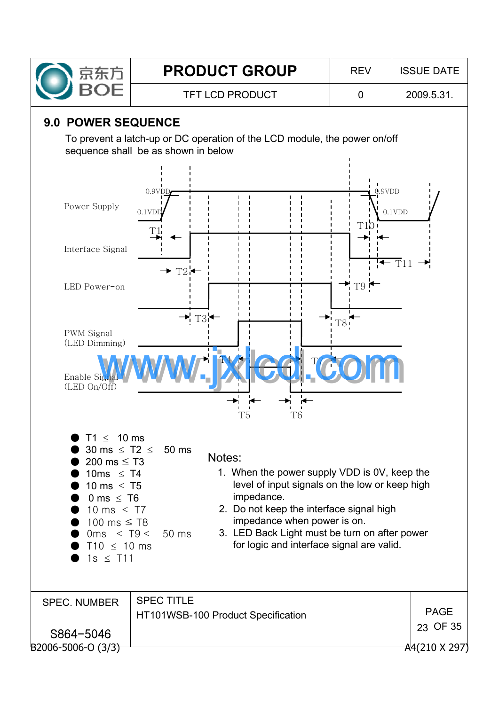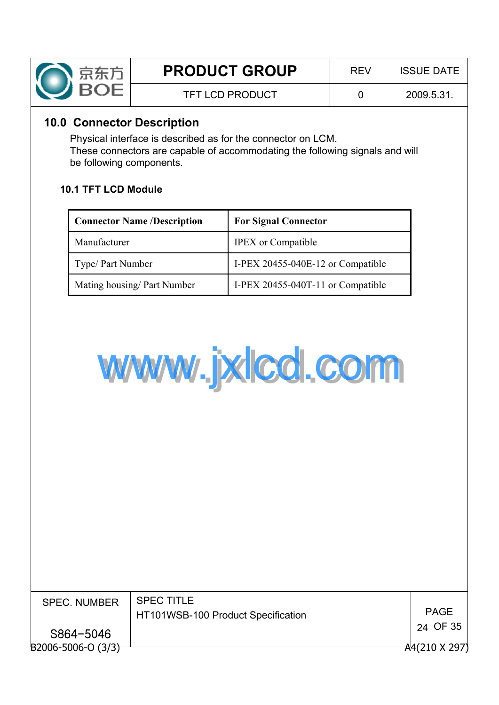

## **10.0 Connector Description**

Physical interface is described as for the connector on LCM. These connectors are capable of accommodating the following signals and will be following components.

## **10.1 TFT LCD Module**

| <b>Connector Name /Description</b> | <b>For Signal Connector</b>       |
|------------------------------------|-----------------------------------|
| Manufacturer                       | <b>IPEX</b> or Compatible         |
| Type/ Part Number                  | I-PEX 20455-040E-12 or Compatible |
| Mating housing/ Part Number        | I-PEX 20455-040T-11 or Compatible |



| <b>SPEC. NUMBER</b>     | <b>SPEC TITLE</b><br>HT101WSB-100 Product Specification | <b>PAGE</b>          |
|-------------------------|---------------------------------------------------------|----------------------|
| S864-5046               |                                                         | 24 OF 35             |
| $B2006 - 5006 - 0(3/3)$ |                                                         | $A4(210 \times 297)$ |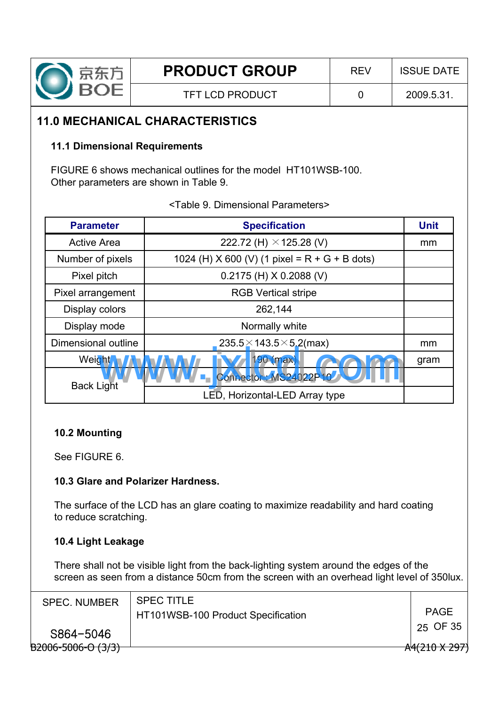

TFT LCD PRODUCT 0 2009.5.31.

## **11.0 MECHANICAL CHARACTERISTICS**

#### **11.1 Dimensional Requirements**

FIGURE 6 shows mechanical outlines for the model HT101WSB-100. Other parameters are shown in Table 9.

<Table 9. Dimensional Parameters>

| <b>Parameter</b>    | <b>Specification</b>                            |      |  |  |  |  |  |  |
|---------------------|-------------------------------------------------|------|--|--|--|--|--|--|
| <b>Active Area</b>  | 222.72 (H) $\times$ 125.28 (V)                  | mm   |  |  |  |  |  |  |
| Number of pixels    | 1024 (H) X 600 (V) (1 pixel = $R + G + B$ dots) |      |  |  |  |  |  |  |
| Pixel pitch         | $0.2175$ (H) X 0.2088 (V)                       |      |  |  |  |  |  |  |
| Pixel arrangement   | <b>RGB Vertical stripe</b>                      |      |  |  |  |  |  |  |
| Display colors      | 262,144                                         |      |  |  |  |  |  |  |
| Display mode        | Normally white                                  |      |  |  |  |  |  |  |
| Dimensional outline | $235.5 \times 143.5 \times 5.2$ (max)           | mm   |  |  |  |  |  |  |
| Weight,             | 190 (max)                                       | gram |  |  |  |  |  |  |
| <b>Back Light</b>   | Connector: MS24022P10                           |      |  |  |  |  |  |  |
|                     | LED, Horizontal-LED Array type                  |      |  |  |  |  |  |  |

#### **10.2 Mounting**

See FIGURE 6.

## **10.3 Glare and Polarizer Hardness.**

The surface of the LCD has an glare coating to maximize readability and hard coating to reduce scratching.

## **10.4 Light Leakage**

There shall not be visible light from the back-lighting system around the edges of the screen as seen from a distance 50cm from the screen with an overhead light level of 350lux.

| <b>SPEC. NUMBER</b>     | <b>SPEC TITLE</b><br>HT101WSB-100 Product Specification | <b>PAGE</b>   |
|-------------------------|---------------------------------------------------------|---------------|
| S864-5046               |                                                         | 25 OF 35      |
| $B2006 - 5006 - 0(3/3)$ |                                                         | A4(210 X 297) |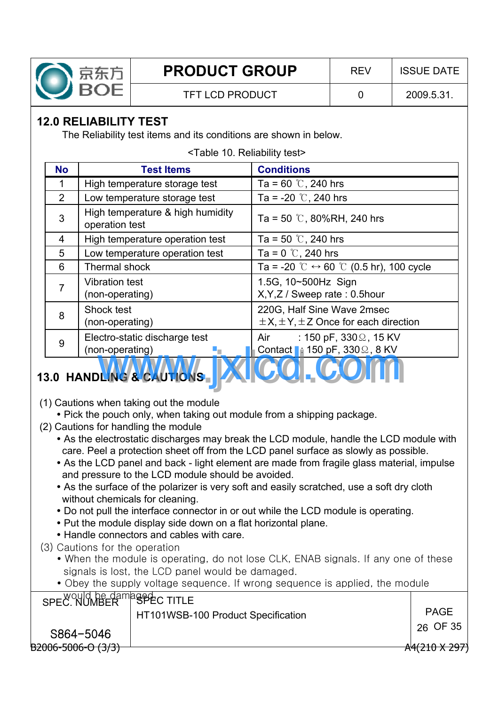

# **12.0 RELIABILITY TEST**

The Reliability test items and its conditions are shown in below.

| <b>No</b>      | <b>Test Items</b>                                  | <b>Conditions</b>                                                               |
|----------------|----------------------------------------------------|---------------------------------------------------------------------------------|
| 1              | High temperature storage test                      | Ta = 60 $\degree$ C, 240 hrs                                                    |
| $\overline{2}$ | Low temperature storage test                       | Ta = -20 $\degree$ C, 240 hrs                                                   |
| 3              | High temperature & high humidity<br>operation test | Ta = 50 $\degree$ C, 80%RH, 240 hrs                                             |
| 4              | High temperature operation test                    | Ta = 50 $\degree$ C, 240 hrs                                                    |
| 5              | Low temperature operation test                     | Ta = 0 $\degree$ , 240 hrs                                                      |
| 6              | Thermal shock                                      | Ta = -20 °C $\leftrightarrow$ 60 °C (0.5 hr), 100 cycle                         |
| $\overline{7}$ | <b>Vibration test</b><br>(non-operating)           | 1.5G, 10~500Hz Sign<br>X, Y, Z / Sweep rate: 0.5 hour                           |
| 8              | Shock test<br>(non-operating)                      | 220G, Half Sine Wave 2msec<br>$\pm$ X, $\pm$ Y, $\pm$ Z Once for each direction |
| 9              | Electro-static discharge test<br>(non-operating)   | Air<br>: 150 pF, 330 $\Omega$ , 15 KV<br>Contact 1: 150 pF, $330\Omega$ , 8 KV  |
|                | 3.0 HANDLING & CAUTIONS                            | <b>U.W.I. U.W.</b>                                                              |

#### <Table 10. Reliability test>

# **13.0 HANDLING & CAUTIONS**

- (1) Cautions when taking out the module
	- Pick the pouch only, when taking out module from a shipping package.
- (2) Cautions for handling the module
	- As the electrostatic discharges may break the LCD module, handle the LCD module with care. Peel a protection sheet off from the LCD panel surface as slowly as possible.
	- As the LCD panel and back light element are made from fragile glass material, impulse and pressure to the LCD module should be avoided.
	- As the surface of the polarizer is very soft and easily scratched, use a soft dry cloth without chemicals for cleaning.
	- Do not pull the interface connector in or out while the LCD module is operating.
	- Put the module display side down on a flat horizontal plane.
	- Handle connectors and cables with care.
- (3) Cautions for the operation
	- When the module is operating, do not lose CLK, ENAB signals. If any one of these signals is lost, the LCD panel would be damaged.
	- Obey the supply voltage sequence. If wrong sequence is applied, the module

| SPEC. NUMBER <sup>P</sup> SPEC TITLE | HT101WSB-100 Product Specification | <b>PAGE</b>          |
|--------------------------------------|------------------------------------|----------------------|
| S864-5046                            |                                    | 26 OF 35             |
| $B2006 - 5006 - 0(3/3)$              |                                    | $A4(210 \times 297)$ |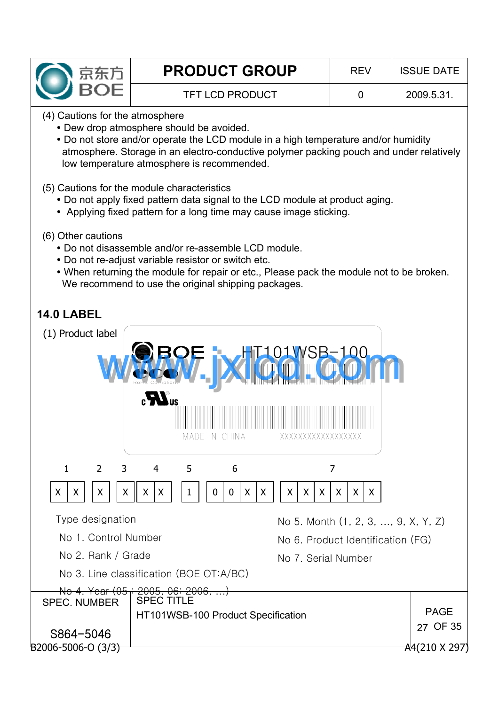

TFT LCD PRODUCT 0 2009.5.31.

(4) Cautions for the atmosphere

- Dew drop atmosphere should be avoided.
- Do not store and/or operate the LCD module in a high temperature and/or humidity atmosphere. Storage in an electro-conductive polymer packing pouch and under relatively low temperature atmosphere is recommended.
- (5) Cautions for the module characteristics
	- Do not apply fixed pattern data signal to the LCD module at product aging.
	- Applying fixed pattern for a long time may cause image sticking.
- (6) Other cautions
	- Do not disassemble and/or re-assemble LCD module.
	- Do not re-adjust variable resistor or switch etc.
	- When returning the module for repair or etc., Please pack the module not to be broken. We recommend to use the original shipping packages.

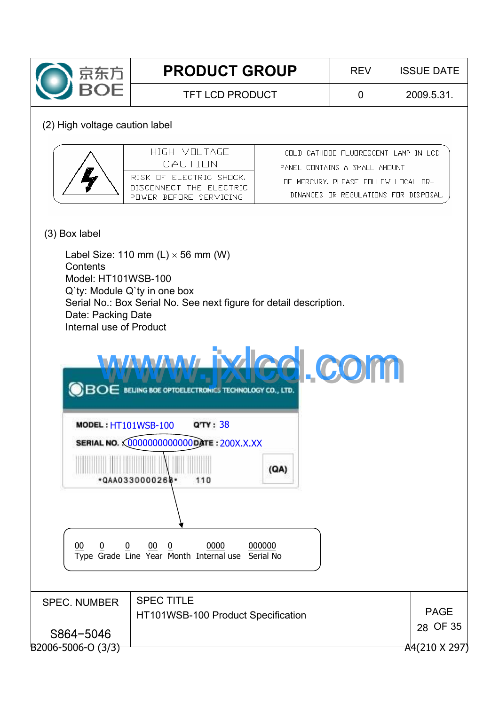

TFT LCD PRODUCT  $\begin{array}{|c|c|c|c|c|c|c|c|c|} \hline \end{array}$  0 2009.5.31.

#### (2) High voltage caution label

| HIGH VOLTAGE.<br>CALITION                                                     | CHEN CATHONE FLUDRESCENT LAMP IN LCD<br>PANEL CHNTAINS A SMALL AMHUNT        |
|-------------------------------------------------------------------------------|------------------------------------------------------------------------------|
| RISK HE ELECTRIC SHILCK.<br>DISCONNECT THE FLECTRIC<br>PUMER REFURE SERVICING | THE MERCURY. PLEASE FOLLOW LOCAL OR-<br>DINANCES OR REGULATIONS EDR DISPOSAL |

## (3) Box label

Label Size: 110 mm  $(L) \times 56$  mm (W) **Contents** Model: HT101WSB-100 Q`ty: Module Q`ty in one box Serial No.: Box Serial No. See next figure for detail description. Date: Packing Date Internal use of Product

| www.ixled.com                                                    |     |  |
|------------------------------------------------------------------|-----|--|
|                                                                  |     |  |
| $\bigcirc$ $BOE$ beling boe optoelectronics technology co., LTD. |     |  |
| Q'TY: 38<br><b>MODEL: HT101WSB-100</b>                           |     |  |
| SERIAL NO. 00000000000000 ATE: 200X.X.XX                         |     |  |
| *QAA0330000268*<br>110                                           | (A) |  |
|                                                                  |     |  |

<u>00 0 0 00 0 00000 000000 </u> Type Grade Line Year Month Internal use Serial No

| <b>SPEC. NUMBER</b>     | <b>SPEC TITLE</b><br>HT101WSB-100 Product Specification | <b>PAGE</b>          |
|-------------------------|---------------------------------------------------------|----------------------|
| S864-5046               |                                                         | 28 OF 35             |
| $B2006 - 5006 - 0(3/3)$ |                                                         | $A4(210 \times 297)$ |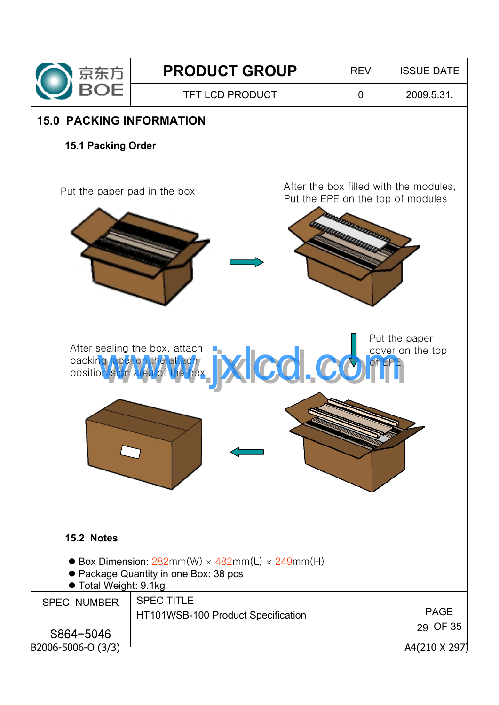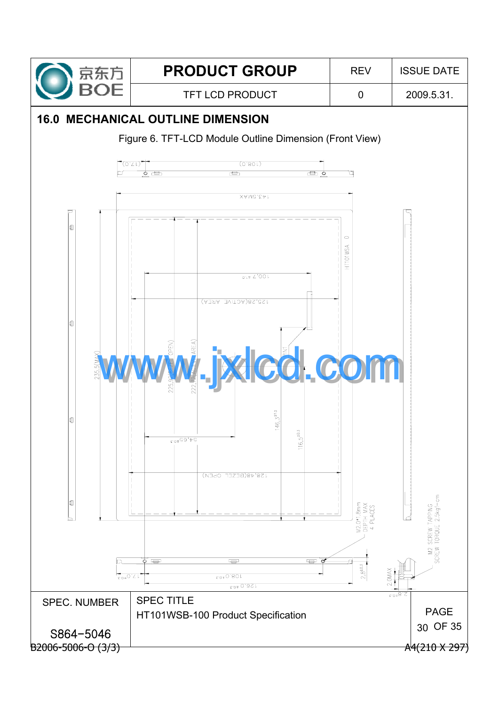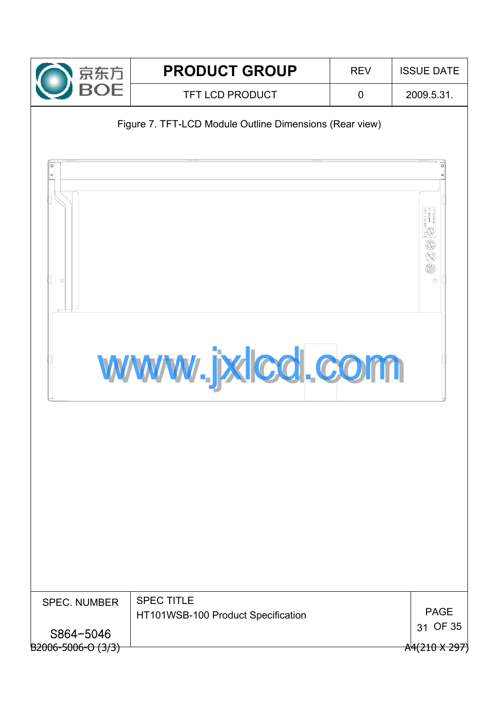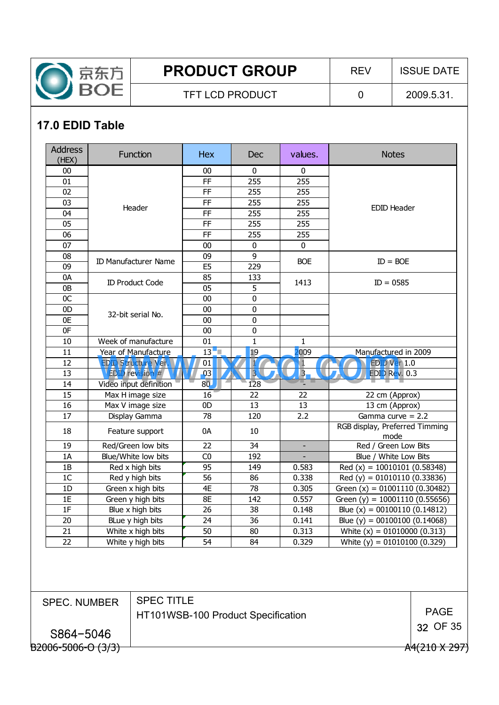

TFT LCD PRODUCT  $\begin{array}{|c|c|c|c|c|c|c|c|c|} \hline \end{array}$  0 2009.5.31.

# **17.0 EDID Table**

| <b>Address</b><br>(HEX) | <b>Function</b>             | <b>Hex</b>     | Dec            | values.        | <b>Notes</b>                           |  |
|-------------------------|-----------------------------|----------------|----------------|----------------|----------------------------------------|--|
| 00                      |                             | 00             | 0              | 0              |                                        |  |
| 01                      |                             | <b>FF</b>      | 255            | 255            |                                        |  |
| 02                      |                             | <b>FF</b>      | 255            | 255            |                                        |  |
| 03                      |                             | <b>FF</b>      | 255            | 255            |                                        |  |
| 04                      | Header                      | <b>FF</b>      | 255            | 255            | <b>EDID Header</b>                     |  |
| 05                      |                             | <b>FF</b>      | 255            | 255            |                                        |  |
| 06                      |                             | <b>FF</b>      | 255            | 255            |                                        |  |
| 07                      |                             | $00\,$         | $\bf{0}$       | $\mathbf 0$    |                                        |  |
| 08                      | <b>ID Manufacturer Name</b> | 09             | 9              | <b>BOE</b>     | $ID = BOE$                             |  |
| 09                      |                             | E <sub>5</sub> | 229            |                |                                        |  |
| 0A                      | <b>ID Product Code</b>      | 85             | 133            | 1413           | $ID = 0585$                            |  |
| 0B                      |                             | 05             | 5              |                |                                        |  |
| 0C                      |                             | 00             | 0              |                |                                        |  |
| 0 <sub>D</sub>          | 32-bit serial No.           | 00             | $\mathbf 0$    |                |                                        |  |
| 0E                      |                             | 00             | $\mathbf 0$    |                |                                        |  |
| 0F                      |                             | $00\,$         | 0              |                |                                        |  |
| 10                      | Week of manufacture         | 01             | 1              | 1              |                                        |  |
| 11                      | Year of Manufacture         | 13             | 19             | 2009           | Manufactured in 2009                   |  |
| 12                      | <b>EDID Structure Ver.</b>  | 01             | 1              | $\mathbf{1}$   | <b>EDID Ver 1.0</b>                    |  |
| 13                      | <b>EDID</b> revision #      | 03             | $\overline{3}$ | $\overline{3}$ | EDID Rev. 0.3                          |  |
| 14                      | Video input definition      | 80             | 128            |                |                                        |  |
| 15                      | Max H image size            | 16             | 22             | 22             | 22 cm (Approx)                         |  |
| 16                      | Max V image size            | 0 <sub>D</sub> | 13             | 13             | 13 cm (Approx)                         |  |
| 17                      | Display Gamma               | 78             | 120            | 2.2            | Gamma curve $= 2.2$                    |  |
| 18                      | Feature support             | 0A             | 10             |                | RGB display, Preferred Timming<br>mode |  |
| 19                      | Red/Green low bits          | 22             | 34             | $\blacksquare$ | Red / Green Low Bits                   |  |
| 1A                      | Blue/White low bits         | C <sub>0</sub> | 192            |                | Blue / White Low Bits                  |  |
| 1B                      | Red x high bits             | 95             | 149            | 0.583          | Red (x) = $10010101$ (0.58348)         |  |
| 1 <sup>C</sup>          | Red y high bits             | 56             | 86             | 0.338          | Red (y) = $01010110$ (0.33836)         |  |
| 1D                      | Green x high bits           | 4E             | 78             | 0.305          | Green $(x) = 01001110(0.30482)$        |  |
| 1E                      | Green y high bits           | 8E             | 142            | 0.557          | Green (y) = $10001110(0.55656)$        |  |
| 1F                      | Blue x high bits            | 26             | 38             | 0.148          | Blue $(x) = 00100110 (0.14812)$        |  |
| $20\,$                  | BLue y high bits            | 24             | 36             | 0.141          | Blue (y) = $00100100$ (0.14068)        |  |
| 21                      | White x high bits           | 50             | 80             | 0.313          | White $(x) = 01010000 (0.313)$         |  |
| 22                      | White y high bits           | 54             | 84             | 0.329          | White $(y) = 01010100 (0.329)$         |  |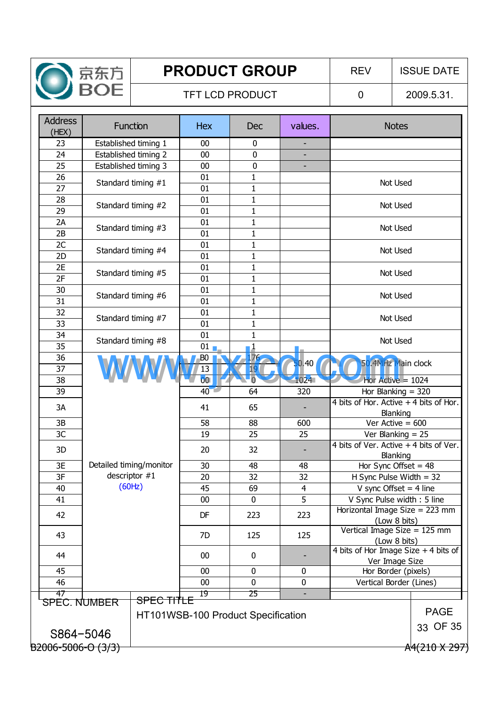

## TFT LCD PRODUCT  $\begin{array}{|c|c|c|c|c|c|c|c|c|} \hline \end{array}$  0  $\begin{array}{|c|c|c|c|c|c|c|c|c|} \hline \end{array}$  2009.5.31.

| <b>Address</b><br>(HEX) | <b>Function</b>         | <b>Hex</b>                         | Dec             | values.                  | <b>Notes</b>                                                    |             |
|-------------------------|-------------------------|------------------------------------|-----------------|--------------------------|-----------------------------------------------------------------|-------------|
| 23                      | Established timing 1    | 00                                 | $\mathbf 0$     | ٠                        |                                                                 |             |
| 24                      | Established timing 2    | 00                                 | 0               | $\overline{\phantom{a}}$ |                                                                 |             |
| 25                      | Established timing 3    | 00                                 | $\overline{0}$  | ÷,                       |                                                                 |             |
| 26                      | Standard timing #1      | 01                                 | $\mathbf{1}$    |                          | Not Used                                                        |             |
| 27                      |                         | 01                                 | $\mathbf{1}$    |                          |                                                                 |             |
| 28                      | Standard timing #2      | 01                                 | $\mathbf{1}$    |                          | Not Used                                                        |             |
| 29                      |                         | 01                                 | $\mathbf{1}$    |                          |                                                                 |             |
| 2A                      | Standard timing #3      | 01                                 | $\mathbf{1}$    |                          | Not Used                                                        |             |
| 2B                      |                         | 01                                 | $\mathbf 1$     |                          |                                                                 |             |
| 2C                      | Standard timing #4      | 01                                 | $\mathbf{1}$    |                          | Not Used                                                        |             |
| 2D                      |                         | 01                                 | $\mathbf{1}$    |                          |                                                                 |             |
| 2E                      | Standard timing #5      | 01                                 | $\mathbf{1}$    |                          | Not Used                                                        |             |
| 2F                      |                         | 01                                 | $\mathbf{1}$    |                          |                                                                 |             |
| 30                      | Standard timing #6      | 01                                 | $\mathbf{1}$    |                          | Not Used                                                        |             |
| 31                      |                         | 01                                 | $\mathbf{1}$    |                          |                                                                 |             |
| 32                      | Standard timing #7      | 01                                 | $\mathbf{1}$    |                          | Not Used                                                        |             |
| 33                      |                         | 01                                 | $\mathbf{1}$    |                          |                                                                 |             |
| 34                      | Standard timing #8      | 01                                 | $\mathbf{1}$    |                          | Not Used                                                        |             |
| 35                      |                         | $01$ $\blacksquare$                | $\mathbf{1}$    |                          |                                                                 |             |
| 36                      |                         | B <sub>0</sub>                     | 176             | 50.40                    | 50.4MHz Main clock                                              |             |
| 37                      |                         | 13                                 | 19 <sup>°</sup> |                          |                                                                 |             |
| 38                      |                         | $\overline{00}$                    | $\overline{0}$  | 1024                     | Hor Active = $1024$                                             |             |
| 39                      |                         | $40-1$                             | 64              | 320                      | Hor Blanking $=$ 320<br>4 bits of Hor. Active $+4$ bits of Hor. |             |
| 3A                      |                         | 41                                 | 65              | -                        | Blanking                                                        |             |
| 3B                      |                         | 58                                 | 88              | 600                      | Ver Active = $600$                                              |             |
| 3C                      |                         | 19                                 | 25              | 25                       | Ver Blanking $= 25$                                             |             |
|                         |                         |                                    |                 |                          | 4 bits of Ver. Active $+4$ bits of Ver.                         |             |
| 3D                      |                         | 20                                 | 32              |                          | Blanking                                                        |             |
| 3E                      | Detailed timing/monitor | 30                                 | 48              | 48                       | Hor Sync Offset = $48$                                          |             |
| 3F                      | descriptor $#1$         | 20                                 | 32              | 32                       | H Sync Pulse Width $=$ 32                                       |             |
| 40                      | (60Hz)                  | 45                                 | 69              | $\overline{4}$           | V sync Offset = $4$ line                                        |             |
| 41                      |                         | 00                                 | $\mathbf{0}$    | $\overline{5}$           | V Sync Pulse width: 5 line                                      |             |
| 42                      |                         | DF                                 | 223             | 223                      | Horizontal Image Size = 223 mm                                  |             |
|                         |                         |                                    |                 |                          | (Low 8 bits)                                                    |             |
| 43                      |                         | 7D                                 | 125             | 125                      | Vertical Image Size = 125 mm                                    |             |
|                         |                         |                                    |                 |                          | (Low 8 bits)<br>4 bits of Hor Image Size + 4 bits of            |             |
| 44                      |                         | 00                                 | $\mathbf 0$     |                          | Ver Image Size                                                  |             |
| 45                      |                         | 00                                 | $\pmb{0}$       | 0                        | Hor Border (pixels)                                             |             |
| 46                      |                         | 00                                 | $\pmb{0}$       | $\pmb{0}$                | Vertical Border (Lines)                                         |             |
| 47                      |                         | 19                                 | 25              |                          |                                                                 |             |
| <b>SPEC. NUMBER</b>     | <b>SPEC TITLE</b>       |                                    |                 |                          |                                                                 |             |
|                         |                         | HT101WSB-100 Product Specification |                 |                          |                                                                 | <b>PAGE</b> |
| S864-5046               |                         |                                    |                 |                          |                                                                 | 33 OF 35    |
|                         |                         |                                    |                 |                          |                                                                 |             |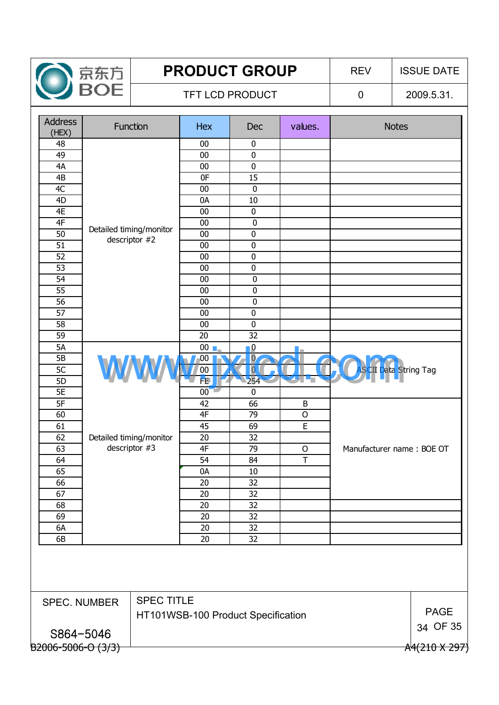

## TFT LCD PRODUCT  $\begin{array}{|c|c|c|c|c|c|c|c|c|} \hline \end{array}$  0  $\begin{array}{|c|c|c|c|c|c|c|c|c|} \hline \end{array}$  2009.5.31.

| <b>Address</b><br>(HEX) |                     | <b>Function</b>         | Hex                                | Dec            | values.      | <b>Notes</b>                 |             |
|-------------------------|---------------------|-------------------------|------------------------------------|----------------|--------------|------------------------------|-------------|
| 48                      |                     |                         | 00                                 | $\pmb{0}$      |              |                              |             |
| 49                      |                     |                         | 00                                 | $\pmb{0}$      |              |                              |             |
| 4A                      |                     |                         | $00\,$                             | $\pmb{0}$      |              |                              |             |
| 4B                      |                     |                         | 0F                                 | 15             |              |                              |             |
| 4C                      |                     |                         | 00                                 | $\pmb{0}$      |              |                              |             |
| 4D                      |                     |                         | 0A                                 | 10             |              |                              |             |
| 4E                      |                     |                         | 00                                 | $\pmb{0}$      |              |                              |             |
| 4F                      |                     | Detailed timing/monitor | 00                                 | $\pmb{0}$      |              |                              |             |
| 50                      |                     | descriptor #2           | 00                                 | $\pmb{0}$      |              |                              |             |
| 51                      |                     |                         | 00                                 | $\pmb{0}$      |              |                              |             |
| 52                      |                     |                         | $00\,$                             | $\pmb{0}$      |              |                              |             |
| 53                      |                     |                         | 00                                 | $\pmb{0}$      |              |                              |             |
| 54                      |                     |                         | 00                                 | $\pmb{0}$      |              |                              |             |
| 55                      |                     |                         | 00                                 | $\pmb{0}$      |              |                              |             |
| 56                      |                     |                         | 00                                 | $\pmb{0}$      |              |                              |             |
| 57                      |                     |                         | 00                                 | $\pmb{0}$      |              |                              |             |
| 58                      |                     |                         | 00                                 | $\mathbf 0$    |              |                              |             |
| 59                      |                     |                         | 20                                 | 32             |              |                              |             |
| <b>5A</b>               |                     |                         | $00$ $\blacksquare$                | $\mathbf{0}$   |              |                              |             |
| 5B                      |                     |                         | $00\,$                             | $\overline{0}$ |              |                              |             |
| 5 <sub>C</sub>          | W                   |                         | 00                                 | $\overline{0}$ |              | <b>ASCII Data String Tag</b> |             |
| 5D                      |                     |                         | FE                                 | 254            | 4            |                              |             |
| <b>5E</b>               |                     |                         | $00^{\circ}$                       | 0              |              |                              |             |
| 5F                      |                     |                         | 42                                 | 66             | $\sf B$      |                              |             |
| 60                      |                     |                         | 4F                                 | 79             | $\mathsf{O}$ |                              |             |
| 61                      |                     |                         | 45                                 | 69             | E            |                              |             |
| 62                      |                     | Detailed timing/monitor | 20                                 | 32             |              |                              |             |
| 63                      |                     | descriptor #3           | 4F                                 | 79             | $\circ$      | Manufacturer name: BOE OT    |             |
| 64                      |                     |                         | 54                                 | 84             | T            |                              |             |
| 65                      |                     |                         | 0A                                 | 10             |              |                              |             |
| 66                      |                     |                         | 20                                 | 32             |              |                              |             |
| 67                      |                     |                         | 20                                 | 32             |              |                              |             |
| 68                      |                     |                         | 20                                 | 32             |              |                              |             |
| 69                      |                     |                         | 20                                 | 32             |              |                              |             |
| 6A                      |                     |                         | 20                                 | 32             |              |                              |             |
| 6B                      |                     |                         | 20                                 | 32             |              |                              |             |
|                         |                     |                         |                                    |                |              |                              |             |
|                         | <b>SPEC. NUMBER</b> | <b>SPEC TITLE</b>       |                                    |                |              |                              |             |
|                         |                     |                         | HT101WSB-100 Product Specification |                |              |                              | <b>PAGE</b> |
|                         |                     |                         |                                    |                |              |                              | 34 OF 35    |
|                         | S864-5046           |                         |                                    |                |              |                              |             |
|                         |                     |                         |                                    |                |              |                              |             |